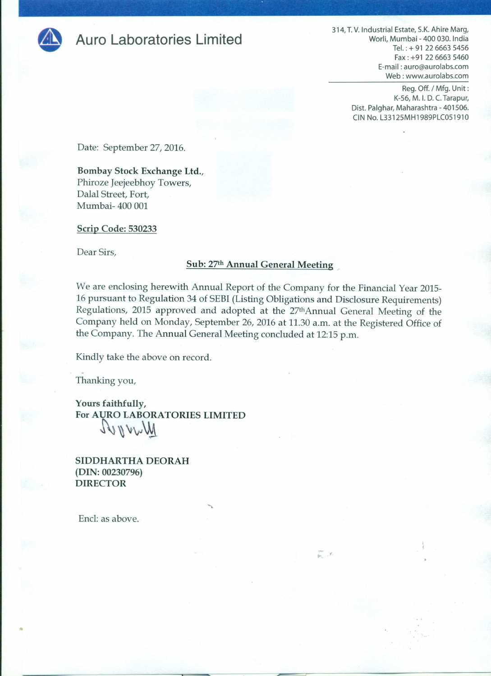

## **Auro Laboratories Limited**

314, T.V. Industrial Estate, S.K. Ahire Marg, Worli, Mumbai - 400 030. India Tel.: + 91 22 6663 5456 Fax: +91 22 6663 5460 E-mail: auro@aurolabs.com Web: www.aurolabs.com

> Reg. Off. / Mfg. Unit: K-56, M. I. D. C. Tarapur, Dist. Palghar, Maharashtra - 401506. CIN No. L33125MH1989PLC051910

Date: September 27, 2016.

Bombay Stock Exchange Ltd., Phiroze Jeejeebhoy Towers, Dalal Street, Fort, Mumbai- 400 001

Scrip Code: 530233

Dear Sirs,

## Sub: 27th Annual General Meeting

We are enclosing herewith Annual Report of the Company for the Financial Year 2015-16 pursuant to Regulation 34 of SEBI (Listing Obligations and Disclosure Requirements) Regulations, 2015 approved and adopted at the 27thAnnual General Meeting of the Company held on Monday, September 26, 2016 at 11.30 a.m. at the Registered Office of the Company. The Annual General Meeting concluded at 12:15 p.m.

Kindly take the above on record.

Thanking you,

Yours faithfully, For AURO LABORATORIES LIMITED Wwwwel

SIDDHARTHA DEORAH  $(DIN: 00230796)$ **DIRECTOR** 

Encl: as above.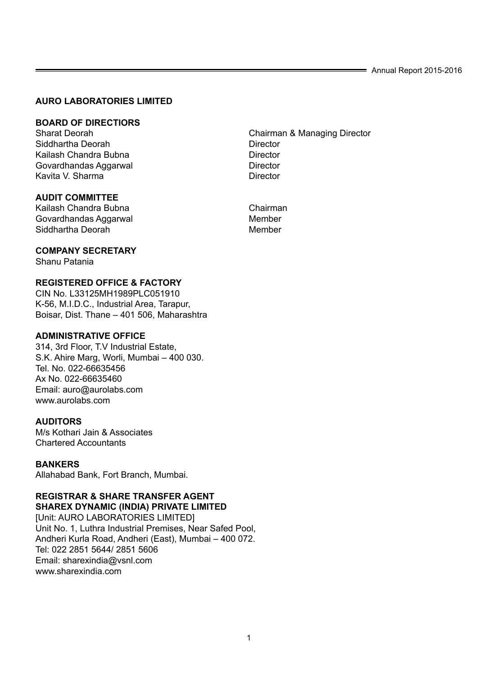## **AURO LABORATORIES LIMITED**

## **BOARD OF DIRECTIORS**

Siddhartha Deorah **Director**<br> **Railash Chandra Bubna**<br>
Director Kailash Chandra Bubna Govardhandas Aggarwal **Director** Director Kavita V. Sharma **Director** 

## **AUDIT COMMITTEE**

Kailash Chandra Bubna<br>Govardhandas Aggarwal Chairman Chairman Govardhandas Aggarwal **Member**<br>Siddhartha Deorah Siddhartha Deorah

## **COMPANY SECRETARY**

Shanu Patania

## **REGISTERED OFFICE & FACTORY**

CIN No. L33125MH1989PLC051910 K-56, M.I.D.C., Industrial Area, Tarapur, Boisar, Dist. Thane – 401 506, Maharashtra

## **ADMINISTRATIVE OFFICE**

314, 3rd Floor, T.V Industrial Estate, S.K. Ahire Marg, Worli, Mumbai – 400 030. Tel. No. 022-66635456 Ax No. 022-66635460 Email: auro@aurolabs.com www.aurolabs.com

## **AUDITORS**

M/s Kothari Jain & Associates Chartered Accountants

## **BANKERS**

Allahabad Bank, Fort Branch, Mumbai.

## **REGISTRAR & SHARE TRANSFER AGENT SHAREX DYNAMIC (INDIA) PRIVATE LIMITED**

[Unit: AURO LABORATORIES LIMITED] Unit No. 1, Luthra Industrial Premises, Near Safed Pool, Andheri Kurla Road, Andheri (East), Mumbai – 400 072. Tel: 022 2851 5644/ 2851 5606 Email: sharexindia@vsnl.com www.sharexindia.com

Chairman & Managing Director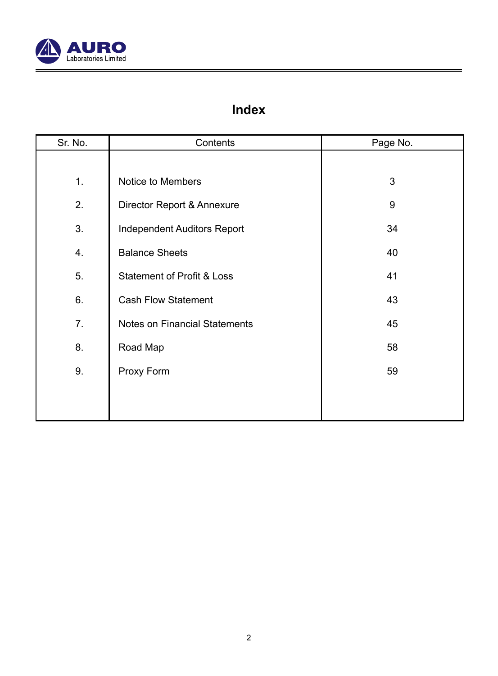

## **Index**

| Sr. No. | Contents                           | Page No. |
|---------|------------------------------------|----------|
|         |                                    |          |
| 1.      | Notice to Members                  | 3        |
| 2.      | Director Report & Annexure         | 9        |
| 3.      | <b>Independent Auditors Report</b> | 34       |
| 4.      | <b>Balance Sheets</b>              | 40       |
| 5.      | Statement of Profit & Loss         | 41       |
| 6.      | Cash Flow Statement                | 43       |
| 7.      | Notes on Financial Statements      | 45       |
| 8.      | Road Map                           | 58       |
| 9.      | Proxy Form                         | 59       |
|         |                                    |          |
|         |                                    |          |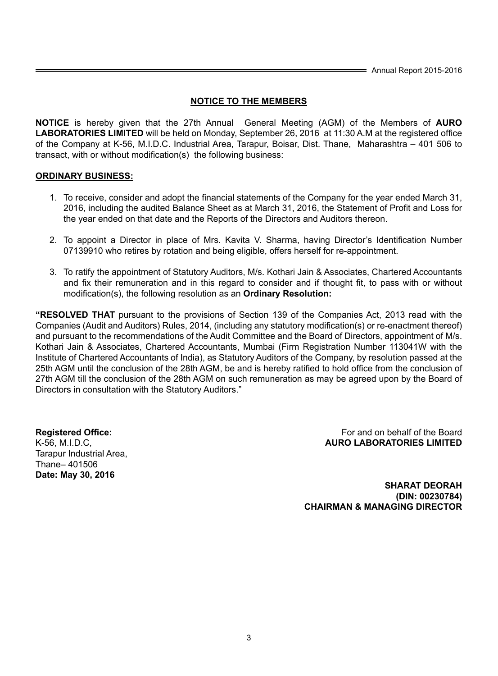## **NOTICE TO THE MEMBERS**

**NOTICE** is hereby given that the 27th Annual General Meeting (AGM) of the Members of **AURO LABORATORIES LIMITED** will be held on Monday, September 26, 2016 at 11:30 A.M at the registered office of the Company at K-56, M.I.D.C. Industrial Area, Tarapur, Boisar, Dist. Thane, Maharashtra – 401 506 to transact, with or without modification(s) the following business:

## **ORDINARY BUSINESS:**

- 1. To receive, consider and adopt the financial statements of the Company for the year ended March 31, 2016, including the audited Balance Sheet as at March 31, 2016, the Statement of Profit and Loss for the year ended on that date and the Reports of the Directors and Auditors thereon.
- 2. To appoint a Director in place of Mrs. Kavita V. Sharma, having Director's Identification Number 07139910 who retires by rotation and being eligible, offers herself for re-appointment.
- 3. To ratify the appointment of Statutory Auditors, M/s. Kothari Jain & Associates, Chartered Accountants and fix their remuneration and in this regard to consider and if thought fit, to pass with or without modification(s), the following resolution as an **Ordinary Resolution:**

**"RESOLVED THAT** pursuant to the provisions of Section 139 of the Companies Act, 2013 read with the Companies (Audit and Auditors) Rules, 2014, (including any statutory modification(s) or re-enactment thereof) and pursuant to the recommendations of the Audit Committee and the Board of Directors, appointment of M/s. Kothari Jain & Associates, Chartered Accountants, Mumbai (Firm Registration Number 113041W with the Institute of Chartered Accountants of India), as Statutory Auditors of the Company, by resolution passed at the 25th AGM until the conclusion of the 28th AGM, be and is hereby ratified to hold office from the conclusion of 27th AGM till the conclusion of the 28th AGM on such remuneration as may be agreed upon by the Board of Directors in consultation with the Statutory Auditors."

Tarapur Industrial Area, Thane– 401506 **Date: May 30, 2016**

**Registered Office: For and on behalf of the Board For and on behalf of the Board** K-56, M.I.D.C, **AURO LABORATORIES LIMITED**

> **SHARAT DEORAH (DIN: 00230784) CHAIRMAN & MANAGING DIRECTOR**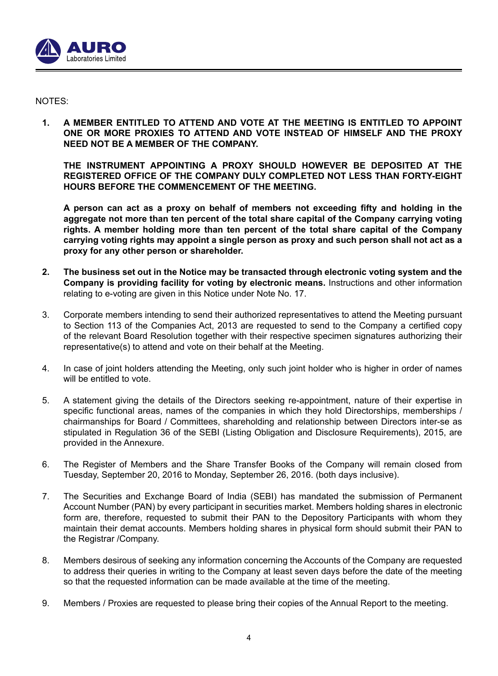

## NOTES:

**1. A MEMBER ENTITLED TO ATTEND AND VOTE AT THE MEETING IS ENTITLED TO APPOINT ONE OR MORE PROXIES TO ATTEND AND VOTE INSTEAD OF HIMSELF AND THE PROXY NEED NOT BE A MEMBER OF THE COMPANY.**

 **THE INSTRUMENT APPOINTING A PROXY SHOULD HOWEVER BE DEPOSITED AT THE REGISTERED OFFICE OF THE COMPANY DULY COMPLETED NOT LESS THAN FORTY-EIGHT HOURS BEFORE THE COMMENCEMENT OF THE MEETING.**

**A person can act as a proxy on behalf of members not exceeding fifty and holding in the aggregate not more than ten percent of the total share capital of the Company carrying voting rights. A member holding more than ten percent of the total share capital of the Company carrying voting rights may appoint a single person as proxy and such person shall not act as a proxy for any other person or shareholder.**

- **2. The business set out in the Notice may be transacted through electronic voting system and the Company is providing facility for voting by electronic means.** Instructions and other information relating to e-voting are given in this Notice under Note No. 17.
- 3. Corporate members intending to send their authorized representatives to attend the Meeting pursuant to Section 113 of the Companies Act, 2013 are requested to send to the Company a certified copy of the relevant Board Resolution together with their respective specimen signatures authorizing their representative(s) to attend and vote on their behalf at the Meeting.
- 4. In case of joint holders attending the Meeting, only such joint holder who is higher in order of names will be entitled to vote.
- 5. A statement giving the details of the Directors seeking re-appointment, nature of their expertise in specific functional areas, names of the companies in which they hold Directorships, memberships / chairmanships for Board / Committees, shareholding and relationship between Directors inter-se as stipulated in Regulation 36 of the SEBI (Listing Obligation and Disclosure Requirements), 2015, are provided in the Annexure.
- 6. The Register of Members and the Share Transfer Books of the Company will remain closed from Tuesday, September 20, 2016 to Monday, September 26, 2016. (both days inclusive).
- 7. The Securities and Exchange Board of India (SEBI) has mandated the submission of Permanent Account Number (PAN) by every participant in securities market. Members holding shares in electronic form are, therefore, requested to submit their PAN to the Depository Participants with whom they maintain their demat accounts. Members holding shares in physical form should submit their PAN to the Registrar /Company.
- 8. Members desirous of seeking any information concerning the Accounts of the Company are requested to address their queries in writing to the Company at least seven days before the date of the meeting so that the requested information can be made available at the time of the meeting.
- 9. Members / Proxies are requested to please bring their copies of the Annual Report to the meeting.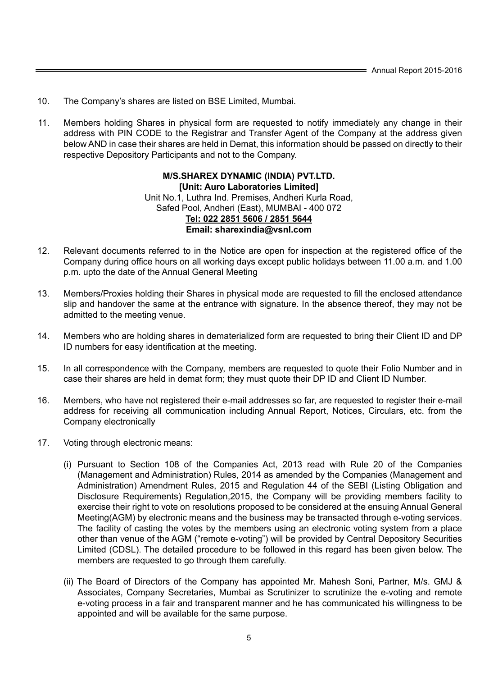- 10. The Company's shares are listed on BSE Limited, Mumbai.
- 11. Members holding Shares in physical form are requested to notify immediately any change in their address with PIN CODE to the Registrar and Transfer Agent of the Company at the address given below AND in case their shares are held in Demat, this information should be passed on directly to their respective Depository Participants and not to the Company.

## **M/S.SHAREX DYNAMIC (INDIA) PVT.LTD. [Unit: Auro Laboratories Limited]** Unit No.1, Luthra Ind. Premises, Andheri Kurla Road, Safed Pool, Andheri (East), MUMBAI - 400 072 **Tel: 022 2851 5606 / 2851 5644 Email: sharexindia@vsnl.com**

- 12. Relevant documents referred to in the Notice are open for inspection at the registered office of the Company during office hours on all working days except public holidays between 11.00 a.m. and 1.00 p.m. upto the date of the Annual General Meeting
- 13. Members/Proxies holding their Shares in physical mode are requested to fill the enclosed attendance slip and handover the same at the entrance with signature. In the absence thereof, they may not be admitted to the meeting venue.
- 14. Members who are holding shares in dematerialized form are requested to bring their Client ID and DP ID numbers for easy identification at the meeting.
- 15. In all correspondence with the Company, members are requested to quote their Folio Number and in case their shares are held in demat form; they must quote their DP ID and Client ID Number.
- 16. Members, who have not registered their e-mail addresses so far, are requested to register their e-mail address for receiving all communication including Annual Report, Notices, Circulars, etc. from the Company electronically
- 17. Voting through electronic means:
	- (i) Pursuant to Section 108 of the Companies Act, 2013 read with Rule 20 of the Companies (Management and Administration) Rules, 2014 as amended by the Companies (Management and Administration) Amendment Rules, 2015 and Regulation 44 of the SEBI (Listing Obligation and Disclosure Requirements) Regulation,2015, the Company will be providing members facility to exercise their right to vote on resolutions proposed to be considered at the ensuing Annual General Meeting(AGM) by electronic means and the business may be transacted through e-voting services. The facility of casting the votes by the members using an electronic voting system from a place other than venue of the AGM ("remote e-voting") will be provided by Central Depository Securities Limited (CDSL). The detailed procedure to be followed in this regard has been given below. The members are requested to go through them carefully.
	- (ii) The Board of Directors of the Company has appointed Mr. Mahesh Soni, Partner, M/s. GMJ & Associates, Company Secretaries, Mumbai as Scrutinizer to scrutinize the e-voting and remote e-voting process in a fair and transparent manner and he has communicated his willingness to be appointed and will be available for the same purpose.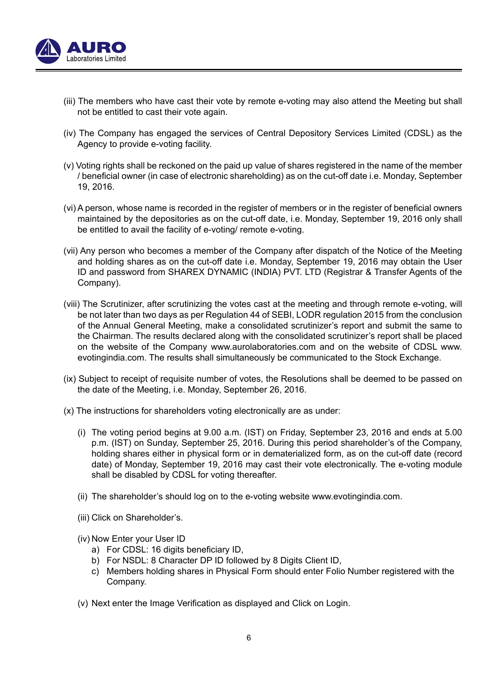

- (iii) The members who have cast their vote by remote e-voting may also attend the Meeting but shall not be entitled to cast their vote again.
- (iv) The Company has engaged the services of Central Depository Services Limited (CDSL) as the Agency to provide e-voting facility.
- (v) Voting rights shall be reckoned on the paid up value of shares registered in the name of the member / beneficial owner (in case of electronic shareholding) as on the cut-off date i.e. Monday, September 19, 2016.
- (vi) A person, whose name is recorded in the register of members or in the register of beneficial owners maintained by the depositories as on the cut-off date, i.e. Monday, September 19, 2016 only shall be entitled to avail the facility of e-voting/ remote e-voting.
- (vii) Any person who becomes a member of the Company after dispatch of the Notice of the Meeting and holding shares as on the cut-off date i.e. Monday, September 19, 2016 may obtain the User ID and password from SHAREX DYNAMIC (INDIA) PVT. LTD (Registrar & Transfer Agents of the Company).
- (viii) The Scrutinizer, after scrutinizing the votes cast at the meeting and through remote e-voting, will be not later than two days as per Regulation 44 of SEBI, LODR regulation 2015 from the conclusion of the Annual General Meeting, make a consolidated scrutinizer's report and submit the same to the Chairman. The results declared along with the consolidated scrutinizer's report shall be placed on the website of the Company www.aurolaboratories.com and on the website of CDSL www. evotingindia.com. The results shall simultaneously be communicated to the Stock Exchange.
- (ix) Subject to receipt of requisite number of votes, the Resolutions shall be deemed to be passed on the date of the Meeting, i.e. Monday, September 26, 2016.
- (x) The instructions for shareholders voting electronically are as under:
	- (i) The voting period begins at 9.00 a.m. (IST) on Friday, September 23, 2016 and ends at 5.00 p.m. (IST) on Sunday, September 25, 2016. During this period shareholder's of the Company, holding shares either in physical form or in dematerialized form, as on the cut-off date (record date) of Monday, September 19, 2016 may cast their vote electronically. The e-voting module shall be disabled by CDSL for voting thereafter.
	- (ii) The shareholder's should log on to the e-voting website www.evotingindia.com.
	- (iii) Click on Shareholder's.
	- (iv) Now Enter your User ID
		- a) For CDSL: 16 digits beneficiary ID,
		- b) For NSDL: 8 Character DP ID followed by 8 Digits Client ID,
		- c) Members holding shares in Physical Form should enter Folio Number registered with the Company.
	- (v) Next enter the Image Verification as displayed and Click on Login.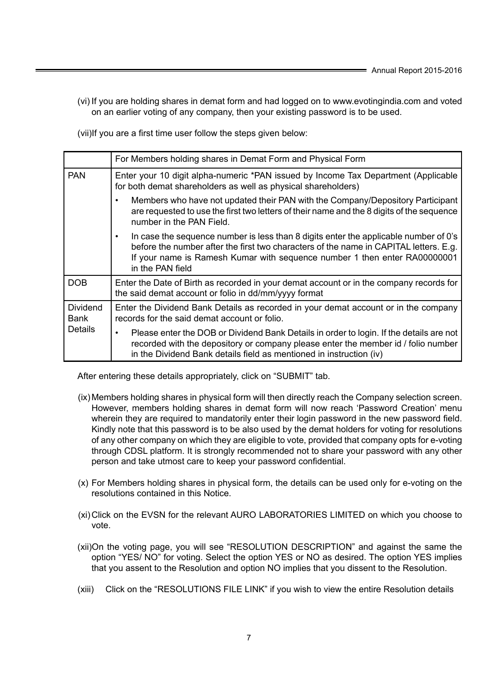(vi) If you are holding shares in demat form and had logged on to www.evotingindia.com and voted on an earlier voting of any company, then your existing password is to be used.

(vii)If you are a first time user follow the steps given below:

|                         | For Members holding shares in Demat Form and Physical Form                                                                                                                                                                                                                     |
|-------------------------|--------------------------------------------------------------------------------------------------------------------------------------------------------------------------------------------------------------------------------------------------------------------------------|
| <b>PAN</b>              | Enter your 10 digit alpha-numeric *PAN issued by Income Tax Department (Applicable<br>for both demat shareholders as well as physical shareholders)                                                                                                                            |
|                         | Members who have not updated their PAN with the Company/Depository Participant<br>are requested to use the first two letters of their name and the 8 digits of the sequence<br>number in the PAN Field.                                                                        |
|                         | In case the sequence number is less than 8 digits enter the applicable number of 0's<br>before the number after the first two characters of the name in CAPITAL letters. E.g.<br>If your name is Ramesh Kumar with sequence number 1 then enter RA00000001<br>in the PAN field |
| <b>DOB</b>              | Enter the Date of Birth as recorded in your demat account or in the company records for<br>the said demat account or folio in dd/mm/yyyy format                                                                                                                                |
| <b>Dividend</b><br>Bank | Enter the Dividend Bank Details as recorded in your demat account or in the company<br>records for the said demat account or folio.                                                                                                                                            |
| Details                 | Please enter the DOB or Dividend Bank Details in order to login. If the details are not<br>$\bullet$<br>recorded with the depository or company please enter the member id / folio number<br>in the Dividend Bank details field as mentioned in instruction (iv)               |

After entering these details appropriately, click on "SUBMIT" tab.

- (ix)Members holding shares in physical form will then directly reach the Company selection screen. However, members holding shares in demat form will now reach 'Password Creation' menu wherein they are required to mandatorily enter their login password in the new password field. Kindly note that this password is to be also used by the demat holders for voting for resolutions of any other company on which they are eligible to vote, provided that company opts for e-voting through CDSL platform. It is strongly recommended not to share your password with any other person and take utmost care to keep your password confidential.
- (x) For Members holding shares in physical form, the details can be used only for e-voting on the resolutions contained in this Notice.
- (xi)Click on the EVSN for the relevant AURO LABORATORIES LIMITED on which you choose to vote.
- (xii)On the voting page, you will see "RESOLUTION DESCRIPTION" and against the same the option "YES/ NO" for voting. Select the option YES or NO as desired. The option YES implies that you assent to the Resolution and option NO implies that you dissent to the Resolution.
- (xiii) Click on the "RESOLUTIONS FILE LINK" if you wish to view the entire Resolution details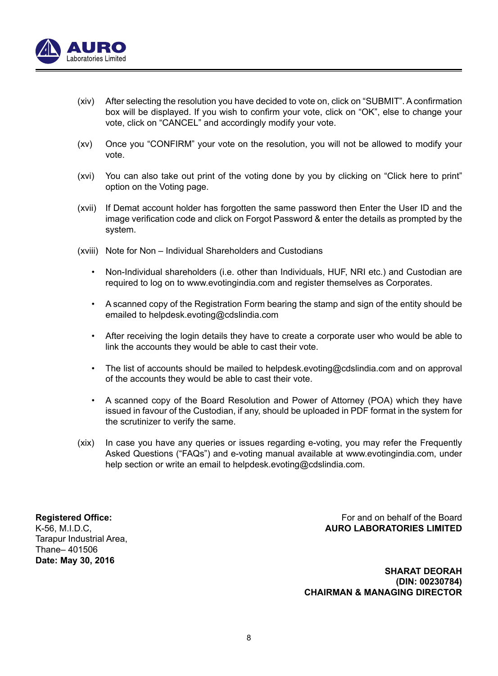

- (xiv) After selecting the resolution you have decided to vote on, click on "SUBMIT". A confirmation box will be displayed. If you wish to confirm your vote, click on "OK", else to change your vote, click on "CANCEL" and accordingly modify your vote.
- (xv) Once you "CONFIRM" your vote on the resolution, you will not be allowed to modify your vote.
- (xvi) You can also take out print of the voting done by you by clicking on "Click here to print" option on the Voting page.
- (xvii) If Demat account holder has forgotten the same password then Enter the User ID and the image verification code and click on Forgot Password & enter the details as prompted by the system.
- (xviii) Note for Non Individual Shareholders and Custodians
	- Non-Individual shareholders (i.e. other than Individuals, HUF, NRI etc.) and Custodian are required to log on to www.evotingindia.com and register themselves as Corporates.
	- A scanned copy of the Registration Form bearing the stamp and sign of the entity should be emailed to helpdesk.evoting@cdslindia.com
	- After receiving the login details they have to create a corporate user who would be able to link the accounts they would be able to cast their vote.
	- The list of accounts should be mailed to helpdesk.evoting@cdslindia.com and on approval of the accounts they would be able to cast their vote.
	- A scanned copy of the Board Resolution and Power of Attorney (POA) which they have issued in favour of the Custodian, if any, should be uploaded in PDF format in the system for the scrutinizer to verify the same.
- (xix) In case you have any queries or issues regarding e-voting, you may refer the Frequently Asked Questions ("FAQs") and e-voting manual available at www.evotingindia.com, under help section or write an email to helpdesk.evoting@cdslindia.com.

Tarapur Industrial Area, Thane– 401506 **Date: May 30, 2016**

**Registered Office:** For and on behalf of the Board K-56, M.I.D.C, **AURO LABORATORIES LIMITED**

> **SHARAT DEORAH (DIN: 00230784) CHAIRMAN & MANAGING DIRECTOR**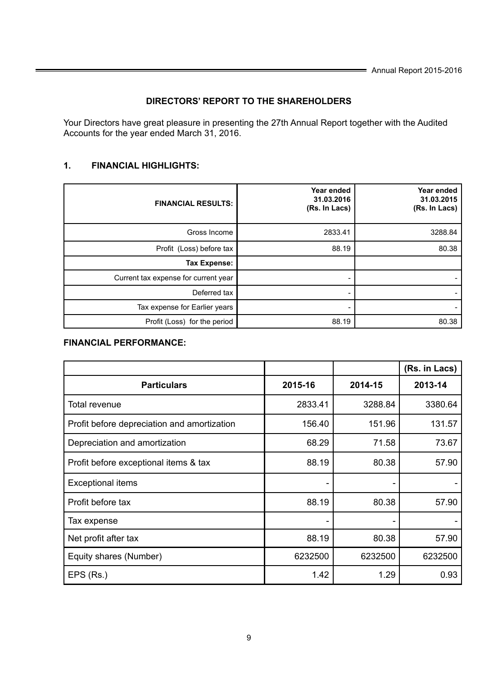## **DIRECTORS' REPORT TO THE SHAREHOLDERS**

 Your Directors have great pleasure in presenting the 27th Annual Report together with the Audited Accounts for the year ended March 31, 2016.

## **1. FINANCIAL HIGHLIGHTS:**

| <b>FINANCIAL RESULTS:</b>            | Year ended<br>31.03.2016<br>(Rs. In Lacs) | Year ended<br>31.03.2015<br>(Rs. In Lacs) |
|--------------------------------------|-------------------------------------------|-------------------------------------------|
| Gross Income                         | 2833.41                                   | 3288.84                                   |
| Profit (Loss) before tax             | 88.19                                     | 80.38                                     |
| Tax Expense:                         |                                           |                                           |
| Current tax expense for current year |                                           |                                           |
| Deferred tax                         |                                           |                                           |
| Tax expense for Earlier years        |                                           |                                           |
| Profit (Loss) for the period         | 88.19                                     | 80.38                                     |

## **FINANCIAL PERFORMANCE:**

|                                             |         |         | (Rs. in Lacs) |
|---------------------------------------------|---------|---------|---------------|
| <b>Particulars</b>                          | 2015-16 | 2014-15 | 2013-14       |
| Total revenue                               | 2833.41 | 3288.84 | 3380.64       |
| Profit before depreciation and amortization | 156.40  | 151.96  | 131.57        |
| Depreciation and amortization               | 68.29   | 71.58   | 73.67         |
| Profit before exceptional items & tax       | 88.19   | 80.38   | 57.90         |
| <b>Exceptional items</b>                    |         |         |               |
| Profit before tax                           | 88.19   | 80.38   | 57.90         |
| Tax expense                                 |         |         |               |
| Net profit after tax                        | 88.19   | 80.38   | 57.90         |
| Equity shares (Number)                      | 6232500 | 6232500 | 6232500       |
| EPS (Rs.)                                   | 1.42    | 1.29    | 0.93          |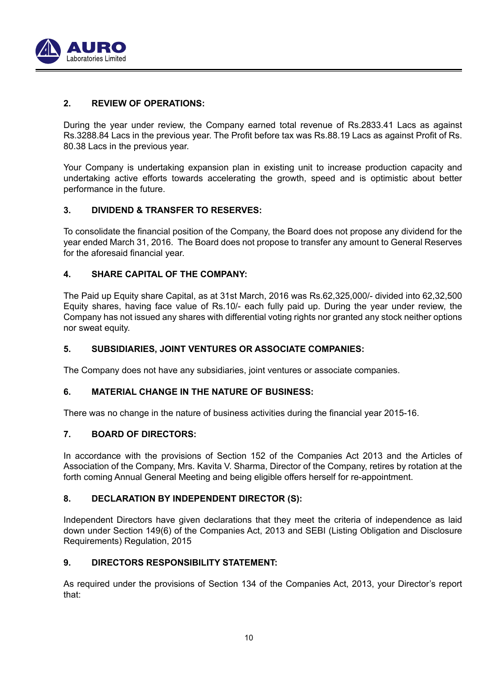

## **2. REVIEW OF OPERATIONS:**

 During the year under review, the Company earned total revenue of Rs.2833.41 Lacs as against Rs.3288.84 Lacs in the previous year. The Profit before tax was Rs.88.19 Lacs as against Profit of Rs. 80.38 Lacs in the previous year.

 Your Company is undertaking expansion plan in existing unit to increase production capacity and undertaking active efforts towards accelerating the growth, speed and is optimistic about better performance in the future.

## **3. DIVIDEND & TRANSFER TO RESERVES:**

To consolidate the financial position of the Company, the Board does not propose any dividend for the year ended March 31, 2016. The Board does not propose to transfer any amount to General Reserves for the aforesaid financial year.

## **4. SHARE CAPITAL OF THE COMPANY:**

 The Paid up Equity share Capital, as at 31st March, 2016 was Rs.62,325,000/- divided into 62,32,500 Equity shares, having face value of Rs.10/- each fully paid up. During the year under review, the Company has not issued any shares with differential voting rights nor granted any stock neither options nor sweat equity.

## **5. SUBSIDIARIES, JOINT VENTURES OR ASSOCIATE COMPANIES:**

The Company does not have any subsidiaries, joint ventures or associate companies.

## **6. MATERIAL CHANGE IN THE NATURE OF BUSINESS:**

There was no change in the nature of business activities during the financial year 2015-16.

## **7. BOARD OF DIRECTORS:**

 In accordance with the provisions of Section 152 of the Companies Act 2013 and the Articles of Association of the Company, Mrs. Kavita V. Sharma, Director of the Company, retires by rotation at the forth coming Annual General Meeting and being eligible offers herself for re-appointment.

## **8. DECLARATION BY INDEPENDENT DIRECTOR (S):**

 Independent Directors have given declarations that they meet the criteria of independence as laid down under Section 149(6) of the Companies Act, 2013 and SEBI (Listing Obligation and Disclosure Requirements) Regulation, 2015

## **9. DIRECTORS RESPONSIBILITY STATEMENT:**

 As required under the provisions of Section 134 of the Companies Act, 2013, your Director's report that: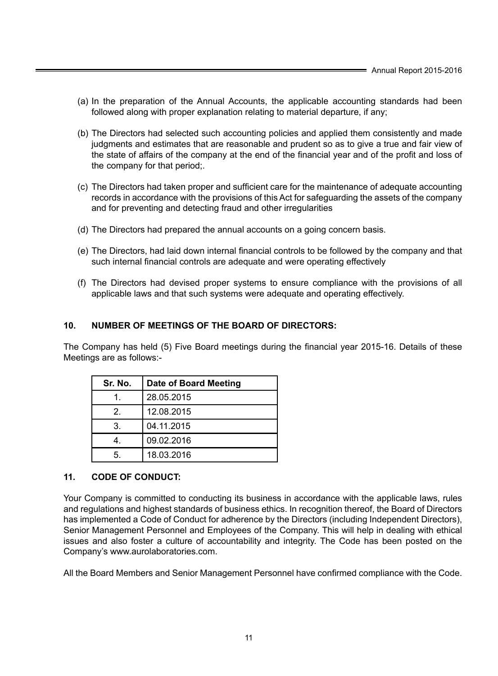- (a) In the preparation of the Annual Accounts, the applicable accounting standards had been followed along with proper explanation relating to material departure, if any;
- (b) The Directors had selected such accounting policies and applied them consistently and made judgments and estimates that are reasonable and prudent so as to give a true and fair view of the state of affairs of the company at the end of the financial year and of the profit and loss of the company for that period;.
- (c) The Directors had taken proper and sufficient care for the maintenance of adequate accounting records in accordance with the provisions of this Act for safeguarding the assets of the company and for preventing and detecting fraud and other irregularities
- (d) The Directors had prepared the annual accounts on a going concern basis.
- (e) The Directors, had laid down internal financial controls to be followed by the company and that such internal financial controls are adequate and were operating effectively
- (f) The Directors had devised proper systems to ensure compliance with the provisions of all applicable laws and that such systems were adequate and operating effectively.

## **10. NUMBER OF MEETINGS OF THE BOARD OF DIRECTORS:**

The Company has held (5) Five Board meetings during the financial year 2015-16. Details of these Meetings are as follows:-

| Sr. No. | Date of Board Meeting |
|---------|-----------------------|
|         | 28.05.2015            |
| 2       | 12.08.2015            |
| 3.      | 04.11.2015            |
|         | 09.02.2016            |
|         | 18.03.2016            |

## **11. CODE OF CONDUCT:**

 Your Company is committed to conducting its business in accordance with the applicable laws, rules and regulations and highest standards of business ethics. In recognition thereof, the Board of Directors has implemented a Code of Conduct for adherence by the Directors (including Independent Directors), Senior Management Personnel and Employees of the Company. This will help in dealing with ethical issues and also foster a culture of accountability and integrity. The Code has been posted on the Company's www.aurolaboratories.com.

All the Board Members and Senior Management Personnel have confirmed compliance with the Code.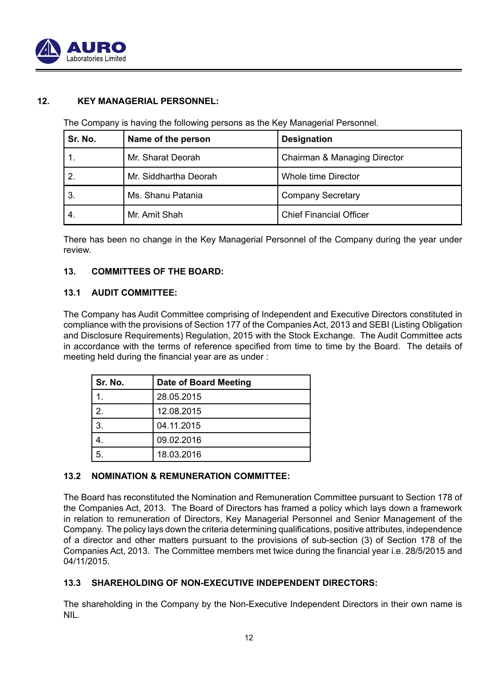

## **12. KEY MANAGERIAL PERSONNEL:**

The Company is having the following persons as the Key Managerial Personnel.

| Sr. No. | Name of the person    | <b>Designation</b>             |
|---------|-----------------------|--------------------------------|
|         | Mr. Sharat Deorah     | Chairman & Managing Director   |
|         | Mr. Siddhartha Deorah | Whole time Director            |
| 3.      | Ms. Shanu Patania     | <b>Company Secretary</b>       |
| 4.      | Mr. Amit Shah         | <b>Chief Financial Officer</b> |

 There has been no change in the Key Managerial Personnel of the Company during the year under review.

## **13. COMMITTEES OF THE BOARD:**

## **13.1 AUDIT COMMITTEE:**

 The Company has Audit Committee comprising of Independent and Executive Directors constituted in compliance with the provisions of Section 177 of the Companies Act, 2013 and SEBI (Listing Obligation and Disclosure Requirements) Regulation, 2015 with the Stock Exchange. The Audit Committee acts in accordance with the terms of reference specified from time to time by the Board. The details of meeting held during the financial year are as under :

| l Sr. No.      | Date of Board Meeting |
|----------------|-----------------------|
|                | 28.05.2015            |
| $\overline{2}$ | 12.08.2015            |
| 3.             | 04.11.2015            |
|                | 09.02.2016            |
| 5              | 18.03.2016            |

## **13.2 NOMINATION & REMUNERATION COMMITTEE:**

 The Board has reconstituted the Nomination and Remuneration Committee pursuant to Section 178 of the Companies Act, 2013. The Board of Directors has framed a policy which lays down a framework in relation to remuneration of Directors, Key Managerial Personnel and Senior Management of the Company. The policy lays down the criteria determining qualifications, positive attributes, independence of a director and other matters pursuant to the provisions of sub-section (3) of Section 178 of the Companies Act, 2013. The Committee members met twice during the financial year i.e. 28/5/2015 and 04/11/2015.

## **13.3 SHAREHOLDING OF NON-EXECUTIVE INDEPENDENT DIRECTORS:**

 The shareholding in the Company by the Non-Executive Independent Directors in their own name is NIL.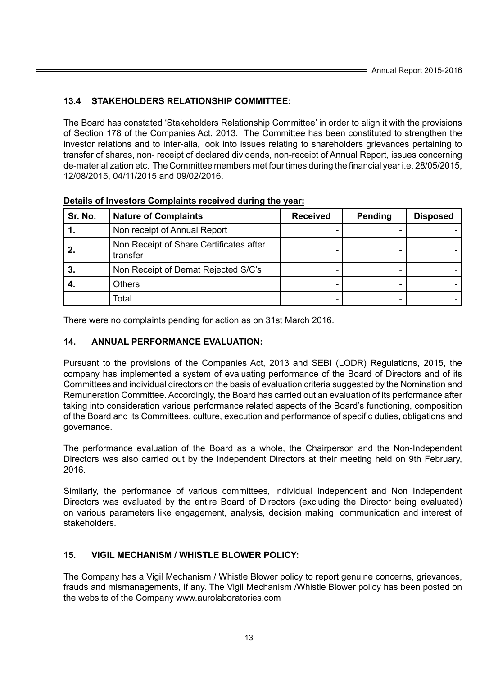## **13.4 STAKEHOLDERS RELATIONSHIP COMMITTEE:**

 The Board has constated 'Stakeholders Relationship Committee' in order to align it with the provisions of Section 178 of the Companies Act, 2013. The Committee has been constituted to strengthen the investor relations and to inter-alia, look into issues relating to shareholders grievances pertaining to transfer of shares, non- receipt of declared dividends, non-receipt of Annual Report, issues concerning de-materialization etc. The Committee members met four times during the financial year i.e. 28/05/2015, 12/08/2015, 04/11/2015 and 09/02/2016.

| Sr. No. | <b>Nature of Complaints</b>                         | <b>Received</b> | Pending | <b>Disposed</b> |
|---------|-----------------------------------------------------|-----------------|---------|-----------------|
|         | Non receipt of Annual Report                        |                 |         |                 |
|         | Non Receipt of Share Certificates after<br>transfer |                 |         |                 |
| З.      | Non Receipt of Demat Rejected S/C's                 |                 |         |                 |
|         | Others                                              |                 |         |                 |
|         | Total                                               |                 |         |                 |

**Details of Investors Complaints received during the year:**

There were no complaints pending for action as on 31st March 2016.

## **14. ANNUAL PERFORMANCE EVALUATION:**

 Pursuant to the provisions of the Companies Act, 2013 and SEBI (LODR) Regulations, 2015, the company has implemented a system of evaluating performance of the Board of Directors and of its Committees and individual directors on the basis of evaluation criteria suggested by the Nomination and Remuneration Committee. Accordingly, the Board has carried out an evaluation of its performance after taking into consideration various performance related aspects of the Board's functioning, composition of the Board and its Committees, culture, execution and performance of specific duties, obligations and governance.

 The performance evaluation of the Board as a whole, the Chairperson and the Non-Independent Directors was also carried out by the Independent Directors at their meeting held on 9th February, 2016.

 Similarly, the performance of various committees, individual Independent and Non Independent Directors was evaluated by the entire Board of Directors (excluding the Director being evaluated) on various parameters like engagement, analysis, decision making, communication and interest of stakeholders.

## **15. VIGIL MECHANISM / WHISTLE BLOWER POLICY:**

 The Company has a Vigil Mechanism / Whistle Blower policy to report genuine concerns, grievances, frauds and mismanagements, if any. The Vigil Mechanism /Whistle Blower policy has been posted on the website of the Company www.aurolaboratories.com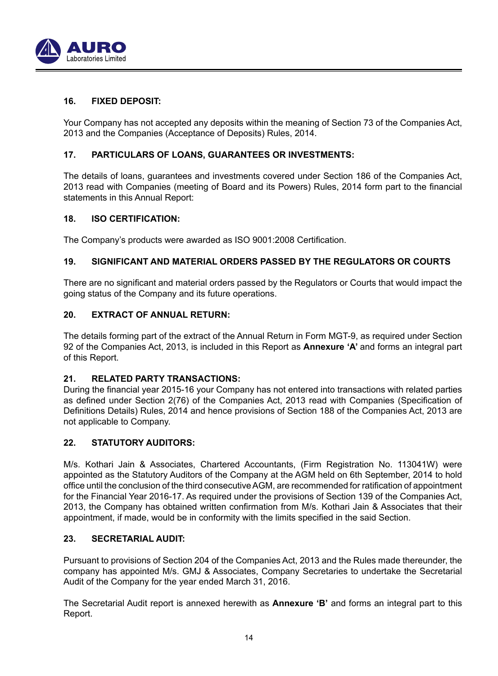

## **16. FIXED DEPOSIT:**

 Your Company has not accepted any deposits within the meaning of Section 73 of the Companies Act, 2013 and the Companies (Acceptance of Deposits) Rules, 2014.

## **17. PARTICULARS OF LOANS, GUARANTEES OR INVESTMENTS:**

 The details of loans, guarantees and investments covered under Section 186 of the Companies Act, 2013 read with Companies (meeting of Board and its Powers) Rules, 2014 form part to the financial statements in this Annual Report:

## **18. ISO CERTIFICATION:**

The Company's products were awarded as ISO 9001:2008 Certification.

## **19. SIGNIFICANT AND MATERIAL ORDERS PASSED BY THE REGULATORS OR COURTS**

There are no significant and material orders passed by the Regulators or Courts that would impact the going status of the Company and its future operations.

## **20. EXTRACT OF ANNUAL RETURN:**

 The details forming part of the extract of the Annual Return in Form MGT-9, as required under Section 92 of the Companies Act, 2013, is included in this Report as **Annexure 'A'** and forms an integral part of this Report.

## **21. RELATED PARTY TRANSACTIONS:**

During the financial year 2015-16 your Company has not entered into transactions with related parties as defined under Section 2(76) of the Companies Act, 2013 read with Companies (Specification of Definitions Details) Rules, 2014 and hence provisions of Section 188 of the Companies Act, 2013 are not applicable to Company.

## **22. STATUTORY AUDITORS:**

 M/s. Kothari Jain & Associates, Chartered Accountants, (Firm Registration No. 113041W) were appointed as the Statutory Auditors of the Company at the AGM held on 6th September, 2014 to hold office until the conclusion of the third consecutive AGM, are recommended for ratification of appointment for the Financial Year 2016-17. As required under the provisions of Section 139 of the Companies Act, 2013, the Company has obtained written confirmation from M/s. Kothari Jain & Associates that their appointment, if made, would be in conformity with the limits specified in the said Section.

## **23. SECRETARIAL AUDIT:**

 Pursuant to provisions of Section 204 of the Companies Act, 2013 and the Rules made thereunder, the company has appointed M/s. GMJ & Associates, Company Secretaries to undertake the Secretarial Audit of the Company for the year ended March 31, 2016.

 The Secretarial Audit report is annexed herewith as **Annexure 'B'** and forms an integral part to this Report.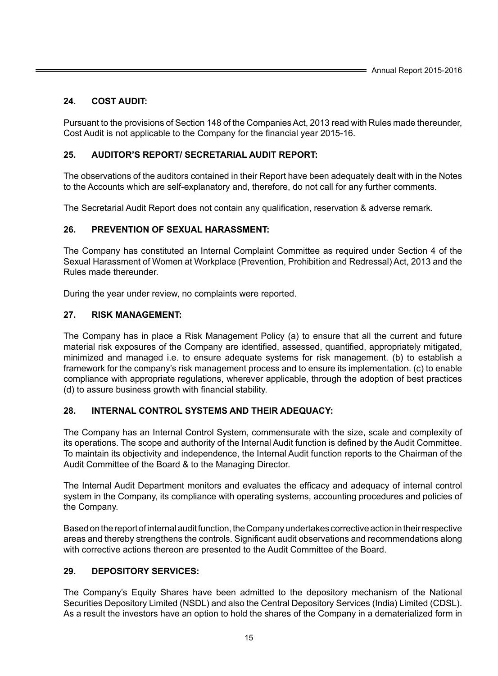## **24. COST AUDIT:**

 Pursuant to the provisions of Section 148 of the Companies Act, 2013 read with Rules made thereunder, Cost Audit is not applicable to the Company for the financial year 2015-16.

## **25. AUDITOR'S REPORT/ SECRETARIAL AUDIT REPORT:**

 The observations of the auditors contained in their Report have been adequately dealt with in the Notes to the Accounts which are self-explanatory and, therefore, do not call for any further comments.

The Secretarial Audit Report does not contain any qualification, reservation & adverse remark.

## **26. PREVENTION OF SEXUAL HARASSMENT:**

 The Company has constituted an Internal Complaint Committee as required under Section 4 of the Sexual Harassment of Women at Workplace (Prevention, Prohibition and Redressal) Act, 2013 and the Rules made thereunder.

During the year under review, no complaints were reported.

## **27. RISK MANAGEMENT:**

 The Company has in place a Risk Management Policy (a) to ensure that all the current and future material risk exposures of the Company are identified, assessed, quantified, appropriately mitigated, minimized and managed i.e. to ensure adequate systems for risk management. (b) to establish a framework for the company's risk management process and to ensure its implementation. (c) to enable compliance with appropriate regulations, wherever applicable, through the adoption of best practices (d) to assure business growth with financial stability.

## **28. INTERNAL CONTROL SYSTEMS AND THEIR ADEQUACY:**

 The Company has an Internal Control System, commensurate with the size, scale and complexity of its operations. The scope and authority of the Internal Audit function is defined by the Audit Committee. To maintain its objectivity and independence, the Internal Audit function reports to the Chairman of the Audit Committee of the Board & to the Managing Director.

The Internal Audit Department monitors and evaluates the efficacy and adequacy of internal control system in the Company, its compliance with operating systems, accounting procedures and policies of the Company.

 Based on the report of internal audit function, the Company undertakes corrective action in their respective areas and thereby strengthens the controls. Significant audit observations and recommendations along with corrective actions thereon are presented to the Audit Committee of the Board.

## **29. DEPOSITORY SERVICES:**

 The Company's Equity Shares have been admitted to the depository mechanism of the National Securities Depository Limited (NSDL) and also the Central Depository Services (India) Limited (CDSL). As a result the investors have an option to hold the shares of the Company in a dematerialized form in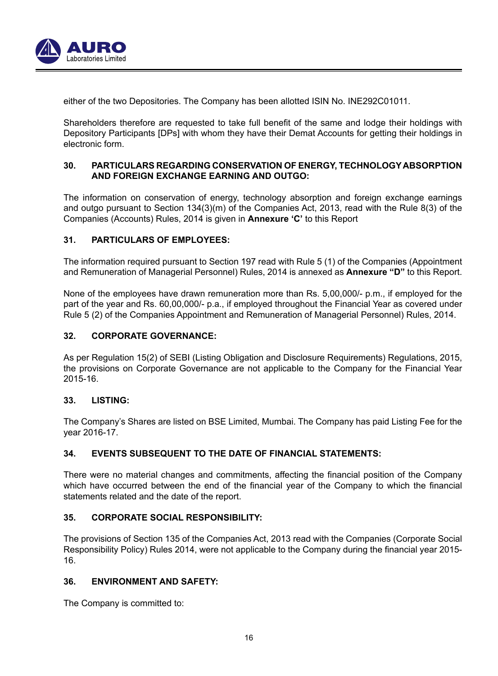

either of the two Depositories. The Company has been allotted ISIN No. INE292C01011.

Shareholders therefore are requested to take full benefit of the same and lodge their holdings with Depository Participants [DPs] with whom they have their Demat Accounts for getting their holdings in electronic form.

## **30. PARTICULARS REGARDING CONSERVATION OF ENERGY, TECHNOLOGY ABSORPTION AND FOREIGN EXCHANGE EARNING AND OUTGO:**

 The information on conservation of energy, technology absorption and foreign exchange earnings and outgo pursuant to Section 134(3)(m) of the Companies Act, 2013, read with the Rule 8(3) of the Companies (Accounts) Rules, 2014 is given in **Annexure 'C'** to this Report

## **31. PARTICULARS OF EMPLOYEES:**

 The information required pursuant to Section 197 read with Rule 5 (1) of the Companies (Appointment and Remuneration of Managerial Personnel) Rules, 2014 is annexed as **Annexure "D"** to this Report.

 None of the employees have drawn remuneration more than Rs. 5,00,000/- p.m., if employed for the part of the year and Rs. 60,00,000/- p.a., if employed throughout the Financial Year as covered under Rule 5 (2) of the Companies Appointment and Remuneration of Managerial Personnel) Rules, 2014.

## **32. CORPORATE GOVERNANCE:**

 As per Regulation 15(2) of SEBI (Listing Obligation and Disclosure Requirements) Regulations, 2015, the provisions on Corporate Governance are not applicable to the Company for the Financial Year 2015-16.

## **33. LISTING:**

 The Company's Shares are listed on BSE Limited, Mumbai. The Company has paid Listing Fee for the year 2016-17.

## **34. EVENTS SUBSEQUENT TO THE DATE OF FINANCIAL STATEMENTS:**

There were no material changes and commitments, affecting the financial position of the Company which have occurred between the end of the financial year of the Company to which the financial statements related and the date of the report.

## **35. CORPORATE SOCIAL RESPONSIBILITY:**

 The provisions of Section 135 of the Companies Act, 2013 read with the Companies (Corporate Social Responsibility Policy) Rules 2014, were not applicable to the Company during the financial year 2015- 16.

## **36. ENVIRONMENT AND SAFETY:**

The Company is committed to: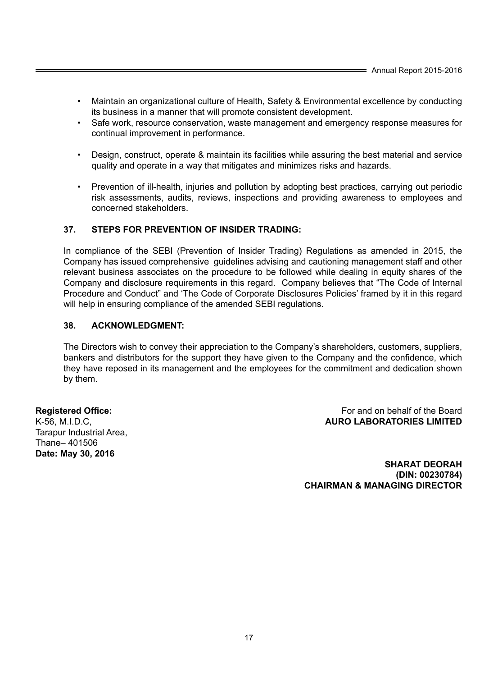- Maintain an organizational culture of Health, Safety & Environmental excellence by conducting its business in a manner that will promote consistent development.
- Safe work, resource conservation, waste management and emergency response measures for continual improvement in performance.
- Design, construct, operate & maintain its facilities while assuring the best material and service quality and operate in a way that mitigates and minimizes risks and hazards.
- Prevention of ill-health, injuries and pollution by adopting best practices, carrying out periodic risk assessments, audits, reviews, inspections and providing awareness to employees and concerned stakeholders.

## **37. STEPS FOR PREVENTION OF INSIDER TRADING:**

 In compliance of the SEBI (Prevention of Insider Trading) Regulations as amended in 2015, the Company has issued comprehensive guidelines advising and cautioning management staff and other relevant business associates on the procedure to be followed while dealing in equity shares of the Company and disclosure requirements in this regard. Company believes that "The Code of Internal Procedure and Conduct" and 'The Code of Corporate Disclosures Policies' framed by it in this regard will help in ensuring compliance of the amended SEBI regulations.

## **38. ACKNOWLEDGMENT:**

 The Directors wish to convey their appreciation to the Company's shareholders, customers, suppliers, bankers and distributors for the support they have given to the Company and the confidence, which they have reposed in its management and the employees for the commitment and dedication shown by them.

Tarapur Industrial Area, Thane– 401506 **Date: May 30, 2016**

**Registered Office: For and on behalf of the Board For and on behalf of the Board** K-56, M.I.D.C, **AURO LABORATORIES LIMITED**

> **SHARAT DEORAH (DIN: 00230784) CHAIRMAN & MANAGING DIRECTOR**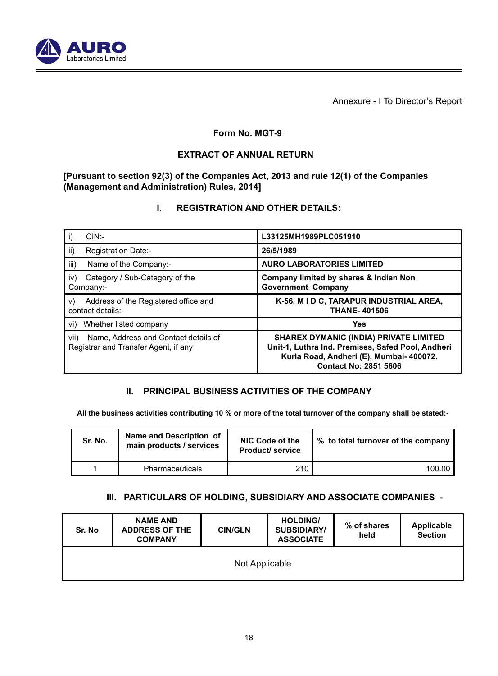

Annexure - I To Director's Report

## **Form No. MGT-9**

## **EXTRACT OF ANNUAL RETURN**

 **[Pursuant to section 92(3) of the Companies Act, 2013 and rule 12(1) of the Companies (Management and Administration) Rules, 2014]**

## **I. REGISTRATION AND OTHER DETAILS:**

| $CIN$ :-                                                                             | L33125MH1989PLC051910                                                                                                                                                          |
|--------------------------------------------------------------------------------------|--------------------------------------------------------------------------------------------------------------------------------------------------------------------------------|
| ii)<br>Registration Date:-                                                           | 26/5/1989                                                                                                                                                                      |
| iii)<br>Name of the Company:-                                                        | <b>AURO LABORATORIES LIMITED</b>                                                                                                                                               |
| Category / Sub-Category of the<br>iv)<br>Company:-                                   | Company limited by shares & Indian Non<br><b>Government Company</b>                                                                                                            |
| Address of the Registered office and<br>v)<br>contact details:-                      | K-56, M I D C, TARAPUR INDUSTRIAL AREA,<br><b>THANE-401506</b>                                                                                                                 |
| vi) Whether listed company                                                           | Yes                                                                                                                                                                            |
| Name, Address and Contact details of<br>vii)<br>Registrar and Transfer Agent, if any | <b>SHAREX DYMANIC (INDIA) PRIVATE LIMITED</b><br>Unit-1, Luthra Ind. Premises, Safed Pool, Andheri<br>Kurla Road, Andheri (E), Mumbai- 400072.<br><b>Contact No: 2851 5606</b> |

## **II. PRINCIPAL BUSINESS ACTIVITIES OF THE COMPANY**

 **All the business activities contributing 10 % or more of the total turnover of the company shall be stated:-**

| Sr. No. | Name and Description of<br>main products / services | NIC Code of the<br><b>Product/service</b> | % to total turnover of the company |
|---------|-----------------------------------------------------|-------------------------------------------|------------------------------------|
|         | Pharmaceuticals                                     | 210                                       | 100.00                             |

## **III. PARTICULARS OF HOLDING, SUBSIDIARY AND ASSOCIATE COMPANIES -**

| Sr. No | <b>NAME AND</b><br><b>ADDRESS OF THE</b><br><b>COMPANY</b> | <b>CIN/GLN</b> | <b>HOLDING/</b><br><b>SUBSIDIARY/</b><br><b>ASSOCIATE</b> | % of shares<br>held | Applicable<br><b>Section</b> |
|--------|------------------------------------------------------------|----------------|-----------------------------------------------------------|---------------------|------------------------------|
|        |                                                            | Not Applicable |                                                           |                     |                              |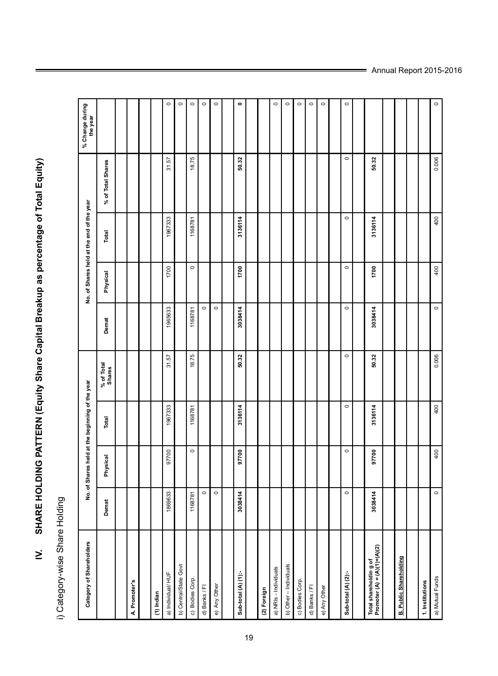i) Category-wise Share Holding i) Category-wise Share Holding

 $\geq$ 

**IV. SHARE HOLDING PATTERN (Equity Share Capital Breakup as percentage of Total Equity)**

SHARE HOLDING PATTERN (Equity Share Capital Breakup as percentage of Total Equity)

| Category of Shareholders                               |         |          | No. of Shares held at the beginning of the year |                      |         |          | No. of Shares held at the end of the year |                   | % Change during<br>the year |
|--------------------------------------------------------|---------|----------|-------------------------------------------------|----------------------|---------|----------|-------------------------------------------|-------------------|-----------------------------|
|                                                        | Demat   | Physical | Total                                           | % of Total<br>Shares | Demat   | Physical | Total                                     | % of Total Shares |                             |
|                                                        |         |          |                                                 |                      |         |          |                                           |                   |                             |
| A. Promoter's                                          |         |          |                                                 |                      |         |          |                                           |                   |                             |
|                                                        |         |          |                                                 |                      |         |          |                                           |                   |                             |
| (1) Indian                                             |         |          |                                                 |                      |         |          |                                           |                   |                             |
| a) Individual/HUF                                      | 1869633 | 97700    | 1967333                                         | 31.57                | 1965633 | 1700     | 1967333                                   | 31.57             | $\circ$                     |
| b) Central/State Govt                                  |         |          |                                                 |                      |         |          |                                           |                   | $\circ$                     |
| c) Bodies Corp.                                        | 1168781 | $\circ$  | 1168781                                         | 18.75                | 1168781 | $\circ$  | 1168781                                   | 18.75             | $\circ$                     |
| d) Banks / Fl                                          | $\circ$ |          |                                                 |                      | $\circ$ |          |                                           |                   | $\circ$                     |
| e) Any Other                                           | $\circ$ |          |                                                 |                      | $\circ$ |          |                                           |                   | $\circ$                     |
|                                                        |         |          |                                                 |                      |         |          |                                           |                   |                             |
| Sub-total (A) (1):-                                    | 3038414 | 97700    | 3136114                                         | 50.32                | 3038414 | 1700     | 3136114                                   | 50.32             | $\bullet$                   |
|                                                        |         |          |                                                 |                      |         |          |                                           |                   |                             |
| (2) Foreign                                            |         |          |                                                 |                      |         |          |                                           |                   |                             |
| a) NRIs - Individuals                                  |         |          |                                                 |                      |         |          |                                           |                   | $\circ$                     |
| b) Other - Individuals                                 |         |          |                                                 |                      |         |          |                                           |                   | $\circ$                     |
| c) Bodies Corp.                                        |         |          |                                                 |                      |         |          |                                           |                   | $\circ$                     |
| d) Banks / Fl                                          |         |          |                                                 |                      |         |          |                                           |                   | $\circ$                     |
| e) Any Other                                           |         |          |                                                 |                      |         |          |                                           |                   | $\circ$                     |
|                                                        |         |          |                                                 |                      |         |          |                                           |                   |                             |
| Sub-total (A) (2):-                                    | $\circ$ | $\circ$  | $\circ$                                         | $\circ$              | $\circ$ | $\circ$  | $\circ$                                   | $\circ$           | $\circ$                     |
|                                                        |         |          |                                                 |                      |         |          |                                           |                   |                             |
| Total shareholdin g of<br>Promoter $(A)=(A)(1)+(A)(2)$ | 3038414 | 97700    | 3136114                                         | 50.32                | 3038414 | 1700     | 3136114                                   | 50.32             |                             |
|                                                        |         |          |                                                 |                      |         |          |                                           |                   |                             |
| <b>B. Public Shareholding</b>                          |         |          |                                                 |                      |         |          |                                           |                   |                             |
|                                                        |         |          |                                                 |                      |         |          |                                           |                   |                             |
| 1. Institutions                                        |         |          |                                                 |                      |         |          |                                           |                   |                             |
| a) Mutual Funds                                        | $\circ$ | 400      | 400                                             | 0.006                | $\circ$ | 400      | 400                                       | 0.006             | $\circ$                     |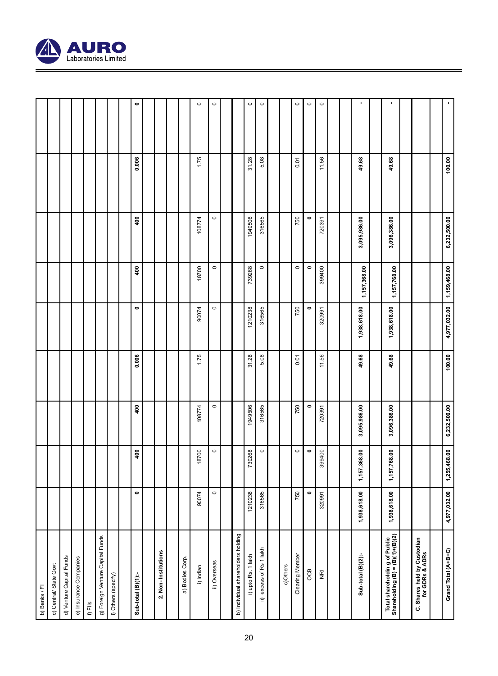

|                          |                        |  |           |  |           |              |                      |         |         |          |         |           |                         |  |              |              | $\bullet$<br>$\circ$<br>$\circ$<br>$\circ$<br>$\circ$<br>$\circ$<br>$\circ$<br>$\circ$ |                                                                                                                                                                                                                                                                                                                                                                   |
|--------------------------|------------------------|--|-----------|--|-----------|--------------|----------------------|---------|---------|----------|---------|-----------|-------------------------|--|--------------|--------------|----------------------------------------------------------------------------------------|-------------------------------------------------------------------------------------------------------------------------------------------------------------------------------------------------------------------------------------------------------------------------------------------------------------------------------------------------------------------|
|                          |                        |  | 0.006     |  | 1.75      |              |                      | 31.28   | 5.08    |          | 0.01    |           | 11.56                   |  | 49.68        | 49.68        |                                                                                        |                                                                                                                                                                                                                                                                                                                                                                   |
|                          |                        |  | 400       |  | 108774    | $\circ$      |                      | 1949506 | 316565  |          | 750     | $\bullet$ | 720391                  |  | 3,095,986.00 | 3,096,386.00 |                                                                                        |                                                                                                                                                                                                                                                                                                                                                                   |
|                          |                        |  | 400       |  | 18700     | $\circ$      |                      | 739268  | $\circ$ |          | $\circ$ | $\bullet$ | 399400                  |  | 1,157,368.00 | 1,157,768.00 |                                                                                        |                                                                                                                                                                                                                                                                                                                                                                   |
|                          |                        |  | $\bullet$ |  | 90074     | $\circ$      |                      | 1210238 | 316565  |          | 750     | ۰         | 320991                  |  | 1,938,618.00 | 1,938,618.00 |                                                                                        |                                                                                                                                                                                                                                                                                                                                                                   |
|                          |                        |  | 0.006     |  | 1.75      |              |                      | 31.28   | 5.08    |          | 0.01    |           | 11.56                   |  | 49.68        | 49.68        |                                                                                        |                                                                                                                                                                                                                                                                                                                                                                   |
|                          |                        |  | 400       |  | 108774    | $\circ$      |                      | 1949506 | 316565  |          | 750     | $\bullet$ | 720391                  |  | 3,095,986.00 | 3,096,386.00 |                                                                                        |                                                                                                                                                                                                                                                                                                                                                                   |
|                          |                        |  | 400       |  | 18700     | $\circ$      |                      | 739268  | $\circ$ |          | $\circ$ | ۰         | 399400                  |  | 1,157,368.00 | 1,157,768.00 |                                                                                        |                                                                                                                                                                                                                                                                                                                                                                   |
|                          |                        |  | $\bullet$ |  | 90074     | $\circ$      |                      | 1210238 | 316565  |          | 750     | $\bullet$ | 320991                  |  | 1,938,618.00 | 1,938,618.00 |                                                                                        |                                                                                                                                                                                                                                                                                                                                                                   |
| d) Venture Capital Funds | e) Insurance Companies |  |           |  | i) Indian | ii) Overseas | g<br>a) Bodies Corp. |         |         | c)Others |         | OCB       | $\overline{\mathbf{g}}$ |  |              |              |                                                                                        | Total shareholdin g of Public<br>Shareholding (B) = (B)(1)+(B)(2)<br>g) Foreign Venture Capital Funds<br>C. Shares held by Custodian<br>for GDRs & ADRs<br>b) Individual shareholders holdin<br>ii) excess of Rs 1 lakh<br>2. Non-Institutions<br><b>Clearing Member</b><br>Sub-total (B)(2):-<br>i) upto Rs. 1 lakh<br>i) Others (specify)<br>Sub-total (B)(1):- |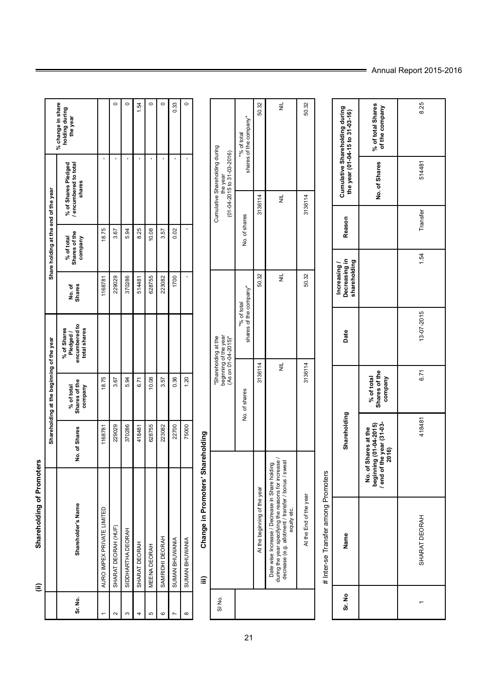Shareholding of Promoters **(ii) Shareholding of Promoters**  $\widehat{\Xi}$ 

|         |                                |               | Shareholding at the beginning of the year |                                                           |                        | Share holding at the end of the year   |                                                      |                                                 |
|---------|--------------------------------|---------------|-------------------------------------------|-----------------------------------------------------------|------------------------|----------------------------------------|------------------------------------------------------|-------------------------------------------------|
| Sr. No. | <b>nolder's Name</b><br>Sharel | No. of Shares | % of total<br>Shares of the<br>company    | % of Shares<br>Pledged /<br>encumbered to<br>total shares | No.of<br><b>Shares</b> | Shares of the<br>company<br>% of total | encumbered to total<br>shares<br>% of Shares Pledged | % change in share<br>holding during<br>the year |
|         | ATE LIMITED<br>AURO IMPEX PRIV | 1168781       | 18.75                                     |                                                           | 1168781                | 18.75                                  |                                                      |                                                 |
| ¢       | (НUF<br><b>SHARAT DEORAH</b>   | 229029        | 3.67                                      |                                                           | 229029                 | 3.67                                   |                                                      |                                                 |
| c       | <b>RAH</b><br>SIDDHARTHA DEO   | 370286        | 5.94                                      |                                                           | 370286                 | 5.94                                   |                                                      |                                                 |
|         | SHARAT DEORAH                  | 418481        | 6.71                                      |                                                           | 514481                 | 8.25                                   |                                                      | $-54$                                           |
| Б       | <b>MEENA DEORAH</b>            | 628755        | 10.08                                     |                                                           | 628755                 | 10.08                                  |                                                      |                                                 |
| ဖ       | SAMRIDHI DEORA                 | 223082        | 3.57                                      |                                                           | 223082                 | 3.57                                   |                                                      | O                                               |
|         | SUMAN BHUWANI                  | 22700         | 0.36                                      |                                                           | 1700                   | 0.02                                   |                                                      | 0.33                                            |
| œ       | SUMAN BHUWANI                  | 75000         | $\frac{20}{2}$                            |                                                           |                        |                                        |                                                      | $\circ$                                         |

## Change in Promoters' Shareholding **iii) Change in Promoters' Shareholding**  $\widehat{\mathbf{m}}$

| Cumulative Shareholding during<br>$(01 - 04 - 2015$ to 31-03-2016)<br>the year | shares of the company"<br>"% of total | 50.32                                      | $\equiv$                                                                                                                                                                      | 50.32                  |
|--------------------------------------------------------------------------------|---------------------------------------|--------------------------------------------|-------------------------------------------------------------------------------------------------------------------------------------------------------------------------------|------------------------|
|                                                                                | No. of shares                         | 3136114                                    | $\equiv$                                                                                                                                                                      | 3136114                |
|                                                                                | shares of the company"<br>"% of total | 50.32                                      | $\equiv$                                                                                                                                                                      | 50.32                  |
| "Shareholding at the<br>beginning of the year<br>(As on 01-04-2015)"           | No. of shares                         | 3136114                                    | $\equiv$                                                                                                                                                                      | 3136114                |
|                                                                                |                                       | the beginning of the year<br>$\frac{1}{4}$ | Date wise Increase / Decrease in Share holding<br>Juring the year specifying the reasons for increase /<br>decrease (e.g. allotment / transfer / bonus / sweat<br>equity etc. | At the End of the year |
| SIN <sub>O</sub>                                                               |                                       |                                            |                                                                                                                                                                               |                        |

## # Inter-se Transfer among Promoters # Inter-se Transfer among Promoters

| Sr. No | Name            | Shareholding                                                                         |                                        | Date       | Increasing /<br>Decreasing in<br>shareholding | Reason   |               | Cumulative Shareholding during<br>the year (01-04-15 to 31-03-16) |
|--------|-----------------|--------------------------------------------------------------------------------------|----------------------------------------|------------|-----------------------------------------------|----------|---------------|-------------------------------------------------------------------|
|        |                 | beginning (01-04-2015)<br>/ end of the year (31-03-<br>2016)<br>No. of Shares at the | Shares of the<br>% of total<br>company |            |                                               |          | No. of Shares | % of total Shares<br>of the company                               |
|        | DEORAH<br>HARAT | 418481                                                                               | 6.71                                   | 13-07-2015 | 1.54                                          | Transfer | 514481        | 8.25                                                              |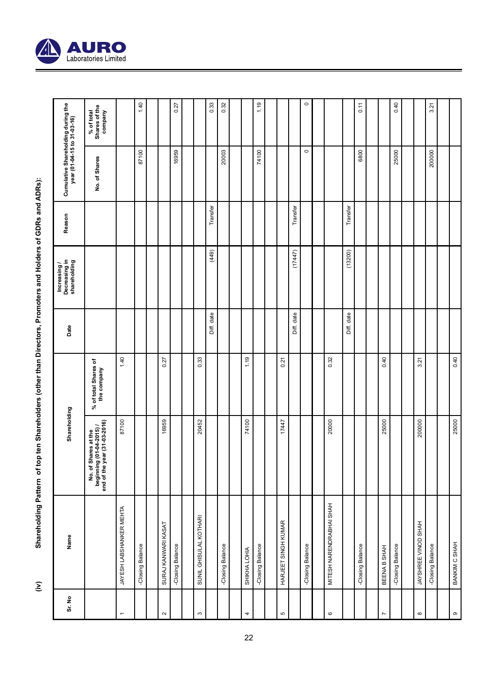

| Sr. No                   | Name                     | Shareholding                                                                     |                                     | Date       | Increasing /<br>Decreasing in<br>shareholding | Reason   | Cumulative Shareholding during the<br>year (01-04-15 to 31-03-16) |                                        |
|--------------------------|--------------------------|----------------------------------------------------------------------------------|-------------------------------------|------------|-----------------------------------------------|----------|-------------------------------------------------------------------|----------------------------------------|
|                          |                          | No. of Shares at the<br>beginning (01-04-2015) /<br>end of the year (31-03-2016) | % of total Shares of<br>the company |            |                                               |          | No. of Shares                                                     | % of total<br>Shares of the<br>company |
| $\overline{\phantom{0}}$ | JAYESH LABSHANKER MEHTA  | 87100                                                                            | 1.40                                |            |                                               |          |                                                                   |                                        |
|                          | -Closing Balance         |                                                                                  |                                     |            |                                               |          | 87100                                                             | 1.40                                   |
|                          |                          |                                                                                  |                                     |            |                                               |          |                                                                   |                                        |
| $\sim$                   | SURAJ KANWARI KASAT      | 16959                                                                            | 0.27                                |            |                                               |          |                                                                   |                                        |
|                          | -Closing Balance         |                                                                                  |                                     |            |                                               |          | 16959                                                             | 0.27                                   |
|                          |                          |                                                                                  |                                     |            |                                               |          |                                                                   |                                        |
| $\infty$                 | SUNIL GHISULAL KOTHARI   | 20452                                                                            | 0.33                                |            |                                               |          |                                                                   |                                        |
|                          |                          |                                                                                  |                                     | Diff. date | (449)                                         | Transfer |                                                                   | 0.33                                   |
|                          | -Closing Balance         |                                                                                  |                                     |            |                                               |          | 20003                                                             | 0.32                                   |
|                          |                          |                                                                                  |                                     |            |                                               |          |                                                                   |                                        |
| 4                        | <b>SHIKHA LOHIA</b>      | 74100                                                                            | 1.19                                |            |                                               |          |                                                                   |                                        |
|                          | -Closing Balance         |                                                                                  |                                     |            |                                               |          | 74100                                                             | 1.19                                   |
|                          |                          |                                                                                  |                                     |            |                                               |          |                                                                   |                                        |
| 5                        | HARJEET SINGH KUMAR      | 17447                                                                            | 0.21                                |            |                                               |          |                                                                   |                                        |
|                          |                          |                                                                                  |                                     | Diff. date | (17447)                                       | Transfer |                                                                   |                                        |
|                          | -Closing Balance         |                                                                                  |                                     |            |                                               |          | $\circ$                                                           | $\circ$                                |
|                          |                          |                                                                                  |                                     |            |                                               |          |                                                                   |                                        |
| $\circ$                  | MITESH NARENDRABHAI SHAH | 20000                                                                            | 0.32                                |            |                                               |          |                                                                   |                                        |
|                          |                          |                                                                                  |                                     | Diff. date | (13200)                                       | Transfer |                                                                   |                                        |
|                          | -Closing Balance         |                                                                                  |                                     |            |                                               |          | 6800                                                              | 0.11                                   |
|                          |                          |                                                                                  |                                     |            |                                               |          |                                                                   |                                        |
| Z                        | BEENAB SHAH              | 25000                                                                            | 0.40                                |            |                                               |          |                                                                   |                                        |
|                          | -Closing Balance         |                                                                                  |                                     |            |                                               |          | 25000                                                             | 0.40                                   |
|                          |                          |                                                                                  |                                     |            |                                               |          |                                                                   |                                        |
| $\infty$                 | JAYSHREE VINOD SHAH      | 200000                                                                           | 3.21                                |            |                                               |          |                                                                   |                                        |
|                          | -Closing Balance         |                                                                                  |                                     |            |                                               |          | 200000                                                            | 3.21                                   |
|                          |                          |                                                                                  |                                     |            |                                               |          |                                                                   |                                        |
| တ                        | BANKIM C SHAH            | 25000                                                                            | 0.40                                |            |                                               |          |                                                                   |                                        |

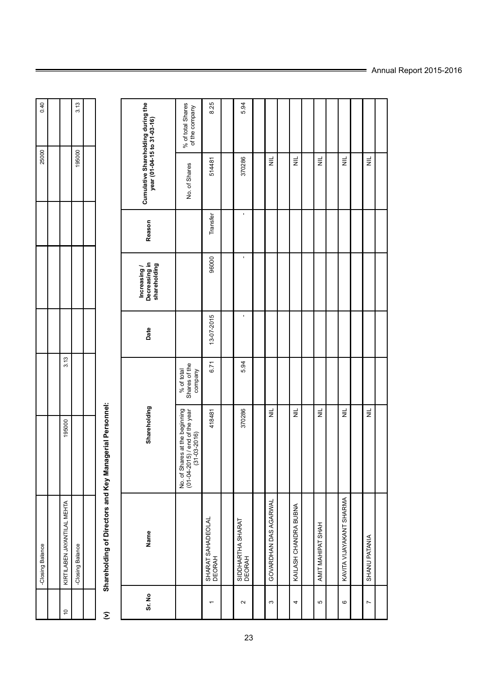| 0.40<br>3.13<br>25000<br>195000<br>3.13<br>195000<br>YANTILAL MEHTA<br>-Closing Balance<br>-Closing Balance<br>IRTILABEN JAY |  |  |  |  |           |
|------------------------------------------------------------------------------------------------------------------------------|--|--|--|--|-----------|
|                                                                                                                              |  |  |  |  |           |
|                                                                                                                              |  |  |  |  | $\approx$ |
|                                                                                                                              |  |  |  |  |           |
|                                                                                                                              |  |  |  |  |           |

# Shareholding of Directors and Key Managerial Personnel: **(v) Shareholding of Directors and Key Managerial Personnel:**  $\widehat{\boldsymbol{\Sigma}}$

|                                                                   | % of total Shares<br>of the company                                              | 8.25                        | 5.94                        |                          |                       |                       |                          |                |  |
|-------------------------------------------------------------------|----------------------------------------------------------------------------------|-----------------------------|-----------------------------|--------------------------|-----------------------|-----------------------|--------------------------|----------------|--|
| Cumulative Shareholding during the<br>year (01-04-15 to 31-03-16) | No. of Shares                                                                    | 514481                      | 370286                      | $\equiv$                 | $\equiv$              | $\equiv$              | $\equiv$                 | $\equiv$       |  |
| Reason                                                            |                                                                                  | Transfer                    |                             |                          |                       |                       |                          |                |  |
| Increasing /<br>Decreasing in<br>shareholding                     |                                                                                  | 96000                       |                             |                          |                       |                       |                          |                |  |
| Date                                                              |                                                                                  | $13 - 07 - 2015$            |                             |                          |                       |                       |                          |                |  |
|                                                                   | Shares of the<br>company<br>% of total                                           | 6.71                        | 5.94                        |                          |                       |                       |                          |                |  |
| Shareholding                                                      | No. of Shares at the beginning<br>(01-04-2015) / end of the year<br>(31-03-2016) | 418481                      | 370286                      | $\equiv$                 | $\equiv$              | $\equiv$              | $\equiv$                 | $\equiv$       |  |
| Name                                                              |                                                                                  | SHARAT SAHADEOLAL<br>DEORAH | SIDDHARTHA SHARAT<br>DEORAH | DAS AGARWAL<br>GOVARDHAN | KAILASH CHANDRA BUBNA | HAHS'<br>AMIT MAHIPAT | KAVITA VIJAYAKANT SHARMA | SHANU PATANIA  |  |
| Sr. No                                                            |                                                                                  |                             | $\sim$                      | $\infty$                 | 4                     | Ю                     | $\circ$                  | $\overline{ }$ |  |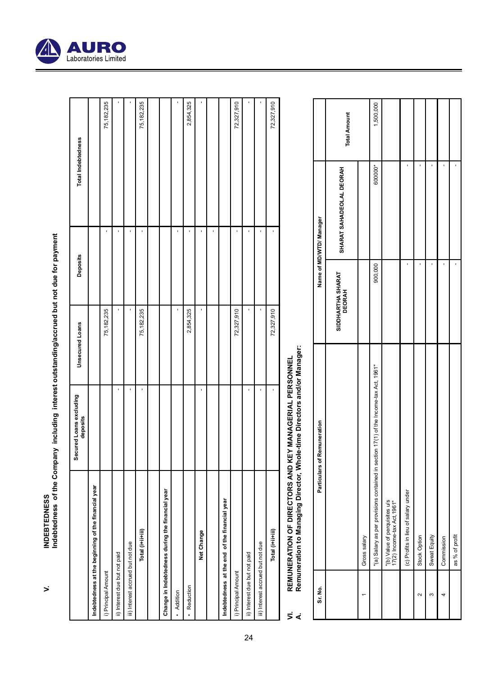

 $\geq$ 

INDEBTEDNESS<br>Indebtedness of the Company including interest outstanding/accrued but not due for payment **Indebtedness of the Company including interest outstanding/accrued but not due for payment**

|                                                         | Secured Loans excluding<br>deposits | <b>Unsecured Loans</b> | <b>Deposits</b> | Total Indebtedness |
|---------------------------------------------------------|-------------------------------------|------------------------|-----------------|--------------------|
| ng of the financial year<br>Indebtedness at the beginni |                                     |                        |                 |                    |
| i) Principal Amount                                     |                                     | 75,182,235             |                 | 75,182,235         |
| ii) Interest due but not paid                           |                                     | ï                      |                 |                    |
| iii) Interest accrued but not due                       |                                     |                        |                 |                    |
| Total (i+ii+iii)                                        |                                     | 75,182,235             |                 | 75,182,235         |
|                                                         |                                     |                        |                 |                    |
| ing the financial year<br>Change in Indebtedness dur    |                                     |                        |                 |                    |
| · Addition                                              |                                     | ı                      |                 |                    |
| · Reduction                                             |                                     | 2,854,325              |                 | 2,854,325          |
| Net Change                                              |                                     | ı                      |                 |                    |
|                                                         |                                     |                        |                 |                    |
| Indebtedness at the end of the financial year           |                                     |                        |                 |                    |
| i) Principal Amount                                     |                                     | 72,327,910             |                 | 72,327,910         |
| ii) Interest due but not paid                           |                                     | ı                      |                 |                    |
| iii) Interest accrued but not due                       |                                     | ï                      |                 |                    |
| Total (i+ii+iii)                                        |                                     | 72,327,910             |                 | 72,327,910         |
|                                                         |                                     |                        |                 |                    |

- REMUNERATION OF DIRECTORS AND KEY MANAGERIAL PERSONNEL<br>Remuneration to Managing Director, Whole-time Directors and/or Manager: **VI. REMUNERATION OF DIRECTORS AND KEY MANAGERIAL PERSONNEL**  $\vec{5}$  d
	- **A. Remuneration to Managing Director, Whole-time Directors and/or Manager:**

| Sr. No.              | Particulars of Remuneration                                                           |                             | Name of MD/WTD/ Manager  |                     |
|----------------------|---------------------------------------------------------------------------------------|-----------------------------|--------------------------|---------------------|
|                      |                                                                                       | SIDDHARTHA SHARAT<br>DEORAH | SHARAT SAHADEOLAL DEORAH | <b>Total Amount</b> |
|                      | Gross salary                                                                          |                             |                          |                     |
|                      | "(a) Salary as per provisions contained in section 17(1) of the Income-tax Act, 1961" | 900,000                     | 600000*                  | 1,500,000           |
|                      | "(b) Value of perquisites u/s<br>17(2) Income-tax Act, 1961"                          |                             |                          |                     |
|                      | (c) Profits in lieu of salary under                                                   |                             |                          |                     |
| $\mathbf{\tilde{c}}$ | ion<br>Stock Op                                                                       |                             |                          |                     |
| ∞                    | Sweat Equity                                                                          |                             |                          |                     |
|                      | Commission                                                                            |                             |                          |                     |
|                      | as % of profit                                                                        |                             |                          |                     |

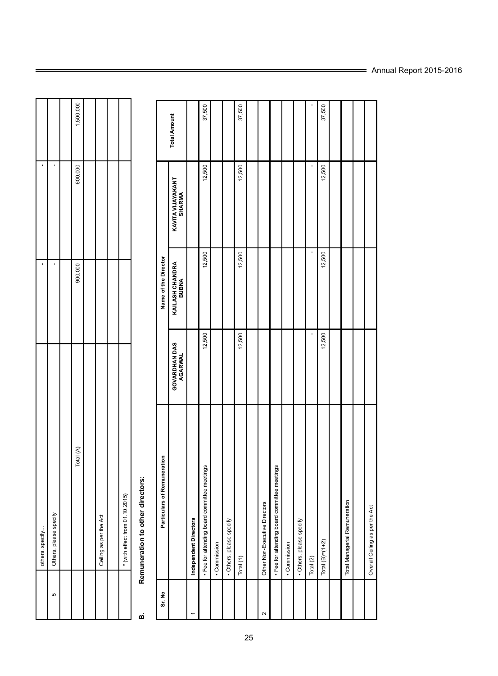|          | others, specify                 | 1       | 1       |           |
|----------|---------------------------------|---------|---------|-----------|
| <u>က</u> | Others, please specify          | 1       | 1       |           |
|          |                                 |         |         |           |
|          | Total (A)                       | 900,000 | 600,000 | 1,500,000 |
|          |                                 |         |         |           |
|          | Ceiling as per the Act          |         |         |           |
|          |                                 |         |         |           |
|          | * (with effect from 01.10.2015) |         |         |           |
|          |                                 |         |         |           |

T ┱ ┱

┱ ┱

## Remuneration to other directors: **B. Remuneration to other directors:** ø

| Sr. No            | Particulars of Remuneration                  |                          | Name of the Director            |                             |                     |
|-------------------|----------------------------------------------|--------------------------|---------------------------------|-----------------------------|---------------------|
|                   |                                              | GOVARDHAN DAS<br>AGARWAL | KAILASH CHANDRA<br><b>BUBNA</b> | KAVITA VIJAYAKANT<br>SHARMA | <b>Total Amount</b> |
|                   | Independent Directors                        |                          |                                 |                             |                     |
|                   | . Fee for attending board committee meetings | 12,500                   | 12,500                          | 12,500                      | 37,500              |
|                   | • Commission                                 |                          |                                 |                             |                     |
|                   | • Others, please specify                     |                          |                                 |                             |                     |
|                   | Total (1)                                    | 12,500                   | 12,500                          | 12,500                      | 37,500              |
|                   |                                              |                          |                                 |                             |                     |
| $\mathbf{\Omega}$ | Other Non-Executive Directors                |                          |                                 |                             |                     |
|                   | . Fee for attending board committee meetings |                          |                                 |                             |                     |
|                   | g<br>· Commissi                              |                          |                                 |                             |                     |
|                   | · Others, please specify                     |                          |                                 |                             |                     |
|                   | Total (2)                                    |                          |                                 |                             |                     |
|                   | $+2)$<br>Total $(B)=$ (1                     | 12,500                   | 12,500                          | 12,500                      | 37,500              |
|                   |                                              |                          |                                 |                             |                     |
|                   | Total Managerial Remuneration                |                          |                                 |                             |                     |
|                   |                                              |                          |                                 |                             |                     |
|                   | Overall Ceiling as per the Act               |                          |                                 |                             |                     |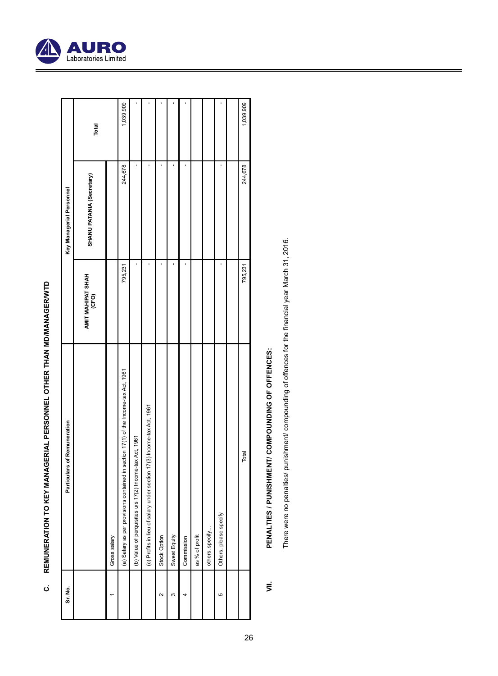| ı<br>I<br>֚֚֡ |
|---------------|
|               |
| l             |
| ۱<br>I        |
| ׇ֚<br>I       |
| I<br>l        |
| ׇ֚            |
| ׇ֘֝<br>ׇ֒     |
| ׇ֚֘֝          |
| l<br>l        |
| i<br>Í        |

| Sr. No. | Particulars of Remuneration                                                         |                            | Key Managerial Personnel  |           |
|---------|-------------------------------------------------------------------------------------|----------------------------|---------------------------|-----------|
|         |                                                                                     | AMIT MAHIPAT SHAH<br>(CFO) | SHANU PATANIA (Secretary) | Total     |
|         | Gross salar                                                                         |                            |                           |           |
|         | (a) Salary as per provisions contained in section 17(1) of the Income-tax Act, 1961 | 795,231                    | 244,678                   | 1,039,909 |
|         | perquisites u/s 17(2) Income-tax Act, 1961<br>(b) Value of                          |                            |                           |           |
|         | ilieu of salary under section 17(3) Income-tax Act, 1961<br>(c) Profits in          |                            |                           |           |
| $\sim$  | Stock Option                                                                        |                            |                           |           |
| c       | Sweat Equit                                                                         |                            |                           |           |
|         | Commission                                                                          |                            |                           |           |
|         | as % of profit                                                                      |                            |                           |           |
|         | others, specify                                                                     |                            |                           |           |
| မာ      | Others, please specify                                                              |                            |                           |           |
|         |                                                                                     |                            |                           |           |
|         | Total                                                                               | 795,231                    | 244,678                   | 1,039,909 |

# PENALTIES / PUNISHMENT/ COMPOUNDING OF OFFENCES: **VII. PENALTIES / PUNISHMENT/ COMPOUNDING OF OFFENCES:**

There were no penalties/ punishment/ compounding of offences for the financial year March 31, 2016. There were no penalties/ punishment/ compounding of offences for the financial year March 31, 2016.

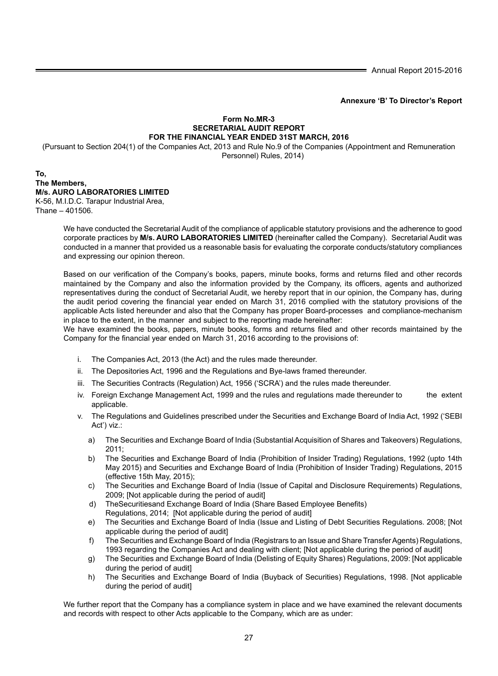Annual Report 2015-2016

**Annexure 'B' To Director's Report**

## **Form No.MR-3 SECRETARIAL AUDIT REPORT FOR THE FINANCIAL YEAR ENDED 31ST MARCH, 2016**

(Pursuant to Section 204(1) of the Companies Act, 2013 and Rule No.9 of the Companies (Appointment and Remuneration Personnel) Rules, 2014)

### **To, The Members, M/s. AURO LABORATORIES LIMITED** K-56, M.I.D.C. Tarapur Industrial Area, Thane – 401506.

We have conducted the Secretarial Audit of the compliance of applicable statutory provisions and the adherence to good corporate practices by **M/s. AURO LABORATORIES LIMITED** (hereinafter called the Company). Secretarial Audit was conducted in a manner that provided us a reasonable basis for evaluating the corporate conducts/statutory compliances and expressing our opinion thereon.

Based on our verification of the Company's books, papers, minute books, forms and returns filed and other records maintained by the Company and also the information provided by the Company, its officers, agents and authorized representatives during the conduct of Secretarial Audit, we hereby report that in our opinion, the Company has, during the audit period covering the financial year ended on March 31, 2016 complied with the statutory provisions of the applicable Acts listed hereunder and also that the Company has proper Board-processes and compliance-mechanism in place to the extent, in the manner and subject to the reporting made hereinafter:

 We have examined the books, papers, minute books, forms and returns filed and other records maintained by the Company for the financial year ended on March 31, 2016 according to the provisions of:

- i. The Companies Act, 2013 (the Act) and the rules made thereunder.
- ii. The Depositories Act, 1996 and the Regulations and Bye-laws framed thereunder.
- iii. The Securities Contracts (Regulation) Act, 1956 ('SCRA') and the rules made thereunder.
- iv. Foreign Exchange Management Act, 1999 and the rules and regulations made thereunder to the extent applicable.
- v. The Regulations and Guidelines prescribed under the Securities and Exchange Board of India Act, 1992 ('SEBI Act') viz.:
	- a) The Securities and Exchange Board of India (Substantial Acquisition of Shares and Takeovers) Regulations,  $2011$
	- b) The Securities and Exchange Board of India (Prohibition of Insider Trading) Regulations, 1992 (upto 14th May 2015) and Securities and Exchange Board of India (Prohibition of Insider Trading) Regulations, 2015 (effective 15th May, 2015);
	- c) The Securities and Exchange Board of India (Issue of Capital and Disclosure Requirements) Regulations, 2009; [Not applicable during the period of audit]
	- d) TheSecuritiesand Exchange Board of India (Share Based Employee Benefits) Regulations, 2014; [Not applicable during the period of audit]
	- e) The Securities and Exchange Board of India (Issue and Listing of Debt Securities Regulations. 2008; [Not applicable during the period of audit]
	- f) The Securities and Exchange Board of India (Registrars to an Issue and Share Transfer Agents) Regulations, 1993 regarding the Companies Act and dealing with client; [Not applicable during the period of audit]
	- g) The Securities and Exchange Board of India (Delisting of Equity Shares) Regulations, 2009: [Not applicable during the period of audit]
	- h) The Securities and Exchange Board of India (Buyback of Securities) Regulations, 1998. [Not applicable during the period of audit]

We further report that the Company has a compliance system in place and we have examined the relevant documents and records with respect to other Acts applicable to the Company, which are as under: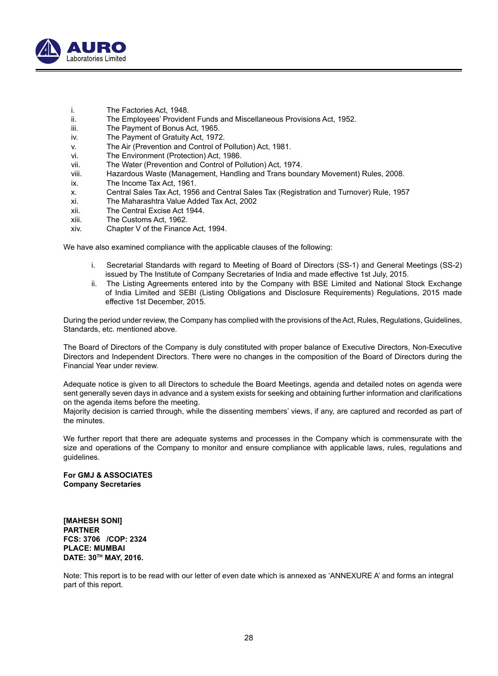

- i. The Factories Act, 1948.
- ii. The Employees' Provident Funds and Miscellaneous Provisions Act, 1952.
- iii. The Payment of Bonus Act, 1965.
- iv. The Payment of Gratuity Act, 1972.
- v. The Air (Prevention and Control of Pollution) Act, 1981.
- vi. The Environment (Protection) Act, 1986.
- vii. The Water (Prevention and Control of Pollution) Act, 1974.
- viii. Hazardous Waste (Management, Handling and Trans boundary Movement) Rules, 2008.
- ix. The Income Tax Act, 1961.
- x. Central Sales Tax Act, 1956 and Central Sales Tax (Registration and Turnover) Rule, 1957
- The Maharashtra Value Added Tax Act, 2002
- xii. The Central Excise Act 1944.<br>xiii. The Customs Act 1962
- The Customs Act, 1962.
- xiv. Chapter V of the Finance Act, 1994.

We have also examined compliance with the applicable clauses of the following:

- i. Secretarial Standards with regard to Meeting of Board of Directors (SS-1) and General Meetings (SS-2) issued by The Institute of Company Secretaries of India and made effective 1st July, 2015.
- ii. The Listing Agreements entered into by the Company with BSE Limited and National Stock Exchange of India Limited and SEBI (Listing Obligations and Disclosure Requirements) Regulations, 2015 made effective 1st December, 2015.

During the period under review, the Company has complied with the provisions of the Act, Rules, Regulations, Guidelines, Standards, etc. mentioned above.

The Board of Directors of the Company is duly constituted with proper balance of Executive Directors, Non-Executive Directors and Independent Directors. There were no changes in the composition of the Board of Directors during the Financial Year under review.

Adequate notice is given to all Directors to schedule the Board Meetings, agenda and detailed notes on agenda were sent generally seven days in advance and a system exists for seeking and obtaining further information and clarifications on the agenda items before the meeting.

Majority decision is carried through, while the dissenting members' views, if any, are captured and recorded as part of the minutes.

We further report that there are adequate systems and processes in the Company which is commensurate with the size and operations of the Company to monitor and ensure compliance with applicable laws, rules, regulations and guidelines.

**For GMJ & ASSOCIATES Company Secretaries**

**[MAHESH SONI] PARTNER FCS: 3706 /COP: 2324 PLACE: MUMBAI DATE: 30TH MAY, 2016.**

Note: This report is to be read with our letter of even date which is annexed as 'ANNEXURE A' and forms an integral part of this report.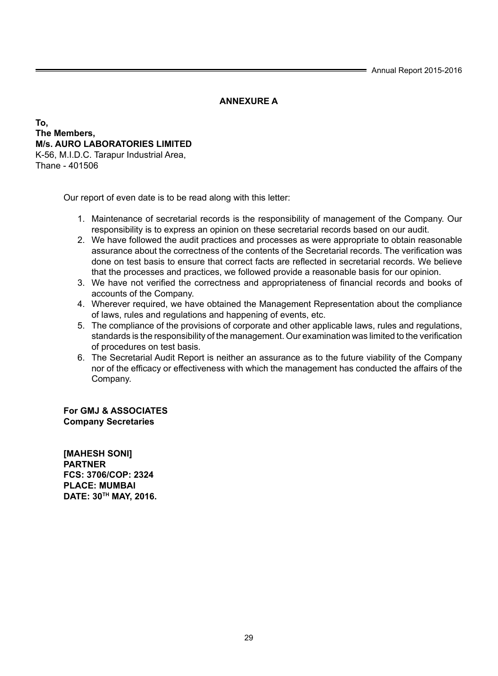Annual Report 2015-2016

## **ANNEXURE A**

## **To, The Members, M/s. AURO LABORATORIES LIMITED** K-56, M.I.D.C. Tarapur Industrial Area, Thane - 401506

Our report of even date is to be read along with this letter:

- 1. Maintenance of secretarial records is the responsibility of management of the Company. Our responsibility is to express an opinion on these secretarial records based on our audit.
- 2. We have followed the audit practices and processes as were appropriate to obtain reasonable assurance about the correctness of the contents of the Secretarial records. The verification was done on test basis to ensure that correct facts are reflected in secretarial records. We believe that the processes and practices, we followed provide a reasonable basis for our opinion.
- 3. We have not verified the correctness and appropriateness of financial records and books of accounts of the Company.
- 4. Wherever required, we have obtained the Management Representation about the compliance of laws, rules and regulations and happening of events, etc.
- 5. The compliance of the provisions of corporate and other applicable laws, rules and regulations, standards is the responsibility of the management. Our examination was limited to the verification of procedures on test basis.
- 6. The Secretarial Audit Report is neither an assurance as to the future viability of the Company nor of the efficacy or effectiveness with which the management has conducted the affairs of the Company.

**For GMJ & ASSOCIATES Company Secretaries**

**[MAHESH SONI] PARTNER FCS: 3706/COP: 2324 PLACE: MUMBAI DATE: 30TH MAY, 2016.**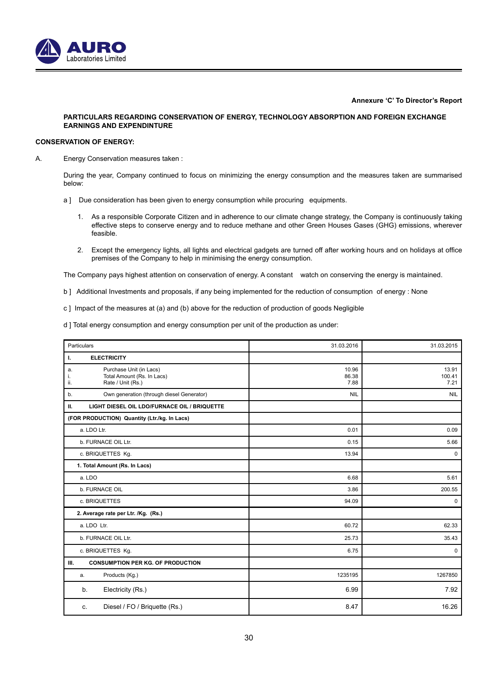

**Annexure 'C' To Director's Report**

### **PARTICULARS REGARDING CONSERVATION OF ENERGY, TECHNOLOGY ABSORPTION AND FOREIGN EXCHANGE EARNINGS AND EXPENDINTURE**

## **CONSERVATION OF ENERGY:**

A. Energy Conservation measures taken :

During the year, Company continued to focus on minimizing the energy consumption and the measures taken are summarised below:

- a ] Due consideration has been given to energy consumption while procuring equipments.
	- 1. As a responsible Corporate Citizen and in adherence to our climate change strategy, the Company is continuously taking effective steps to conserve energy and to reduce methane and other Green Houses Gases (GHG) emissions, wherever feasible.
	- 2. Except the emergency lights, all lights and electrical gadgets are turned off after working hours and on holidays at office premises of the Company to help in minimising the energy consumption.

The Company pays highest attention on conservation of energy. A constant watch on conserving the energy is maintained.

- b ] Additional Investments and proposals, if any being implemented for the reduction of consumption of energy : None
- c ] Impact of the measures at (a) and (b) above for the reduction of production of goods Negligible

d ] Total energy consumption and energy consumption per unit of the production as under:

| Particulars                                                                                   | 31.03.2016             | 31.03.2015              |
|-----------------------------------------------------------------------------------------------|------------------------|-------------------------|
| <b>ELECTRICITY</b><br>ı.                                                                      |                        |                         |
| Purchase Unit (in Lacs)<br>a.<br>Total Amount (Rs. In Lacs)<br>i.<br>ii.<br>Rate / Unit (Rs.) | 10.96<br>86.38<br>7.88 | 13.91<br>100.41<br>7.21 |
| Own generation (through diesel Generator)<br>b.                                               | <b>NIL</b>             | <b>NIL</b>              |
| LIGHT DIESEL OIL LDO/FURNACE OIL / BRIQUETTE<br>Ш.                                            |                        |                         |
| (FOR PRODUCTION) Quantity (Ltr./kg. In Lacs)                                                  |                        |                         |
| a. LDO Ltr.                                                                                   | 0.01                   | 0.09                    |
| b. FURNACE OIL Ltr.                                                                           | 0.15                   | 5.66                    |
| c. BRIQUETTES Kg.                                                                             | 13.94                  | $\mathbf 0$             |
| 1. Total Amount (Rs. In Lacs)                                                                 |                        |                         |
| a. LDO                                                                                        | 6.68                   | 5.61                    |
| b. FURNACE OIL                                                                                | 3.86                   | 200.55                  |
| c. BRIQUETTES                                                                                 | 94.09                  | 0                       |
| 2. Average rate per Ltr. /Kg. (Rs.)                                                           |                        |                         |
| a. LDO Ltr.                                                                                   | 60.72                  | 62.33                   |
| b. FURNACE OIL Ltr.                                                                           | 25.73                  | 35.43                   |
| c. BRIQUETTES Kg.                                                                             | 6.75                   | $\mathbf 0$             |
| <b>CONSUMPTION PER KG. OF PRODUCTION</b><br>Ш.                                                |                        |                         |
| Products (Kg.)<br>a.                                                                          | 1235195                | 1267850                 |
| Electricity (Rs.)<br>b.                                                                       | 6.99                   | 7.92                    |
| Diesel / FO / Briquette (Rs.)<br>c.                                                           | 8.47                   | 16.26                   |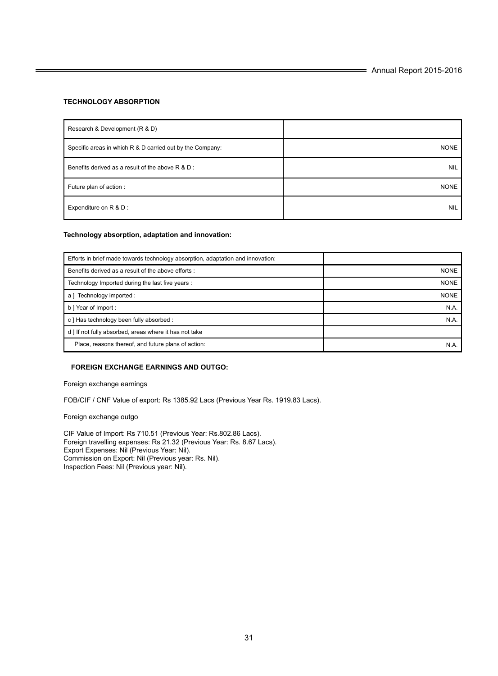## **TECHNOLOGY ABSORPTION**

| Research & Development (R & D)                            |             |
|-----------------------------------------------------------|-------------|
| Specific areas in which R & D carried out by the Company: | <b>NONE</b> |
| Benefits derived as a result of the above R & D :         | <b>NIL</b>  |
| Future plan of action :                                   | <b>NONE</b> |
| Expenditure on R & D :                                    | <b>NIL</b>  |

## **Technology absorption, adaptation and innovation:**

| Efforts in brief made towards technology absorption, adaptation and innovation: |             |
|---------------------------------------------------------------------------------|-------------|
| Benefits derived as a result of the above efforts :                             | <b>NONE</b> |
| Technology Imported during the last five years :                                | <b>NONE</b> |
| Technology imported :<br>a l                                                    | <b>NONE</b> |
| b   Year of Import :                                                            | N.A.        |
| c ] Has technology been fully absorbed :                                        | N.A         |
| d ] If not fully absorbed, areas where it has not take                          |             |
| Place, reasons thereof, and future plans of action:                             | N.A.        |

### **FOREIGN EXCHANGE EARNINGS AND OUTGO:**

Foreign exchange earnings

FOB/CIF / CNF Value of export: Rs 1385.92 Lacs (Previous Year Rs. 1919.83 Lacs).

Foreign exchange outgo

CIF Value of Import: Rs 710.51 (Previous Year: Rs.802.86 Lacs). Foreign travelling expenses: Rs 21.32 (Previous Year: Rs. 8.67 Lacs). Export Expenses: Nil (Previous Year: Nil). Commission on Export: Nil (Previous year: Rs. Nil). Inspection Fees: Nil (Previous year: Nil).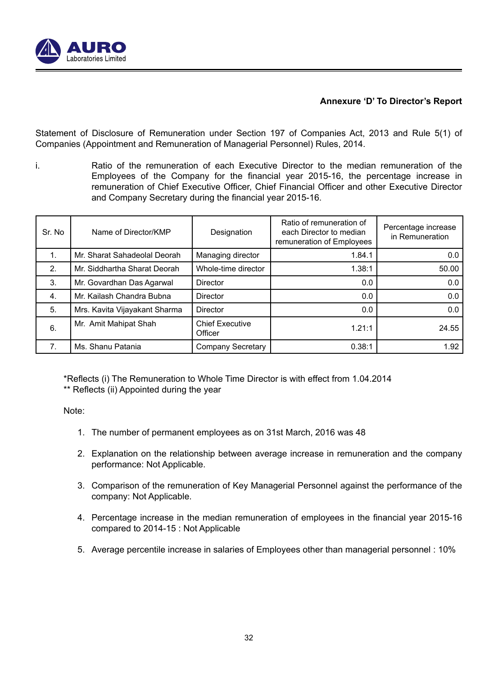

## **Annexure 'D' To Director's Report**

Statement of Disclosure of Remuneration under Section 197 of Companies Act, 2013 and Rule 5(1) of Companies (Appointment and Remuneration of Managerial Personnel) Rules, 2014.

i. Ratio of the remuneration of each Executive Director to the median remuneration of the Employees of the Company for the financial year 2015-16, the percentage increase in remuneration of Chief Executive Officer, Chief Financial Officer and other Executive Director and Company Secretary during the financial year 2015-16.

| Sr. No.          | Name of Director/KMP          | Designation                       | Ratio of remuneration of<br>each Director to median<br>remuneration of Employees | Percentage increase<br>in Remuneration |
|------------------|-------------------------------|-----------------------------------|----------------------------------------------------------------------------------|----------------------------------------|
| $\mathbf{1}$ .   | Mr. Sharat Sahadeolal Deorah  | Managing director                 | 1.84.1                                                                           | 0.0                                    |
| 2.               | Mr. Siddhartha Sharat Deorah  | Whole-time director               | 1.38:1                                                                           | 50.00                                  |
| 3.               | Mr. Govardhan Das Agarwal     | Director                          | 0.0                                                                              | 0.0                                    |
| $\overline{4}$ . | Mr. Kailash Chandra Bubna     | Director                          | 0.0                                                                              | 0.0                                    |
| 5.               | Mrs. Kavita Vijayakant Sharma | Director                          | 0.0                                                                              | 0.0                                    |
| 6.               | Mr. Amit Mahipat Shah         | <b>Chief Executive</b><br>Officer | 121.1                                                                            | 24.55                                  |
| $\mathbf{7}$ .   | Ms. Shanu Patania             | <b>Company Secretary</b>          | 0.38:1                                                                           | 1.92                                   |

\*Reflects (i) The Remuneration to Whole Time Director is with effect from 1.04.2014 \*\* Reflects (ii) Appointed during the year

Note:

- 1. The number of permanent employees as on 31st March, 2016 was 48
- 2. Explanation on the relationship between average increase in remuneration and the company performance: Not Applicable.
- 3. Comparison of the remuneration of Key Managerial Personnel against the performance of the company: Not Applicable.
- 4. Percentage increase in the median remuneration of employees in the financial year 2015-16 compared to 2014-15 : Not Applicable
- 5. Average percentile increase in salaries of Employees other than managerial personnel : 10%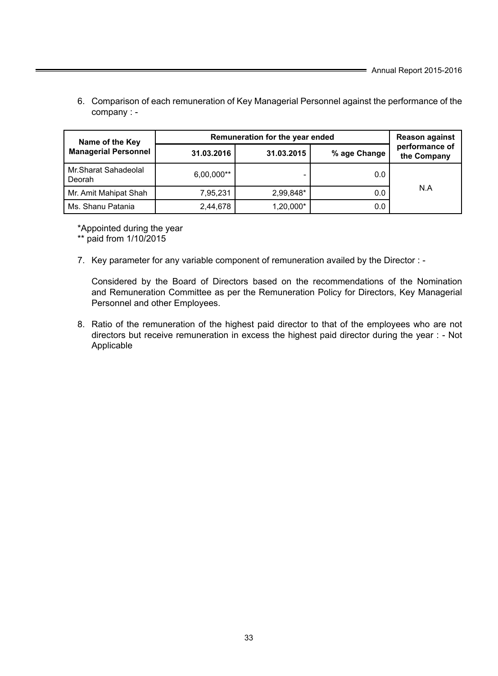6. Comparison of each remuneration of Key Managerial Personnel against the performance of the company : -

| Name of the Key                | Remuneration for the year ended | <b>Reason against</b> |              |                               |
|--------------------------------|---------------------------------|-----------------------|--------------|-------------------------------|
| <b>Managerial Personnel</b>    | 31.03.2016                      | 31.03.2015            | % age Change | performance of<br>the Company |
| Mr.Sharat Sahadeolal<br>Deorah | 6,00,000**                      |                       | 0.0          |                               |
| Mr. Amit Mahipat Shah          | 7.95.231                        | 2.99.848*<br>0.0      |              | N.A                           |
| Ms. Shanu Patania              | 2,44,678                        | 1,20,000*             | 0.0          |                               |

\*Appointed during the year

\*\* paid from 1/10/2015

7. Key parameter for any variable component of remuneration availed by the Director : -

 Considered by the Board of Directors based on the recommendations of the Nomination and Remuneration Committee as per the Remuneration Policy for Directors, Key Managerial Personnel and other Employees.

 8. Ratio of the remuneration of the highest paid director to that of the employees who are not directors but receive remuneration in excess the highest paid director during the year : - Not Applicable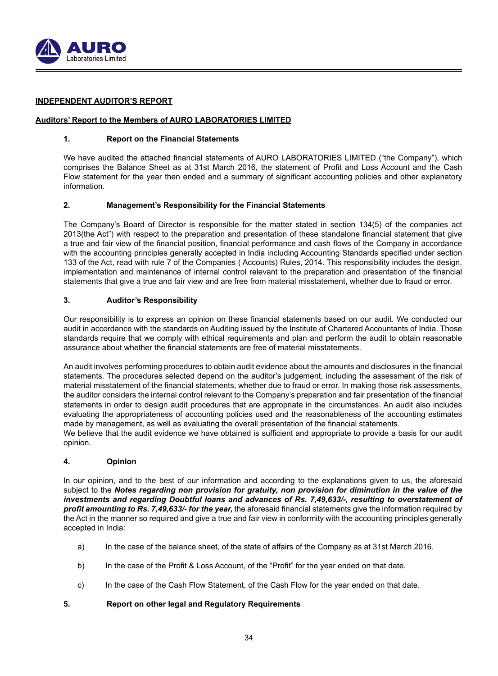

## **INDEPENDENT AUDITOR'S REPORT**

## **Auditors' Report to the Members of AURO LABORATORIES LIMITED**

## **1. Report on the Financial Statements**

We have audited the attached financial statements of AURO LABORATORIES LIMITED ("the Company"), which comprises the Balance Sheet as at 31st March 2016, the statement of Profit and Loss Account and the Cash Flow statement for the year then ended and a summary of significant accounting policies and other explanatory information.

## **2. Management's Responsibility for the Financial Statements**

The Company's Board of Director is responsible for the matter stated in section 134(5) of the companies act 2013(the Act") with respect to the preparation and presentation of these standalone financial statement that give a true and fair view of the financial position, financial performance and cash flows of the Company in accordance with the accounting principles generally accepted in India including Accounting Standards specified under section 133 of the Act, read with rule 7 of the Companies ( Accounts) Rules, 2014. This responsibility includes the design, implementation and maintenance of internal control relevant to the preparation and presentation of the financial statements that give a true and fair view and are free from material misstatement, whether due to fraud or error.

## **3. Auditor's Responsibility**

Our responsibility is to express an opinion on these financial statements based on our audit. We conducted our audit in accordance with the standards on Auditing issued by the Institute of Chartered Accountants of India. Those standards require that we comply with ethical requirements and plan and perform the audit to obtain reasonable assurance about whether the financial statements are free of material misstatements.

An audit involves performing procedures to obtain audit evidence about the amounts and disclosures in the financial statements. The procedures selected depend on the auditor's judgement, including the assessment of the risk of material misstatement of the financial statements, whether due to fraud or error. In making those risk assessments, the auditor considers the internal control relevant to the Company's preparation and fair presentation of the financial statements in order to design audit procedures that are appropriate in the circumstances. An audit also includes evaluating the appropriateness of accounting policies used and the reasonableness of the accounting estimates made by management, as well as evaluating the overall presentation of the financial statements. We believe that the audit evidence we have obtained is sufficient and appropriate to provide a basis for our audit

opinion.

## **4. Opinion**

In our opinion, and to the best of our information and according to the explanations given to us, the aforesaid subject to the *Notes regarding non provision for gratuity, non provision for diminution in the value of the investments and regarding Doubtful loans and advances of Rs. 7,49,633/-, resulting to overstatement of profit amounting to Rs. 7,49,633/- for the year,* the aforesaid financial statements give the information required by the Act in the manner so required and give a true and fair view in conformity with the accounting principles generally accepted in India:

- a) In the case of the balance sheet, of the state of affairs of the Company as at 31st March 2016.
- b) In the case of the Profit & Loss Account, of the "Profit" for the year ended on that date.
- c) In the case of the Cash Flow Statement, of the Cash Flow for the year ended on that date.

## **5. Report on other legal and Regulatory Requirements**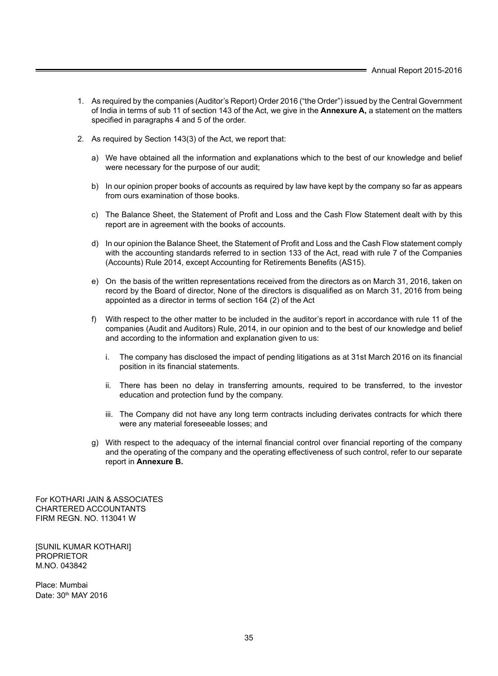- 1. As required by the companies (Auditor's Report) Order 2016 ("the Order") issued by the Central Government of India in terms of sub 11 of section 143 of the Act, we give in the **Annexure A,** a statement on the matters specified in paragraphs 4 and 5 of the order.
- 2. As required by Section 143(3) of the Act, we report that:
	- a) We have obtained all the information and explanations which to the best of our knowledge and belief were necessary for the purpose of our audit;
	- b) In our opinion proper books of accounts as required by law have kept by the company so far as appears from ours examination of those books.
	- c) The Balance Sheet, the Statement of Profit and Loss and the Cash Flow Statement dealt with by this report are in agreement with the books of accounts.
	- d) In our opinion the Balance Sheet, the Statement of Profit and Loss and the Cash Flow statement comply with the accounting standards referred to in section 133 of the Act, read with rule 7 of the Companies (Accounts) Rule 2014, except Accounting for Retirements Benefits (AS15).
	- e) On the basis of the written representations received from the directors as on March 31, 2016, taken on record by the Board of director, None of the directors is disqualified as on March 31, 2016 from being appointed as a director in terms of section 164 (2) of the Act
	- f) With respect to the other matter to be included in the auditor's report in accordance with rule 11 of the companies (Audit and Auditors) Rule, 2014, in our opinion and to the best of our knowledge and belief and according to the information and explanation given to us:
		- i. The company has disclosed the impact of pending litigations as at 31st March 2016 on its financial position in its financial statements.
		- ii. There has been no delay in transferring amounts, required to be transferred, to the investor education and protection fund by the company.
		- iii. The Company did not have any long term contracts including derivates contracts for which there were any material foreseeable losses; and
	- g) With respect to the adequacy of the internal financial control over financial reporting of the company and the operating of the company and the operating effectiveness of such control, refer to our separate report in **Annexure B.**

For KOTHARI JAIN & ASSOCIATES CHARTERED ACCOUNTANTS FIRM REGN. NO. 113041 W

[SUNIL KUMAR KOTHARI] **PROPRIETOR** M.NO. 043842

Place: Mumbai Date: 30<sup>th</sup> MAY 2016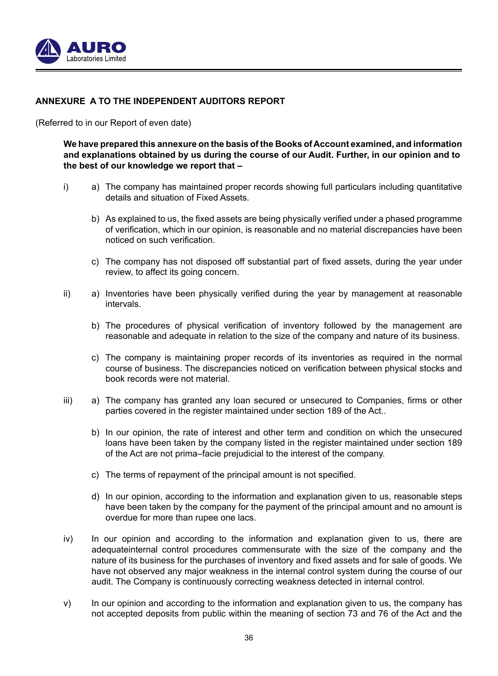

## **ANNEXURE A TO THE INDEPENDENT AUDITORS REPORT**

(Referred to in our Report of even date)

**We have prepared this annexure on the basis of the Books of Account examined, and information and explanations obtained by us during the course of our Audit. Further, in our opinion and to the best of our knowledge we report that –**

- i) a) The company has maintained proper records showing full particulars including quantitative details and situation of Fixed Assets.
	- b) As explained to us, the fixed assets are being physically verified under a phased programme of verification, which in our opinion, is reasonable and no material discrepancies have been noticed on such verification.
	- c) The company has not disposed off substantial part of fixed assets, during the year under review, to affect its going concern.
- ii) a) Inventories have been physically verified during the year by management at reasonable intervals.
	- b) The procedures of physical verification of inventory followed by the management are reasonable and adequate in relation to the size of the company and nature of its business.
	- c) The company is maintaining proper records of its inventories as required in the normal course of business. The discrepancies noticed on verification between physical stocks and book records were not material.
- iii) a) The company has granted any loan secured or unsecured to Companies, firms or other parties covered in the register maintained under section 189 of the Act..
	- b) In our opinion, the rate of interest and other term and condition on which the unsecured loans have been taken by the company listed in the register maintained under section 189 of the Act are not prima–facie prejudicial to the interest of the company.
	- c) The terms of repayment of the principal amount is not specified.
	- d) In our opinion, according to the information and explanation given to us, reasonable steps have been taken by the company for the payment of the principal amount and no amount is overdue for more than rupee one lacs.
- iv) In our opinion and according to the information and explanation given to us, there are adequateinternal control procedures commensurate with the size of the company and the nature of its business for the purchases of inventory and fixed assets and for sale of goods. We have not observed any major weakness in the internal control system during the course of our audit. The Company is continuously correcting weakness detected in internal control.
- v) In our opinion and according to the information and explanation given to us, the company has not accepted deposits from public within the meaning of section 73 and 76 of the Act and the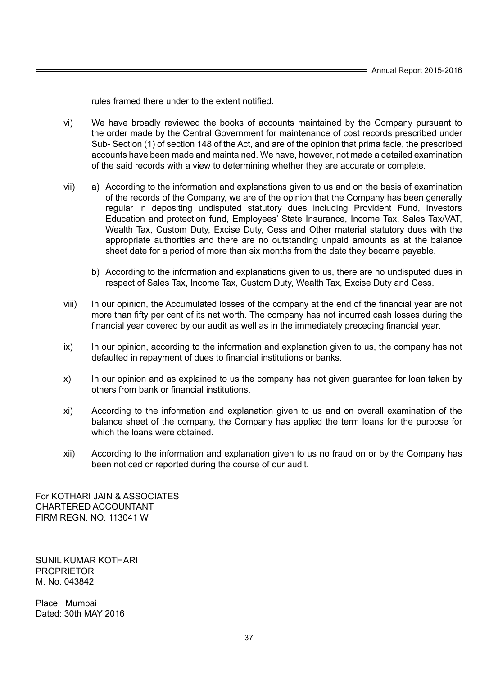rules framed there under to the extent notified.

- vi) We have broadly reviewed the books of accounts maintained by the Company pursuant to the order made by the Central Government for maintenance of cost records prescribed under Sub- Section (1) of section 148 of the Act, and are of the opinion that prima facie, the prescribed accounts have been made and maintained. We have, however, not made a detailed examination of the said records with a view to determining whether they are accurate or complete.
- vii) a) According to the information and explanations given to us and on the basis of examination of the records of the Company, we are of the opinion that the Company has been generally regular in depositing undisputed statutory dues including Provident Fund, Investors Education and protection fund, Employees' State Insurance, Income Tax, Sales Tax/VAT, Wealth Tax, Custom Duty, Excise Duty, Cess and Other material statutory dues with the appropriate authorities and there are no outstanding unpaid amounts as at the balance sheet date for a period of more than six months from the date they became payable.
	- b) According to the information and explanations given to us, there are no undisputed dues in respect of Sales Tax, Income Tax, Custom Duty, Wealth Tax, Excise Duty and Cess.
- viii) In our opinion, the Accumulated losses of the company at the end of the financial year are not more than fifty per cent of its net worth. The company has not incurred cash losses during the financial year covered by our audit as well as in the immediately preceding financial year.
- ix) In our opinion, according to the information and explanation given to us, the company has not defaulted in repayment of dues to financial institutions or banks.
- x) In our opinion and as explained to us the company has not given guarantee for loan taken by others from bank or financial institutions.
- xi) According to the information and explanation given to us and on overall examination of the balance sheet of the company, the Company has applied the term loans for the purpose for which the loans were obtained.
- xii) According to the information and explanation given to us no fraud on or by the Company has been noticed or reported during the course of our audit.

For KOTHARI JAIN & ASSOCIATES CHARTERED ACCOUNTANT FIRM REGN. NO. 113041 W

SUNIL KUMAR KOTHARI PROPRIETOR M. No. 043842

Place: Mumbai Dated: 30th MAY 2016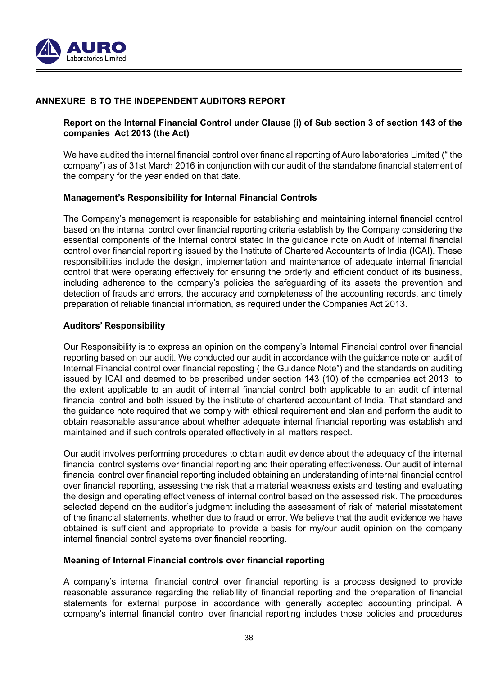

## **ANNEXURE B TO THE INDEPENDENT AUDITORS REPORT**

## **Report on the Internal Financial Control under Clause (i) of Sub section 3 of section 143 of the companies Act 2013 (the Act)**

We have audited the internal financial control over financial reporting of Auro laboratories Limited (" the company") as of 31st March 2016 in conjunction with our audit of the standalone financial statement of the company for the year ended on that date.

## **Management's Responsibility for Internal Financial Controls**

The Company's management is responsible for establishing and maintaining internal financial control based on the internal control over financial reporting criteria establish by the Company considering the essential components of the internal control stated in the guidance note on Audit of Internal financial control over financial reporting issued by the Institute of Chartered Accountants of India (ICAI). These responsibilities include the design, implementation and maintenance of adequate internal financial control that were operating effectively for ensuring the orderly and efficient conduct of its business, including adherence to the company's policies the safeguarding of its assets the prevention and detection of frauds and errors, the accuracy and completeness of the accounting records, and timely preparation of reliable financial information, as required under the Companies Act 2013.

## **Auditors' Responsibility**

Our Responsibility is to express an opinion on the company's Internal Financial control over financial reporting based on our audit. We conducted our audit in accordance with the guidance note on audit of Internal Financial control over financial reposting ( the Guidance Note") and the standards on auditing issued by ICAI and deemed to be prescribed under section 143 (10) of the companies act 2013 to the extent applicable to an audit of internal financial control both applicable to an audit of internal financial control and both issued by the institute of chartered accountant of India. That standard and the guidance note required that we comply with ethical requirement and plan and perform the audit to obtain reasonable assurance about whether adequate internal financial reporting was establish and maintained and if such controls operated effectively in all matters respect.

Our audit involves performing procedures to obtain audit evidence about the adequacy of the internal financial control systems over financial reporting and their operating effectiveness. Our audit of internal financial control over financial reporting included obtaining an understanding of internal financial control over financial reporting, assessing the risk that a material weakness exists and testing and evaluating the design and operating effectiveness of internal control based on the assessed risk. The procedures selected depend on the auditor's judgment including the assessment of risk of material misstatement of the financial statements, whether due to fraud or error. We believe that the audit evidence we have obtained is sufficient and appropriate to provide a basis for my/our audit opinion on the company internal financial control systems over financial reporting.

## **Meaning of Internal Financial controls over financial reporting**

A company's internal financial control over financial reporting is a process designed to provide reasonable assurance regarding the reliability of financial reporting and the preparation of financial statements for external purpose in accordance with generally accepted accounting principal. A company's internal financial control over financial reporting includes those policies and procedures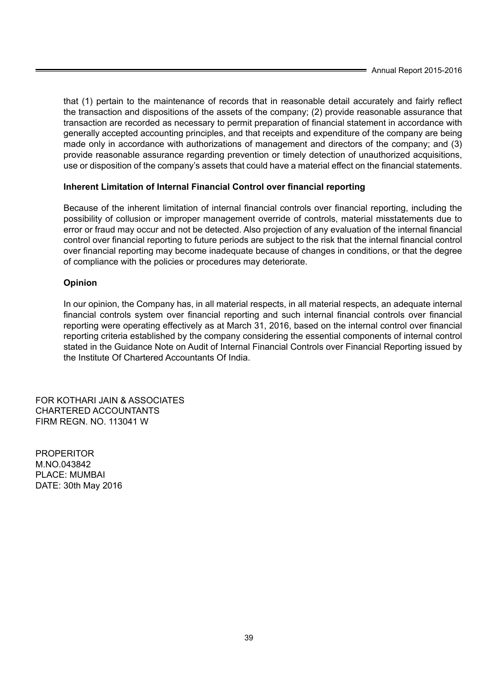that (1) pertain to the maintenance of records that in reasonable detail accurately and fairly reflect the transaction and dispositions of the assets of the company; (2) provide reasonable assurance that transaction are recorded as necessary to permit preparation of financial statement in accordance with generally accepted accounting principles, and that receipts and expenditure of the company are being made only in accordance with authorizations of management and directors of the company; and (3) provide reasonable assurance regarding prevention or timely detection of unauthorized acquisitions, use or disposition of the company's assets that could have a material effect on the financial statements.

## **Inherent Limitation of Internal Financial Control over financial reporting**

Because of the inherent limitation of internal financial controls over financial reporting, including the possibility of collusion or improper management override of controls, material misstatements due to error or fraud may occur and not be detected. Also projection of any evaluation of the internal financial control over financial reporting to future periods are subject to the risk that the internal financial control over financial reporting may become inadequate because of changes in conditions, or that the degree of compliance with the policies or procedures may deteriorate.

## **Opinion**

In our opinion, the Company has, in all material respects, in all material respects, an adequate internal financial controls system over financial reporting and such internal financial controls over financial reporting were operating effectively as at March 31, 2016, based on the internal control over financial reporting criteria established by the company considering the essential components of internal control stated in the Guidance Note on Audit of Internal Financial Controls over Financial Reporting issued by the Institute Of Chartered Accountants Of India.

FOR KOTHARI JAIN & ASSOCIATES CHARTERED ACCOUNTANTS FIRM REGN. NO. 113041 W

PROPERITOR M.NO.043842 PLACE: MUMBAI DATE: 30th May 2016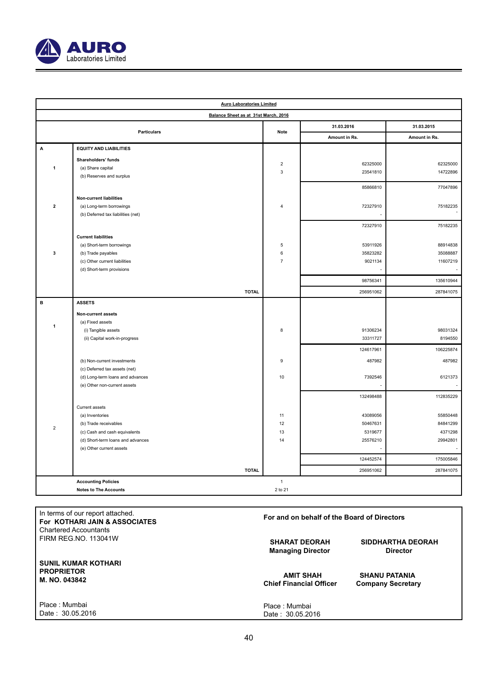

| <b>Auro Laboratories Limited</b>     |                                    |                                 |                      |                      |  |
|--------------------------------------|------------------------------------|---------------------------------|----------------------|----------------------|--|
| Balance Sheet as at 31st March, 2016 |                                    |                                 |                      |                      |  |
|                                      | <b>Particulars</b>                 |                                 | 31.03.2016           | 31.03.2015           |  |
|                                      |                                    | <b>Note</b>                     | Amount in Rs.        | Amount in Rs.        |  |
| A                                    | <b>EQUITY AND LIABILITIES</b>      |                                 |                      |                      |  |
|                                      | Shareholders' funds                |                                 |                      |                      |  |
| 1                                    | (a) Share capital                  | $\boldsymbol{2}$<br>$\mathsf 3$ | 62325000<br>23541810 | 62325000<br>14722896 |  |
|                                      | (b) Reserves and surplus           |                                 |                      |                      |  |
|                                      |                                    |                                 | 85866810             | 77047896             |  |
|                                      | <b>Non-current liabilities</b>     |                                 |                      |                      |  |
| $\mathbf 2$                          | (a) Long-term borrowings           | $\overline{4}$                  | 72327910             | 75182235             |  |
|                                      | (b) Deferred tax liabilities (net) |                                 |                      |                      |  |
|                                      |                                    |                                 | 72327910             | 75182235             |  |
|                                      | <b>Current liabilities</b>         |                                 |                      |                      |  |
|                                      | (a) Short-term borrowings          | 5                               | 53911926             | 88914838             |  |
| 3                                    | (b) Trade payables                 | 6                               | 35823282             | 35088887             |  |
|                                      | (c) Other current liabilities      | $\overline{7}$                  | 9021134              | 11607219             |  |
|                                      | (d) Short-term provisions          |                                 |                      |                      |  |
|                                      |                                    |                                 | 98756341             | 135610944            |  |
|                                      |                                    |                                 |                      |                      |  |
|                                      | <b>TOTAL</b>                       |                                 | 256951062            | 287841075            |  |
| в                                    | <b>ASSETS</b>                      |                                 |                      |                      |  |
|                                      | Non-current assets                 |                                 |                      |                      |  |
| 1                                    | (a) Fixed assets                   |                                 |                      |                      |  |
|                                      | (i) Tangible assets                | 8                               | 91306234             | 98031324             |  |
|                                      | (ii) Capital work-in-progress      |                                 | 33311727             | 8194550              |  |
|                                      |                                    |                                 | 124617961            | 106225874            |  |
|                                      | (b) Non-current investments        | $\boldsymbol{9}$                | 487982               | 487982               |  |
|                                      | (c) Deferred tax assets (net)      |                                 |                      |                      |  |
|                                      | (d) Long-term loans and advances   | 10                              | 7392546              | 6121373              |  |
|                                      | (e) Other non-current assets       |                                 |                      |                      |  |
|                                      |                                    |                                 | 132498488            | 112835229            |  |
|                                      | Current assets                     |                                 |                      |                      |  |
|                                      | (a) Inventories                    | 11                              | 43089056             | 55850448             |  |
|                                      | (b) Trade receivables              | 12                              | 50467631             | 84841299             |  |
| $\overline{\mathbf{c}}$              | (c) Cash and cash equivalents      | 13                              | 5319677              | 4371298              |  |
|                                      | (d) Short-term loans and advances  | 14                              | 25576210             | 29942801             |  |
|                                      | (e) Other current assets           |                                 |                      |                      |  |
|                                      |                                    |                                 | 124452574            | 175005846            |  |
|                                      | <b>TOTAL</b>                       |                                 | 256951062            | 287841075            |  |
|                                      | <b>Accounting Policies</b>         | $\mathbf{1}$                    |                      |                      |  |
|                                      | <b>Notes to The Accounts</b>       | 2 to 21                         |                      |                      |  |
|                                      |                                    |                                 |                      |                      |  |

| In terms of our report attached.<br>For KOTHARI JAIN & ASSOCIATES | For and on behalf of the Board of Directors |                          |  |  |
|-------------------------------------------------------------------|---------------------------------------------|--------------------------|--|--|
| <b>Chartered Accountants</b><br><b>FIRM REG.NO. 113041W</b>       |                                             |                          |  |  |
|                                                                   | <b>SHARAT DEORAH</b>                        | <b>SIDDHARTHA DEORAH</b> |  |  |
|                                                                   | <b>Managing Director</b>                    | <b>Director</b>          |  |  |
| <b>SUNIL KUMAR KOTHARI</b><br><b>PROPRIETOR</b><br>M. NO. 043842  | <b>AMIT SHAH</b>                            | <b>SHANU PATANIA</b>     |  |  |
|                                                                   | <b>Chief Financial Officer</b>              | <b>Company Secretary</b> |  |  |
|                                                                   |                                             |                          |  |  |
| Place: Mumbai                                                     | Place: Mumbai                               |                          |  |  |
| Date: 30.05.2016                                                  | Date: 30.05.2016                            |                          |  |  |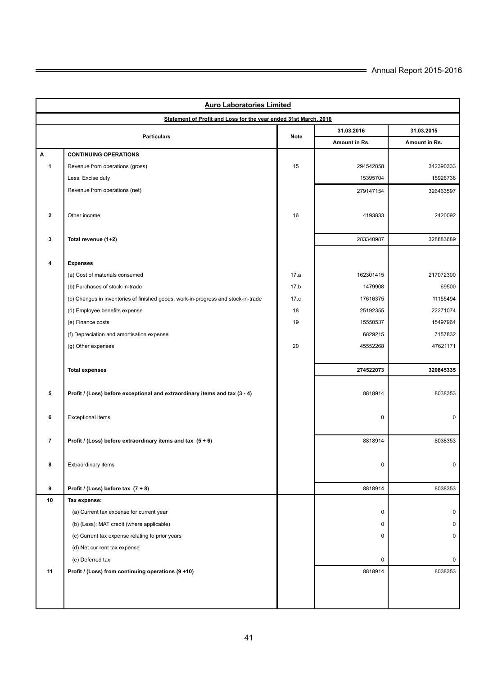| <b>Auro Laboratories Limited</b> |                                                                                   |             |               |               |  |  |
|----------------------------------|-----------------------------------------------------------------------------------|-------------|---------------|---------------|--|--|
|                                  | Statement of Profit and Loss for the year ended 31st March, 2016                  |             |               |               |  |  |
|                                  |                                                                                   |             | 31.03.2016    | 31.03.2015    |  |  |
|                                  | <b>Particulars</b>                                                                | <b>Note</b> | Amount in Rs. | Amount in Rs. |  |  |
| A                                | <b>CONTINUING OPERATIONS</b>                                                      |             |               |               |  |  |
| $\mathbf{1}$                     | Revenue from operations (gross)                                                   | 15          | 294542858     | 342390333     |  |  |
|                                  | Less: Excise duty                                                                 |             | 15395704      | 15926736      |  |  |
|                                  | Revenue from operations (net)                                                     |             | 279147154     | 326463597     |  |  |
|                                  |                                                                                   |             |               |               |  |  |
| $\overline{\mathbf{2}}$          | Other income                                                                      | 16          | 4193833       | 2420092       |  |  |
|                                  |                                                                                   |             |               |               |  |  |
| 3                                | Total revenue (1+2)                                                               |             | 283340987     | 328883689     |  |  |
|                                  |                                                                                   |             |               |               |  |  |
| 4                                | <b>Expenses</b>                                                                   |             |               |               |  |  |
|                                  | (a) Cost of materials consumed                                                    | 17.a        | 162301415     | 217072300     |  |  |
|                                  | (b) Purchases of stock-in-trade                                                   | 17.b        | 1479908       | 69500         |  |  |
|                                  | (c) Changes in inventories of finished goods, work-in-progress and stock-in-trade | 17.c        | 17616375      | 11155494      |  |  |
|                                  | (d) Employee benefits expense                                                     | 18          | 25192355      | 22271074      |  |  |
|                                  | (e) Finance costs                                                                 | 19          | 15550537      | 15497964      |  |  |
|                                  | (f) Depreciation and amortisation expense                                         |             | 6829215       | 7157832       |  |  |
|                                  | (g) Other expenses                                                                | 20          | 45552268      | 47621171      |  |  |
|                                  |                                                                                   |             |               |               |  |  |
|                                  | <b>Total expenses</b>                                                             |             | 274522073     | 320845335     |  |  |
|                                  |                                                                                   |             |               |               |  |  |
| 5                                | Profit / (Loss) before exceptional and extraordinary items and tax (3 - 4)        |             | 8818914       | 8038353       |  |  |
|                                  |                                                                                   |             |               |               |  |  |
| 6                                | <b>Exceptional items</b>                                                          |             | $\mathbf 0$   | $\mathbf 0$   |  |  |
|                                  |                                                                                   |             |               |               |  |  |
| $\overline{7}$                   | Profit / (Loss) before extraordinary items and tax $(5 + 6)$                      |             | 8818914       | 8038353       |  |  |
|                                  |                                                                                   |             |               |               |  |  |
| 8                                | Extraordinary items                                                               |             | $\pmb{0}$     | 0             |  |  |
|                                  |                                                                                   |             |               |               |  |  |
| 9                                | Profit / (Loss) before tax $(7 + 8)$                                              |             | 8818914       | 8038353       |  |  |
| 10                               | Tax expense:                                                                      |             |               |               |  |  |
|                                  | (a) Current tax expense for current year                                          |             | $\pmb{0}$     | 0             |  |  |
|                                  | (b) (Less): MAT credit (where applicable)                                         |             | 0             | 0             |  |  |
|                                  | (c) Current tax expense relating to prior years                                   |             | $\pmb{0}$     | 0             |  |  |
|                                  | (d) Net cur rent tax expense                                                      |             |               |               |  |  |
|                                  | (e) Deferred tax                                                                  |             | $\pmb{0}$     | 0             |  |  |
| 11                               | Profit / (Loss) from continuing operations (9 +10)                                |             | 8818914       | 8038353       |  |  |
|                                  |                                                                                   |             |               |               |  |  |
|                                  |                                                                                   |             |               |               |  |  |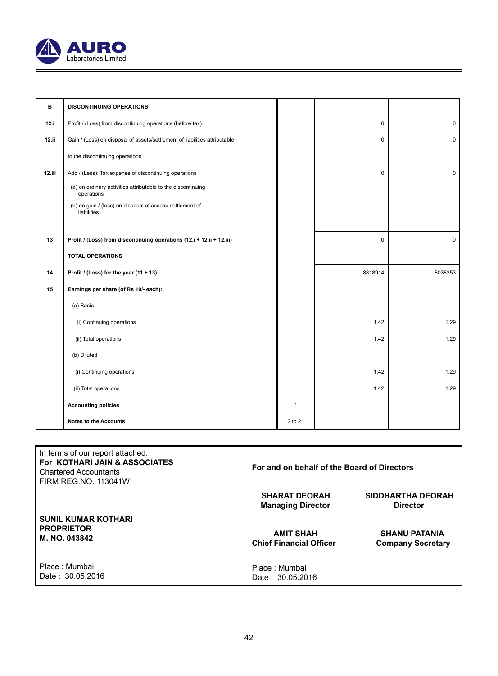

| в      | <b>DISCONTINUING OPERATIONS</b>                                            |              |          |             |
|--------|----------------------------------------------------------------------------|--------------|----------|-------------|
| 12.i   | Profit / (Loss) from discontinuing operations (before tax)                 |              | 0        | $\mathbf 0$ |
| 12.11  | Gain / (Loss) on disposal of assets/settlement of liabilities attributable |              | 0        | $\mathbf 0$ |
|        | to the discontinuing operations                                            |              |          |             |
| 12.111 | Add / (Less): Tax expense of discontinuing operations                      |              | $\Omega$ | $\mathbf 0$ |
|        | (a) on ordinary activities attributable to the discontinuing<br>operations |              |          |             |
|        | (b) on gain / (loss) on disposal of assets/ settlement of<br>liabilities   |              |          |             |
|        |                                                                            |              |          |             |
| 13     | Profit / (Loss) from discontinuing operations (12.i + 12.ii + 12.iii)      |              | 0        | $\mathbf 0$ |
|        | <b>TOTAL OPERATIONS</b>                                                    |              |          |             |
| 14     | Profit / (Loss) for the year (11 + 13)                                     |              | 8818914  | 8038353     |
| 15     | Earnings per share (of Rs 10/- each):                                      |              |          |             |
|        | (a) Basic                                                                  |              |          |             |
|        | (i) Continuing operations                                                  |              | 1.42     | 1.29        |
|        | (ii) Total operations                                                      |              | 1.42     | 1.29        |
|        | (b) Diluted                                                                |              |          |             |
|        | (i) Continuing operations                                                  |              | 1.42     | 1.29        |
|        | (ii) Total operations                                                      |              | 1.42     | 1.29        |
|        | <b>Accounting policies</b>                                                 | $\mathbf{1}$ |          |             |
|        |                                                                            |              |          |             |

| In terms of our report attached.<br>For KOTHARI JAIN & ASSOCIATES<br><b>Chartered Accountants</b><br><b>FIRM REG.NO. 113041W</b> | For and on behalf of the Board of Directors        |                                                  |  |  |
|----------------------------------------------------------------------------------------------------------------------------------|----------------------------------------------------|--------------------------------------------------|--|--|
|                                                                                                                                  | <b>SHARAT DEORAH</b><br><b>Managing Director</b>   | SIDDHARTHA DEORAH<br><b>Director</b>             |  |  |
| <b>SUNIL KUMAR KOTHARI</b><br><b>PROPRIETOR</b><br>M. NO. 043842                                                                 | <b>AMIT SHAH</b><br><b>Chief Financial Officer</b> | <b>SHANU PATANIA</b><br><b>Company Secretary</b> |  |  |
| Place: Mumbai<br>Date: 30.05.2016                                                                                                | Place Mumbai<br>Date: 30.05.2016                   |                                                  |  |  |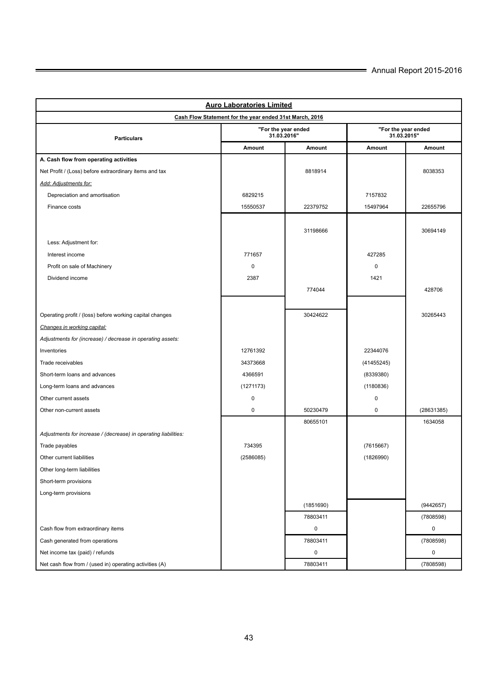| <b>Auro Laboratories Limited</b>                                |                                    |             |                                    |            |  |  |
|-----------------------------------------------------------------|------------------------------------|-------------|------------------------------------|------------|--|--|
| Cash Flow Statement for the year ended 31st March, 2016         |                                    |             |                                    |            |  |  |
| <b>Particulars</b>                                              | "For the year ended<br>31.03.2016" |             | "For the year ended<br>31.03.2015" |            |  |  |
|                                                                 | Amount                             | Amount      | Amount                             | Amount     |  |  |
| A. Cash flow from operating activities                          |                                    |             |                                    |            |  |  |
| Net Profit / (Loss) before extraordinary items and tax          |                                    | 8818914     |                                    | 8038353    |  |  |
| Add: Adjustments for:                                           |                                    |             |                                    |            |  |  |
| Depreciation and amortisation                                   | 6829215                            |             | 7157832                            |            |  |  |
| Finance costs                                                   | 15550537                           | 22379752    | 15497964                           | 22655796   |  |  |
|                                                                 |                                    |             |                                    |            |  |  |
|                                                                 |                                    | 31198666    |                                    | 30694149   |  |  |
| Less: Adjustment for:                                           |                                    |             |                                    |            |  |  |
| Interest income                                                 | 771657                             |             | 427285                             |            |  |  |
| Profit on sale of Machinery                                     | $\mathbf 0$                        |             | $\mathbf 0$                        |            |  |  |
| Dividend income                                                 | 2387                               |             | 1421                               |            |  |  |
|                                                                 |                                    | 774044      |                                    | 428706     |  |  |
|                                                                 |                                    |             |                                    |            |  |  |
| Operating profit / (loss) before working capital changes        |                                    | 30424622    |                                    | 30265443   |  |  |
| Changes in working capital:                                     |                                    |             |                                    |            |  |  |
| Adjustments for (increase) / decrease in operating assets:      |                                    |             |                                    |            |  |  |
| Inventories                                                     | 12761392                           |             | 22344076                           |            |  |  |
| Trade receivables                                               | 34373668                           |             | (41455245)                         |            |  |  |
| Short-term loans and advances                                   | 4366591                            |             | (8339380)                          |            |  |  |
| Long-term loans and advances                                    | (1271173)                          |             | (1180836)                          |            |  |  |
| Other current assets                                            | 0                                  |             | $\mathbf 0$                        |            |  |  |
| Other non-current assets                                        | 0                                  | 50230479    | $\mathbf 0$                        | (28631385) |  |  |
|                                                                 |                                    | 80655101    |                                    | 1634058    |  |  |
| Adjustments for increase / (decrease) in operating liabilities: |                                    |             |                                    |            |  |  |
| Trade payables                                                  | 734395                             |             | (7615667)                          |            |  |  |
| Other current liabilities                                       | (2586085)                          |             | (1826990)                          |            |  |  |
| Other long-term liabilities                                     |                                    |             |                                    |            |  |  |
| Short-term provisions                                           |                                    |             |                                    |            |  |  |
| Long-term provisions                                            |                                    |             |                                    |            |  |  |
|                                                                 |                                    | (1851690)   |                                    | (9442657)  |  |  |
|                                                                 |                                    | 78803411    |                                    | (7808598)  |  |  |
| Cash flow from extraordinary items                              |                                    | $\mathbf 0$ |                                    | 0          |  |  |
| Cash generated from operations                                  |                                    | 78803411    |                                    | (7808598)  |  |  |
| Net income tax (paid) / refunds                                 |                                    | 0           |                                    | 0          |  |  |
| Net cash flow from / (used in) operating activities (A)         |                                    | 78803411    |                                    | (7808598)  |  |  |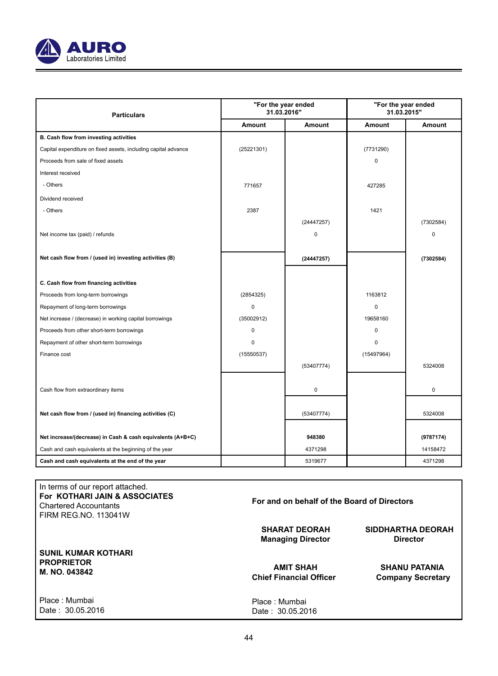

| <b>Particulars</b>                                             | "For the year ended<br>31.03.2016" |            | "For the year ended<br>31.03.2015" |           |
|----------------------------------------------------------------|------------------------------------|------------|------------------------------------|-----------|
|                                                                | Amount                             | Amount     | Amount                             | Amount    |
| B. Cash flow from investing activities                         |                                    |            |                                    |           |
| Capital expenditure on fixed assets, including capital advance | (25221301)                         |            | (7731290)                          |           |
| Proceeds from sale of fixed assets                             |                                    |            | $\mathbf 0$                        |           |
| Interest received                                              |                                    |            |                                    |           |
| - Others                                                       | 771657                             |            | 427285                             |           |
| Dividend received                                              |                                    |            |                                    |           |
| - Others                                                       | 2387                               |            | 1421                               |           |
|                                                                |                                    | (24447257) |                                    | (7302584) |
| Net income tax (paid) / refunds                                |                                    | $\Omega$   |                                    | $\Omega$  |
|                                                                |                                    |            |                                    |           |
| Net cash flow from / (used in) investing activities (B)        |                                    | (24447257) |                                    | (7302584) |
|                                                                |                                    |            |                                    |           |
| C. Cash flow from financing activities                         |                                    |            |                                    |           |
| Proceeds from long-term borrowings                             | (2854325)                          |            | 1163812                            |           |
| Repayment of long-term borrowings                              | $\Omega$                           |            | 0                                  |           |
| Net increase / (decrease) in working capital borrowings        | (35002912)                         |            | 19658160                           |           |
| Proceeds from other short-term borrowings                      | $\Omega$                           |            | $\mathbf 0$                        |           |
| Repayment of other short-term borrowings                       | $\Omega$                           |            | 0                                  |           |
| Finance cost                                                   | (15550537)                         |            | (15497964)                         |           |
|                                                                |                                    | (53407774) |                                    | 5324008   |
|                                                                |                                    |            |                                    |           |
| Cash flow from extraordinary items                             |                                    | 0          |                                    | 0         |
|                                                                |                                    |            |                                    |           |
| Net cash flow from / (used in) financing activities (C)        |                                    | (53407774) |                                    | 5324008   |
|                                                                |                                    |            |                                    |           |
| Net increase/(decrease) in Cash & cash equivalents (A+B+C)     |                                    | 948380     |                                    | (9787174) |
| Cash and cash equivalents at the beginning of the year         |                                    | 4371298    |                                    | 14158472  |
| Cash and cash equivalents at the end of the year               |                                    | 5319677    |                                    | 4371298   |

## In terms of our report attached. **For KOTHARI JAIN & ASSOCIATES**  Chartered Accountants FIRM REG.NO. 113041W

**For and on behalf of the Board of Directors SHARAT DEORAH SIDDHARTHA DEORAH Managing Director** 

> Place : Mumbai Date : 30.05.2016

**AMIT SHAH SHANU PATANIA**<br>Chief Financial Officer Company Secretar **Company Secretary** 

Place : Mumbai Date : 30.05.2016

**PROPRIETOR M. NO. 043842**

**SUNIL KUMAR KOTHARI**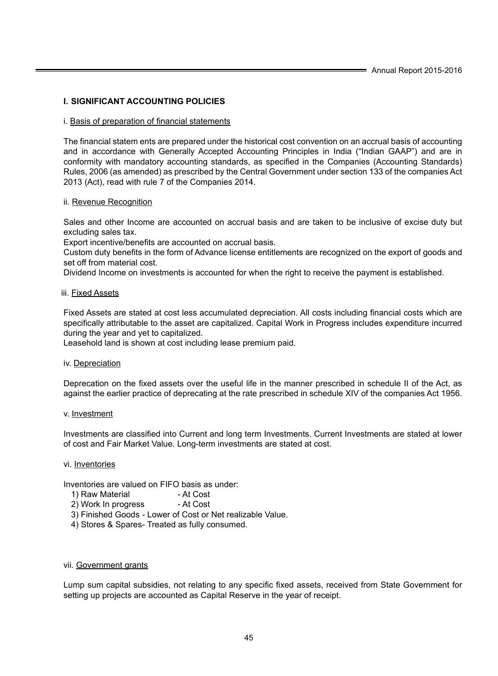## **I. SIGNIFICANT ACCOUNTING POLICIES**

## i. Basis of preparation of financial statements

The financial statem ents are prepared under the historical cost convention on an accrual basis of accounting and in accordance with Generally Accepted Accounting Principles in India ("Indian GAAP") and are in conformity with mandatory accounting standards, as specified in the Companies (Accounting Standards) Rules, 2006 (as amended) as prescribed by the Central Government under section 133 of the companies Act 2013 (Act), read with rule 7 of the Companies 2014.

## ii. Revenue Recognition

Sales and other Income are accounted on accrual basis and are taken to be inclusive of excise duty but excluding sales tax.

Export incentive/benefits are accounted on accrual basis.

Custom duty benefits in the form of Advance license entitlements are recognized on the export of goods and set off from material cost.

Dividend Income on investments is accounted for when the right to receive the payment is established.

## iii. Fixed Assets

Fixed Assets are stated at cost less accumulated depreciation. All costs including financial costs which are specifically attributable to the asset are capitalized. Capital Work in Progress includes expenditure incurred during the year and yet to capitalized.

Leasehold land is shown at cost including lease premium paid.

## iv. Depreciation

Deprecation on the fixed assets over the useful life in the manner prescribed in schedule II of the Act, as against the earlier practice of deprecating at the rate prescribed in schedule XIV of the companies Act 1956.

## v. Investment

Investments are classified into Current and long term Investments. Current Investments are stated at lower of cost and Fair Market Value. Long-term investments are stated at cost.

## vi. Inventories

Inventories are valued on FIFO basis as under:

- 1) Raw Material
- 2) Work In progress At Cost
- 3) Finished Goods Lower of Cost or Net realizable Value.
- 4) Stores & Spares- Treated as fully consumed.

## vii. Government grants

Lump sum capital subsidies, not relating to any specific fixed assets, received from State Government for setting up projects are accounted as Capital Reserve in the year of receipt.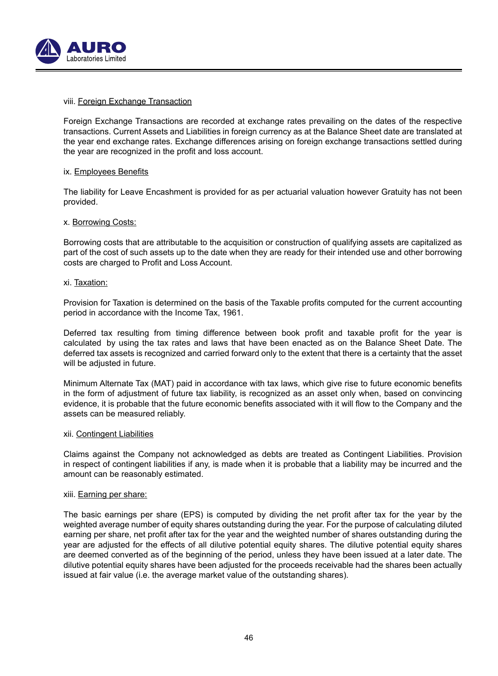

## viii. Foreign Exchange Transaction

Foreign Exchange Transactions are recorded at exchange rates prevailing on the dates of the respective transactions. Current Assets and Liabilities in foreign currency as at the Balance Sheet date are translated at the year end exchange rates. Exchange differences arising on foreign exchange transactions settled during the year are recognized in the profit and loss account.

## ix. Employees Benefits

The liability for Leave Encashment is provided for as per actuarial valuation however Gratuity has not been provided.

## x. Borrowing Costs:

Borrowing costs that are attributable to the acquisition or construction of qualifying assets are capitalized as part of the cost of such assets up to the date when they are ready for their intended use and other borrowing costs are charged to Profit and Loss Account.

## xi. Taxation:

Provision for Taxation is determined on the basis of the Taxable profits computed for the current accounting period in accordance with the Income Tax, 1961.

Deferred tax resulting from timing difference between book profit and taxable profit for the year is calculated by using the tax rates and laws that have been enacted as on the Balance Sheet Date. The deferred tax assets is recognized and carried forward only to the extent that there is a certainty that the asset will be adjusted in future.

Minimum Alternate Tax (MAT) paid in accordance with tax laws, which give rise to future economic benefits in the form of adjustment of future tax liability, is recognized as an asset only when, based on convincing evidence, it is probable that the future economic benefits associated with it will flow to the Company and the assets can be measured reliably.

## xii. Contingent Liabilities

Claims against the Company not acknowledged as debts are treated as Contingent Liabilities. Provision in respect of contingent liabilities if any, is made when it is probable that a liability may be incurred and the amount can be reasonably estimated.

## xiii. Earning per share:

The basic earnings per share (EPS) is computed by dividing the net profit after tax for the year by the weighted average number of equity shares outstanding during the year. For the purpose of calculating diluted earning per share, net profit after tax for the year and the weighted number of shares outstanding during the year are adjusted for the effects of all dilutive potential equity shares. The dilutive potential equity shares are deemed converted as of the beginning of the period, unless they have been issued at a later date. The dilutive potential equity shares have been adjusted for the proceeds receivable had the shares been actually issued at fair value (i.e. the average market value of the outstanding shares).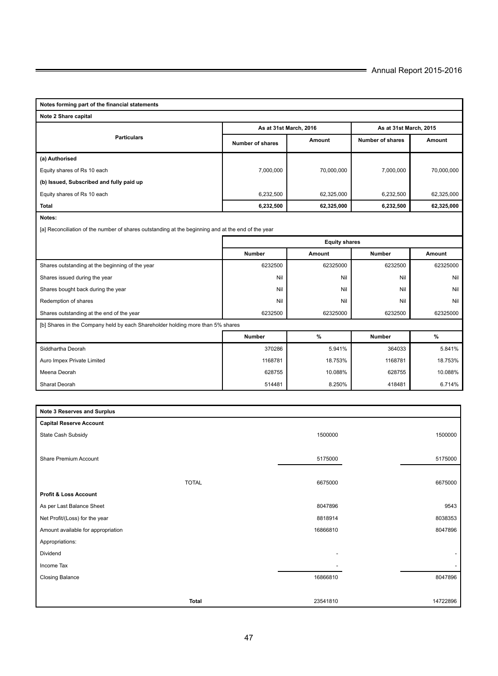| Notes forming part of the financial statements                                                     |                                                         |            |                        |            |  |  |
|----------------------------------------------------------------------------------------------------|---------------------------------------------------------|------------|------------------------|------------|--|--|
| Note 2 Share capital                                                                               |                                                         |            |                        |            |  |  |
|                                                                                                    | As at 31st March, 2016                                  |            | As at 31st March, 2015 |            |  |  |
| <b>Particulars</b>                                                                                 | Number of shares                                        | Amount     | Number of shares       | Amount     |  |  |
| (a) Authorised                                                                                     |                                                         |            |                        |            |  |  |
| Equity shares of Rs 10 each                                                                        | 7,000,000                                               | 70,000,000 | 7,000,000              | 70,000,000 |  |  |
| (b) Issued, Subscribed and fully paid up                                                           |                                                         |            |                        |            |  |  |
| Equity shares of Rs 10 each                                                                        | 6,232,500                                               | 62,325,000 | 6,232,500              | 62,325,000 |  |  |
| Total                                                                                              | 6,232,500                                               | 62,325,000 | 6,232,500              | 62,325,000 |  |  |
| Notes:                                                                                             |                                                         |            |                        |            |  |  |
| [a] Reconciliation of the number of shares outstanding at the beginning and at the end of the year |                                                         |            |                        |            |  |  |
|                                                                                                    | <b>Equity shares</b>                                    |            |                        |            |  |  |
|                                                                                                    | Number<br><b>Number</b><br>Amount<br>Amount             |            |                        |            |  |  |
| Shares outstanding at the beginning of the year                                                    | 6232500                                                 | 62325000   | 6232500                | 62325000   |  |  |
| Shares issued during the year                                                                      | Nil                                                     | Nil        | Nil                    | Nil        |  |  |
| Shares bought back during the year                                                                 | Nil                                                     | Nil        | Nil                    | Nil        |  |  |
| Redemption of shares                                                                               | Nil                                                     | Nil        | Nil                    | Nil        |  |  |
| Shares outstanding at the end of the year                                                          | 6232500                                                 | 62325000   | 6232500                | 62325000   |  |  |
| [b] Shares in the Company held by each Shareholder holding more than 5% shares                     |                                                         |            |                        |            |  |  |
|                                                                                                    | $\%$<br>$\frac{9}{6}$<br><b>Number</b><br><b>Number</b> |            |                        |            |  |  |
| Siddhartha Deorah                                                                                  | 370286                                                  | 5.941%     | 364033                 | 5.841%     |  |  |
| Auro Impex Private Limited                                                                         | 1168781                                                 | 18.753%    | 1168781                | 18.753%    |  |  |
| Meena Deorah                                                                                       | 628755                                                  | 10.088%    | 628755                 | 10.088%    |  |  |
| Sharat Deorah                                                                                      | 514481                                                  | 8.250%     | 418481                 | 6.714%     |  |  |

| Note 3 Reserves and Surplus        |              |          |                          |
|------------------------------------|--------------|----------|--------------------------|
| <b>Capital Reserve Account</b>     |              |          |                          |
| State Cash Subsidy                 |              | 1500000  | 1500000                  |
|                                    |              |          |                          |
| Share Premium Account              |              | 5175000  | 5175000                  |
|                                    |              |          |                          |
|                                    | <b>TOTAL</b> | 6675000  | 6675000                  |
| <b>Profit &amp; Loss Account</b>   |              |          |                          |
| As per Last Balance Sheet          |              | 8047896  | 9543                     |
| Net Profit/(Loss) for the year     |              | 8818914  | 8038353                  |
| Amount available for appropriation |              | 16866810 | 8047896                  |
| Appropriations:                    |              |          |                          |
| Dividend                           |              |          | $\overline{\phantom{a}}$ |
| Income Tax                         |              |          | $\sim$                   |
| Closing Balance                    |              | 16866810 | 8047896                  |
|                                    |              |          |                          |
|                                    | <b>Total</b> | 23541810 | 14722896                 |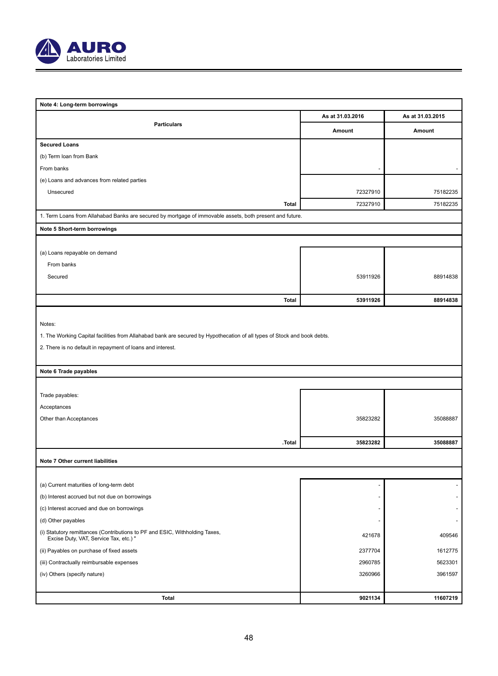

| Note 4: Long-term borrowings                                                                                             |                  |                  |  |  |  |
|--------------------------------------------------------------------------------------------------------------------------|------------------|------------------|--|--|--|
|                                                                                                                          | As at 31.03.2016 | As at 31.03.2015 |  |  |  |
| <b>Particulars</b>                                                                                                       | Amount           | Amount           |  |  |  |
| <b>Secured Loans</b>                                                                                                     |                  |                  |  |  |  |
| (b) Term loan from Bank                                                                                                  |                  |                  |  |  |  |
| From banks                                                                                                               |                  |                  |  |  |  |
| (e) Loans and advances from related parties                                                                              |                  |                  |  |  |  |
| Unsecured                                                                                                                | 72327910         | 75182235         |  |  |  |
| <b>Total</b>                                                                                                             | 72327910         | 75182235         |  |  |  |
| 1. Term Loans from Allahabad Banks are secured by mortgage of immovable assets, both present and future.                 |                  |                  |  |  |  |
| Note 5 Short-term borrowings                                                                                             |                  |                  |  |  |  |
|                                                                                                                          |                  |                  |  |  |  |
| (a) Loans repayable on demand                                                                                            |                  |                  |  |  |  |
| From banks                                                                                                               |                  |                  |  |  |  |
| Secured                                                                                                                  | 53911926         | 88914838         |  |  |  |
|                                                                                                                          |                  |                  |  |  |  |
| Total                                                                                                                    | 53911926         | 88914838         |  |  |  |
|                                                                                                                          |                  |                  |  |  |  |
| Notes:                                                                                                                   |                  |                  |  |  |  |
| 1. The Working Capital facilities from Allahabad bank are secured by Hypothecation of all types of Stock and book debts. |                  |                  |  |  |  |
| 2. There is no default in repayment of loans and interest.                                                               |                  |                  |  |  |  |
|                                                                                                                          |                  |                  |  |  |  |
| Note 6 Trade payables                                                                                                    |                  |                  |  |  |  |
|                                                                                                                          |                  |                  |  |  |  |
| Trade payables:                                                                                                          |                  |                  |  |  |  |
| Acceptances                                                                                                              |                  |                  |  |  |  |
| Other than Acceptances                                                                                                   | 35823282         | 35088887         |  |  |  |
|                                                                                                                          |                  |                  |  |  |  |
| .Total                                                                                                                   | 35823282         | 35088887         |  |  |  |
| Note 7 Other current liabilities                                                                                         |                  |                  |  |  |  |
|                                                                                                                          |                  |                  |  |  |  |
| (a) Current maturities of long-term debt                                                                                 |                  |                  |  |  |  |
| (b) Interest accrued but not due on borrowings                                                                           |                  |                  |  |  |  |
| (c) Interest accrued and due on borrowings                                                                               |                  |                  |  |  |  |
| (d) Other payables                                                                                                       |                  |                  |  |  |  |
| (i) Statutory remittances (Contributions to PF and ESIC, Withholding Taxes,<br>Excise Duty, VAT, Service Tax, etc.) "    | 421678           | 409546           |  |  |  |
| (ii) Payables on purchase of fixed assets                                                                                | 2377704          | 1612775          |  |  |  |
| (iii) Contractually reimbursable expenses                                                                                | 2960785          | 5623301          |  |  |  |
| (iv) Others (specify nature)                                                                                             | 3260966          | 3961597          |  |  |  |
|                                                                                                                          |                  |                  |  |  |  |
| <b>Total</b>                                                                                                             | 9021134          | 11607219         |  |  |  |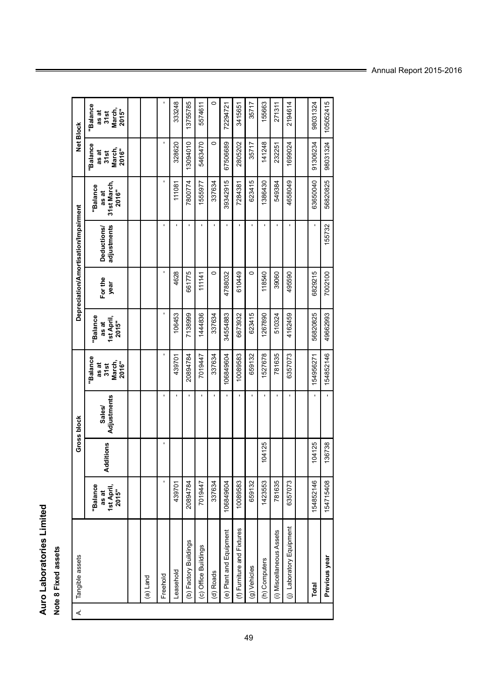## Auro Laboratories Limited<br>Note 8 Fixed assets **Auro Laboratories Limited**

# **Note 8 Fixed assets**

| ∢ | Tangible assets                  |                                          |           | Gross block           |                                                    |                                         |                 | Depreciation/Amortisation/Impairment |                                           | Net Block                                    |                                              |
|---|----------------------------------|------------------------------------------|-----------|-----------------------|----------------------------------------------------|-----------------------------------------|-----------------|--------------------------------------|-------------------------------------------|----------------------------------------------|----------------------------------------------|
|   |                                  | "Balance<br>1st April,<br>2015"<br>as at | Additions | Sales/<br>Adjustments | <b>Balance</b><br>March,<br>2016"<br>as at<br>31st | "Balance<br>1st April<br>2015"<br>as at | For the<br>year | adjustments<br>Deductions/           | 31st March,<br>"Balance<br>2016"<br>as at | "Balance<br>March,<br>2016"<br>as at<br>31st | "Balance<br>March,<br>2015"<br>as at<br>31st |
|   |                                  |                                          |           |                       |                                                    |                                         |                 |                                      |                                           |                                              |                                              |
|   | (a) Land                         |                                          |           |                       |                                                    |                                         |                 |                                      |                                           |                                              |                                              |
|   | Freehold                         | ï                                        |           |                       |                                                    |                                         |                 | ı                                    |                                           |                                              |                                              |
|   | Leasehold                        | 439701                                   |           |                       | 439701                                             | 106453                                  | 4628            |                                      | 111081                                    | 328620                                       | 333248                                       |
|   | $\omega$<br>(b) Factory Building | 20894784                                 |           |                       | 20894784                                           | 7138999                                 | 661775          |                                      | 7800774                                   | 13094010                                     | 13755785                                     |
|   | (c) Office Buildings             | 7019447                                  |           |                       | 7019447                                            | 1444836                                 | 111141          |                                      | 555977                                    | 5463470                                      | 5574611                                      |
|   | (d) Roads                        | 337634                                   |           |                       | 337634                                             | 337634                                  | 0               |                                      | 337634                                    | $\circ$                                      | $\circ$                                      |
|   | (e) Plant and Equipment          | 106849604                                |           |                       | 106849604                                          | 34554883                                | 4788032         |                                      | 39342915                                  | 67506689                                     | 72294721                                     |
|   | tures<br>(f) Furniture and Fix   | 10089583                                 |           |                       | 10089583                                           | 6673932                                 | 610449          |                                      | 7284381                                   | 2805202                                      | 3415651                                      |
|   | (g) Vehicles                     | 659132                                   |           |                       | 659132                                             | 623415                                  | 0               |                                      | 623415                                    | 35717                                        | 35717                                        |
|   | (h) Computers                    | 1423553                                  | 104125    |                       | 1527678                                            | 1267890                                 | 118540          |                                      | 1386430                                   | 141248                                       | 155663                                       |
|   | sets<br>(i) Miscellaneous As     | 781635                                   |           |                       | 781635                                             | 510324                                  | 39060           |                                      | 549384                                    | 232251                                       | 271311                                       |
|   | oment<br>(j) Laboratory Equi     | 6357073                                  |           |                       | 6357073                                            | 4162459                                 | 495590          |                                      | 4658049                                   | 1699024                                      | 2194614                                      |
|   |                                  |                                          |           |                       |                                                    |                                         |                 |                                      |                                           |                                              |                                              |
|   | Total                            | 154852146                                | 104125    |                       | 154956271                                          | 56820825                                | 6829215         |                                      | 63650040                                  | 91306234                                     | 98031324                                     |
|   | Previous year                    | 154715408                                | 136738    |                       | 154852146                                          | 49662993                                | 7002100         | 155732                               | 56820825                                  | 98031324                                     | 105052415                                    |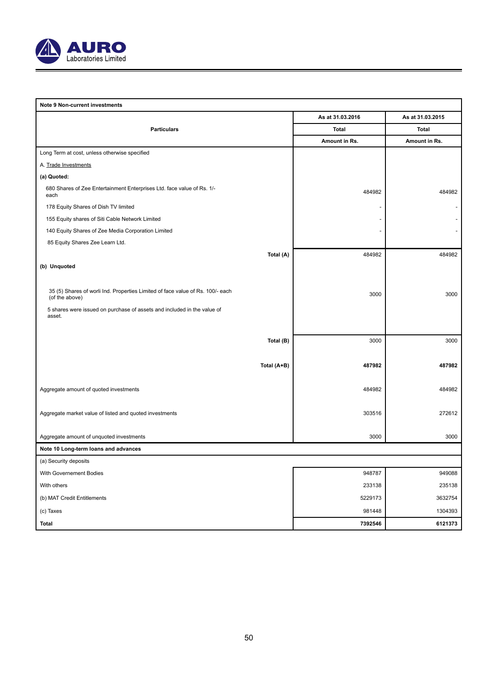

| Note 9 Non-current investments                                                                   |                  |                  |
|--------------------------------------------------------------------------------------------------|------------------|------------------|
|                                                                                                  | As at 31.03.2016 | As at 31.03.2015 |
| <b>Particulars</b>                                                                               | Total            | Total            |
|                                                                                                  | Amount in Rs.    | Amount in Rs.    |
| Long Term at cost, unless otherwise specified                                                    |                  |                  |
| A. Trade Investments                                                                             |                  |                  |
| (a) Quoted:                                                                                      |                  |                  |
| 680 Shares of Zee Entertainment Enterprises Ltd. face value of Rs. 1/-<br>each                   | 484982           | 484982           |
| 178 Equity Shares of Dish TV limited                                                             |                  |                  |
| 155 Equity shares of Siti Cable Network Limited                                                  |                  |                  |
| 140 Equity Shares of Zee Media Corporation Limited                                               |                  |                  |
| 85 Equity Shares Zee Learn Ltd.                                                                  |                  |                  |
| Total (A)                                                                                        | 484982           | 484982           |
| (b) Unquoted                                                                                     |                  |                  |
|                                                                                                  |                  |                  |
| 35 (5) Shares of worli Ind. Properties Limited of face value of Rs. 100/- each<br>(of the above) | 3000             | 3000             |
| 5 shares were issued on purchase of assets and included in the value of                          |                  |                  |
| asset.                                                                                           |                  |                  |
|                                                                                                  |                  |                  |
| Total (B)                                                                                        | 3000             | 3000             |
|                                                                                                  |                  |                  |
| Total (A+B)                                                                                      | 487982           | 487982           |
|                                                                                                  |                  |                  |
| Aggregate amount of quoted investments                                                           | 484982           | 484982           |
|                                                                                                  |                  |                  |
| Aggregate market value of listed and quoted investments                                          | 303516           | 272612           |
| Aggregate amount of unquoted investments                                                         | 3000             | 3000             |
| Note 10 Long-term loans and advances                                                             |                  |                  |
| (a) Security deposits                                                                            |                  |                  |
| With Governement Bodies                                                                          | 948787           | 949088           |
| With others                                                                                      | 233138           | 235138           |
|                                                                                                  |                  |                  |
| (b) MAT Credit Entitlements                                                                      | 5229173          | 3632754          |
| (c) Taxes                                                                                        | 981448           | 1304393          |
| <b>Total</b>                                                                                     | 7392546          | 6121373          |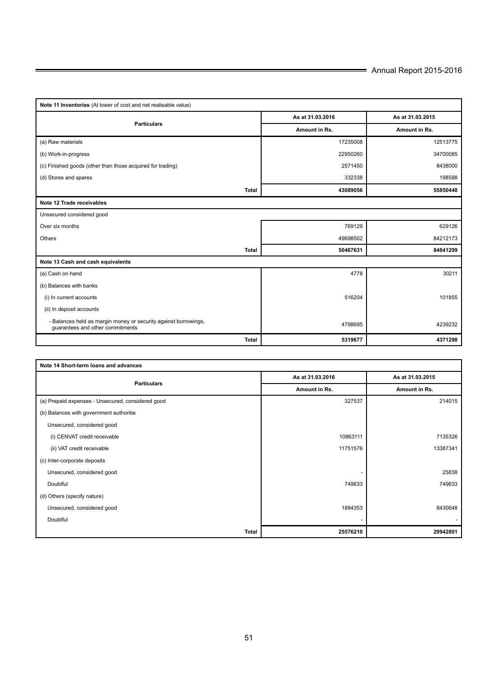| Note 11 Inventories (At lower of cost and net realisable value)                                     |                  |                  |  |  |
|-----------------------------------------------------------------------------------------------------|------------------|------------------|--|--|
| <b>Particulars</b>                                                                                  | As at 31.03.2016 | As at 31.03.2015 |  |  |
|                                                                                                     | Amount in Rs.    | Amount in Rs.    |  |  |
| (a) Raw materials                                                                                   | 17235008         | 12513775         |  |  |
| (b) Work-in-progress                                                                                | 22950260         | 34700085         |  |  |
| (c) Finished goods (other than those acquired for trading)                                          | 2571450          | 8438000          |  |  |
| (d) Stores and spares                                                                               | 332338           | 198588           |  |  |
| <b>Total</b>                                                                                        | 43089056         | 55850448         |  |  |
| Note 12 Trade receivables                                                                           |                  |                  |  |  |
| Unsecured considered good                                                                           |                  |                  |  |  |
| Over six months                                                                                     | 769129           | 629126           |  |  |
| Others                                                                                              | 49698502         | 84212173         |  |  |
| <b>Total</b>                                                                                        | 50467631         | 84841299         |  |  |
| Note 13 Cash and cash equivalents                                                                   |                  |                  |  |  |
| (a) Cash on hand                                                                                    | 4778             | 30211            |  |  |
| (b) Balances with banks                                                                             |                  |                  |  |  |
| (i) In current accounts                                                                             | 516204           | 101855           |  |  |
| (ii) In deposit accounts                                                                            |                  |                  |  |  |
| - Balances held as margin money or security against borrowings,<br>quarantees and other commitments | 4798695          | 4239232          |  |  |
| <b>Total</b>                                                                                        | 5319677          | 4371298          |  |  |

| Note 14 Short-term loans and advances             |                  |                  |  |  |
|---------------------------------------------------|------------------|------------------|--|--|
| <b>Particulars</b>                                | As at 31.03.2016 | As at 31.03.2015 |  |  |
|                                                   | Amount in Rs.    | Amount in Rs.    |  |  |
| (a) Prepaid expenses - Unsecured, considered good | 327537           | 214015           |  |  |
| (b) Balances with government authoritie           |                  |                  |  |  |
| Unsecured, considered good                        |                  |                  |  |  |
| (i) CENVAT credit receivable                      | 10863111         | 7135326          |  |  |
| (ii) VAT credit receivable                        | 11751576         | 13387341         |  |  |
| (c) Inter-corporate deposits                      |                  |                  |  |  |
| Unsecured, considered good                        |                  | 25838            |  |  |
| Doubtful                                          | 749633           | 749633           |  |  |
| (d) Others (specify nature)                       |                  |                  |  |  |
| Unsecured, considered good                        | 1884353          | 8430648          |  |  |
| Doubtful                                          |                  |                  |  |  |
| Total                                             | 25576210         | 29942801         |  |  |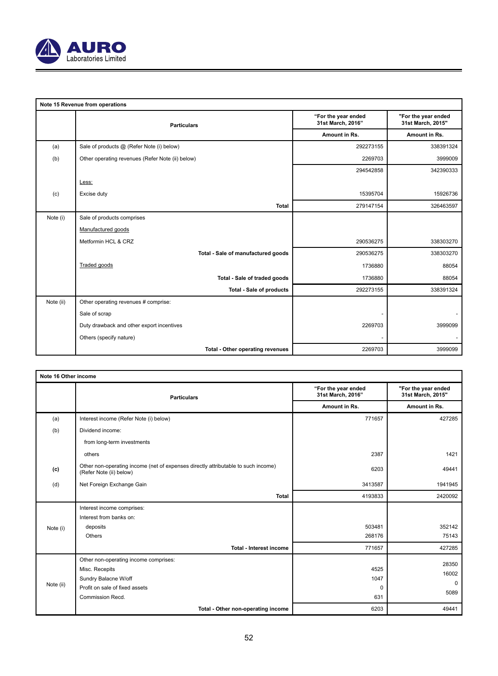

|           | Note 15 Revenue from operations                  |                                          |                                          |
|-----------|--------------------------------------------------|------------------------------------------|------------------------------------------|
|           | <b>Particulars</b>                               | "For the year ended<br>31st March, 2016" | "For the year ended<br>31st March, 2015" |
|           |                                                  | Amount in Rs.                            | Amount in Rs.                            |
| (a)       | Sale of products @ (Refer Note (i) below)        | 292273155                                | 338391324                                |
| (b)       | Other operating revenues (Refer Note (ii) below) | 2269703                                  | 3999009                                  |
|           |                                                  | 294542858                                | 342390333                                |
|           | Less:                                            |                                          |                                          |
| (c)       | Excise duty                                      | 15395704                                 | 15926736                                 |
|           | <b>Total</b>                                     | 279147154                                | 326463597                                |
| Note (i)  | Sale of products comprises                       |                                          |                                          |
|           | Manufactured goods                               |                                          |                                          |
|           | Metformin HCL & CRZ                              | 290536275                                | 338303270                                |
|           | Total - Sale of manufactured goods               | 290536275                                | 338303270                                |
|           | Traded goods                                     | 1736880                                  | 88054                                    |
|           | Total - Sale of traded goods                     | 1736880                                  | 88054                                    |
|           | <b>Total - Sale of products</b>                  | 292273155                                | 338391324                                |
| Note (ii) | Other operating revenues # comprise:             |                                          |                                          |
|           | Sale of scrap                                    |                                          |                                          |
|           | Duty drawback and other export incentives        | 2269703                                  | 3999099                                  |
|           | Others (specify nature)                          |                                          |                                          |
|           | Total - Other operating revenues                 | 2269703                                  | 3999099                                  |

| Note 16 Other income |                                                                                                              |                                          |                                          |
|----------------------|--------------------------------------------------------------------------------------------------------------|------------------------------------------|------------------------------------------|
|                      | <b>Particulars</b>                                                                                           | "For the year ended<br>31st March, 2016" | "For the year ended<br>31st March, 2015" |
|                      |                                                                                                              | Amount in Rs.                            | Amount in Rs.                            |
| (a)                  | Interest income (Refer Note (i) below)                                                                       | 771657                                   | 427285                                   |
| (b)                  | Dividend income:                                                                                             |                                          |                                          |
|                      | from long-term investments                                                                                   |                                          |                                          |
|                      | others                                                                                                       | 2387                                     | 1421                                     |
| (c)                  | Other non-operating income (net of expenses directly attributable to such income)<br>(Refer Note (ii) below) | 6203                                     | 49441                                    |
| (d)                  | Net Foreign Exchange Gain                                                                                    | 3413587                                  | 1941945                                  |
|                      | Total                                                                                                        | 4193833                                  | 2420092                                  |
|                      | Interest income comprises:                                                                                   |                                          |                                          |
|                      | Interest from banks on:                                                                                      |                                          |                                          |
| Note (i)             | deposits                                                                                                     | 503481                                   | 352142                                   |
|                      | Others                                                                                                       | 268176                                   | 75143                                    |
|                      | Total - Interest income                                                                                      | 771657                                   | 427285                                   |
|                      | Other non-operating income comprises:                                                                        |                                          | 28350                                    |
|                      | Misc. Recepits                                                                                               | 4525                                     | 16002                                    |
|                      | Sundry Balacne W/off                                                                                         | 1047                                     | $\Omega$                                 |
| Note (ii)            | Profit on sale of fixed assets                                                                               | $\Omega$                                 |                                          |
|                      | Commission Recd.                                                                                             | 631                                      | 5089                                     |
|                      | Total - Other non-operating income                                                                           | 6203                                     | 49441                                    |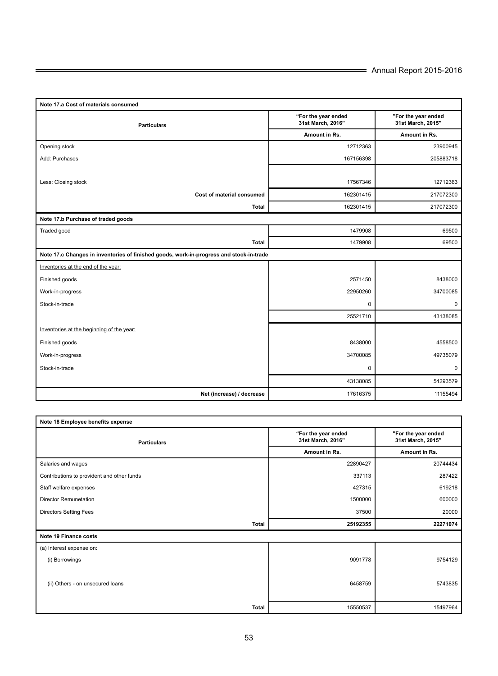| Note 17.a Cost of materials consumed                                                    |                                          |                                          |  |  |
|-----------------------------------------------------------------------------------------|------------------------------------------|------------------------------------------|--|--|
| <b>Particulars</b>                                                                      | "For the year ended<br>31st March, 2016" | "For the year ended<br>31st March, 2015" |  |  |
|                                                                                         | Amount in Rs.                            | Amount in Rs.                            |  |  |
| Opening stock                                                                           | 12712363                                 | 23900945                                 |  |  |
| Add: Purchases                                                                          | 167156398                                | 205883718                                |  |  |
|                                                                                         |                                          |                                          |  |  |
| Less: Closing stock                                                                     | 17567346                                 | 12712363                                 |  |  |
| Cost of material consumed                                                               | 162301415                                | 217072300                                |  |  |
| <b>Total</b>                                                                            | 162301415                                | 217072300                                |  |  |
| Note 17.b Purchase of traded goods                                                      |                                          |                                          |  |  |
| Traded good                                                                             | 1479908                                  | 69500                                    |  |  |
| <b>Total</b>                                                                            | 1479908                                  | 69500                                    |  |  |
| Note 17.c Changes in inventories of finished goods, work-in-progress and stock-in-trade |                                          |                                          |  |  |
| Inventories at the end of the year:                                                     |                                          |                                          |  |  |
| Finished goods                                                                          | 2571450                                  | 8438000                                  |  |  |
| Work-in-progress                                                                        | 22950260                                 | 34700085                                 |  |  |
| Stock-in-trade                                                                          | $\mathbf 0$                              | $\mathbf 0$                              |  |  |
|                                                                                         | 25521710                                 | 43138085                                 |  |  |
| Inventories at the beginning of the year:                                               |                                          |                                          |  |  |
| Finished goods                                                                          | 8438000                                  | 4558500                                  |  |  |
| Work-in-progress                                                                        | 34700085                                 | 49735079                                 |  |  |
| Stock-in-trade                                                                          | $\mathbf 0$                              | 0                                        |  |  |
|                                                                                         | 43138085                                 | 54293579                                 |  |  |
| Net (increase) / decrease                                                               | 17616375                                 | 11155494                                 |  |  |

| Note 18 Employee benefits expense          |                                          |                                          |  |  |
|--------------------------------------------|------------------------------------------|------------------------------------------|--|--|
| <b>Particulars</b>                         | "For the year ended<br>31st March, 2016" | "For the year ended<br>31st March, 2015" |  |  |
|                                            | Amount in Rs.                            | Amount in Rs.                            |  |  |
| Salaries and wages                         | 22890427                                 | 20744434                                 |  |  |
| Contributions to provident and other funds | 337113                                   | 287422                                   |  |  |
| Staff welfare expenses                     | 427315                                   | 619218                                   |  |  |
| <b>Director Remunetation</b>               | 1500000                                  | 600000                                   |  |  |
| <b>Directors Setting Fees</b>              | 37500                                    | 20000                                    |  |  |
| <b>Total</b>                               | 25192355                                 | 22271074                                 |  |  |
| Note 19 Finance costs                      |                                          |                                          |  |  |
| (a) Interest expense on:                   |                                          |                                          |  |  |
| (i) Borrowings                             | 9091778                                  | 9754129                                  |  |  |
|                                            |                                          |                                          |  |  |
| (ii) Others - on unsecured loans           | 6458759                                  | 5743835                                  |  |  |
|                                            |                                          |                                          |  |  |
| <b>Total</b>                               | 15550537                                 | 15497964                                 |  |  |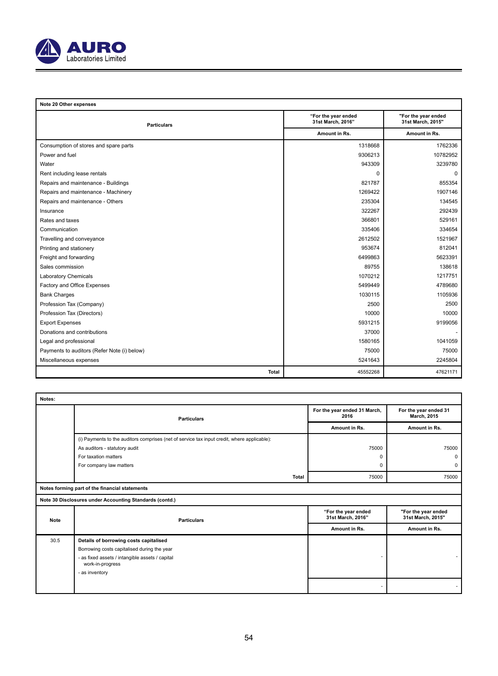

| Note 20 Other expenses                      |                                          |                                          |  |
|---------------------------------------------|------------------------------------------|------------------------------------------|--|
| <b>Particulars</b>                          | "For the year ended<br>31st March, 2016" | "For the year ended<br>31st March, 2015" |  |
|                                             | Amount in Rs.                            | Amount in Rs.                            |  |
| Consumption of stores and spare parts       | 1318668                                  | 1762336                                  |  |
| Power and fuel                              | 9306213                                  | 10782952                                 |  |
| Water                                       | 943309                                   | 3239780                                  |  |
| Rent including lease rentals                | $\Omega$                                 | $\Omega$                                 |  |
| Repairs and maintenance - Buildings         | 821787                                   | 855354                                   |  |
| Repairs and maintenance - Machinery         | 1269422                                  | 1907146                                  |  |
| Repairs and maintenance - Others            | 235304                                   | 134545                                   |  |
| Insurance                                   | 322267                                   | 292439                                   |  |
| Rates and taxes                             | 366801                                   | 529161                                   |  |
| Communication                               | 335406                                   | 334654                                   |  |
| Travelling and conveyance                   | 2612502                                  | 1521967                                  |  |
| Printing and stationery                     | 953674                                   | 812041                                   |  |
| Freight and forwarding                      | 6499863                                  | 5623391                                  |  |
| Sales commission                            | 89755                                    | 138618                                   |  |
| Laboratory Chemicals                        | 1070212                                  | 1217751                                  |  |
| Factory and Office Expenses                 | 5499449                                  | 4789680                                  |  |
| <b>Bank Charges</b>                         | 1030115                                  | 1105936                                  |  |
| Profession Tax (Company)                    | 2500                                     | 2500                                     |  |
| Profession Tax (Directors)                  | 10000                                    | 10000                                    |  |
| <b>Export Expenses</b>                      | 5931215                                  | 9199056                                  |  |
| Donations and contributions                 | 37000                                    |                                          |  |
| Legal and professional                      | 1580165                                  | 1041059                                  |  |
| Payments to auditors (Refer Note (i) below) | 75000                                    | 75000                                    |  |
| Miscellaneous expenses                      | 5241643                                  | 2245804                                  |  |
| <b>Total</b>                                | 45552268                                 | 47621171                                 |  |

| Notes:      |                                                                                             |                                          |                                          |
|-------------|---------------------------------------------------------------------------------------------|------------------------------------------|------------------------------------------|
|             | <b>Particulars</b>                                                                          | For the year ended 31 March,<br>2016     | For the year ended 31<br>March, 2015     |
|             |                                                                                             | Amount in Rs.                            | Amount in Rs.                            |
|             | (i) Payments to the auditors comprises (net of service tax input credit, where applicable): |                                          |                                          |
|             | As auditors - statutory audit                                                               | 75000                                    | 75000                                    |
|             | For taxation matters                                                                        | n                                        | $\mathbf{0}$                             |
|             | For company law matters                                                                     | 0                                        | $\mathbf 0$                              |
|             | <b>Total</b>                                                                                | 75000                                    | 75000                                    |
|             | Notes forming part of the financial statements                                              |                                          |                                          |
|             | Note 30 Disclosures under Accounting Standards (contd.)                                     |                                          |                                          |
| <b>Note</b> | <b>Particulars</b>                                                                          | "For the year ended<br>31st March, 2016" | "For the year ended<br>31st March, 2015" |
|             |                                                                                             | Amount in Rs.                            | Amount in Rs.                            |
| 30.5        | Details of borrowing costs capitalised                                                      |                                          |                                          |
|             | Borrowing costs capitalised during the year                                                 |                                          |                                          |
|             | - as fixed assets / intangible assets / capital<br>work-in-progress                         |                                          |                                          |
|             | - as inventory                                                                              |                                          |                                          |
|             |                                                                                             |                                          |                                          |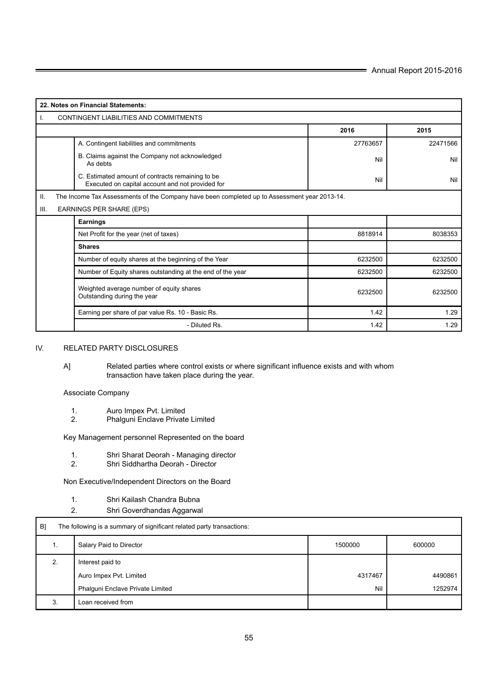| 22. Notes on Financial Statements:                                                                          |                                                                                              |          |  |  |  |  |
|-------------------------------------------------------------------------------------------------------------|----------------------------------------------------------------------------------------------|----------|--|--|--|--|
| CONTINGENT LIABILITIES AND COMMITMENTS<br>Ι.                                                                |                                                                                              |          |  |  |  |  |
|                                                                                                             | 2016<br>2015                                                                                 |          |  |  |  |  |
| A. Contingent liabilities and commitments                                                                   | 27763657                                                                                     | 22471566 |  |  |  |  |
| B. Claims against the Company not acknowledged<br>As debts                                                  | Nil                                                                                          | Nil      |  |  |  |  |
| C. Estimated amount of contracts remaining to be<br>Nil<br>Executed on capital account and not provided for |                                                                                              |          |  |  |  |  |
| II.                                                                                                         | The Income Tax Assessments of the Company have been completed up to Assessment year 2013-14. |          |  |  |  |  |
| EARNINGS PER SHARE (EPS)<br>III.                                                                            |                                                                                              |          |  |  |  |  |
| Earnings                                                                                                    |                                                                                              |          |  |  |  |  |
| Net Profit for the year (net of taxes)                                                                      | 8818914                                                                                      | 8038353  |  |  |  |  |
| <b>Shares</b>                                                                                               |                                                                                              |          |  |  |  |  |
| Number of equity shares at the beginning of the Year                                                        | 6232500                                                                                      | 6232500  |  |  |  |  |
| Number of Equity shares outstanding at the end of the year                                                  | 6232500                                                                                      | 6232500  |  |  |  |  |
| Weighted average number of equity shares<br>Outstanding during the year                                     | 6232500                                                                                      | 6232500  |  |  |  |  |
| Earning per share of par value Rs. 10 - Basic Rs.                                                           | 1.42                                                                                         | 1.29     |  |  |  |  |
| - Diluted Rs.                                                                                               | 1.42<br>1.29                                                                                 |          |  |  |  |  |

## IV. RELATED PARTY DISCLOSURES

A] Related parties where control exists or where significant influence exists and with whom transaction have taken place during the year.

## Associate Company

- 1. Auro Impex Pvt. Limited<br>2. Phalquni Enclave Private
- 2. Phalguni Enclave Private Limited

Key Management personnel Represented on the board

- 1. Shri Sharat Deorah Managing director
- 2. Shri Siddhartha Deorah Director

Non Executive/Independent Directors on the Board

- 1. Shri Kailash Chandra Bubna
- 2. Shri Goverdhandas Aggarwal

| B] | The following is a summary of significant related party transactions: |         |         |  |
|----|-----------------------------------------------------------------------|---------|---------|--|
| ι. | Salary Paid to Director<br>1500000                                    |         |         |  |
| 2. | Interest paid to                                                      |         |         |  |
|    | Auro Impex Pvt. Limited                                               | 4317467 | 4490861 |  |
|    | Phalguni Enclave Private Limited                                      | Nil     | 1252974 |  |
| 3  | Loan received from                                                    |         |         |  |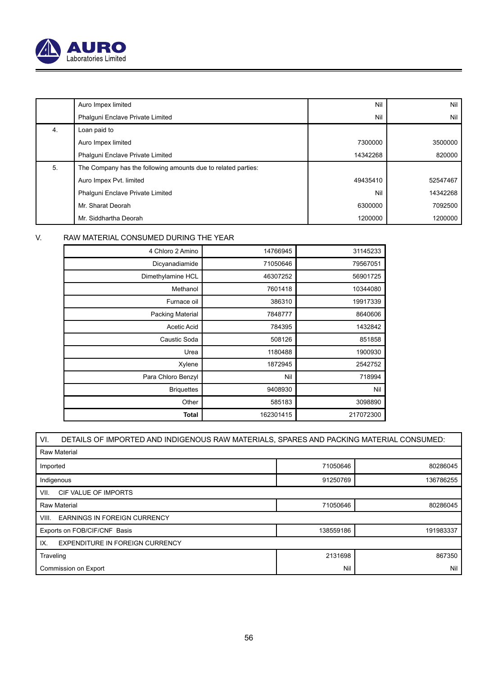

|    | Auro Impex limited                                            | Nil      | Nil      |
|----|---------------------------------------------------------------|----------|----------|
|    | Phalquni Enclave Private Limited                              | Nil      | Nil      |
| 4. | Loan paid to                                                  |          |          |
|    | Auro Impex limited                                            | 7300000  | 3500000  |
|    | Phalquni Enclave Private Limited                              | 14342268 | 820000   |
| 5. | The Company has the following amounts due to related parties: |          |          |
|    | Auro Impex Pvt. limited                                       | 49435410 | 52547467 |
|    | Phalquni Enclave Private Limited                              | Nil      | 14342268 |
|    | Mr. Sharat Deorah                                             | 6300000  | 7092500  |
|    | Mr. Siddhartha Deorah                                         | 1200000  | 1200000  |

## V. RAW MATERIAL CONSUMED DURING THE YEAR

| 4 Chloro 2 Amino   | 14766945  | 31145233  |
|--------------------|-----------|-----------|
| Dicyanadiamide     | 71050646  | 79567051  |
| Dimethylamine HCL  | 46307252  | 56901725  |
| Methanol           | 7601418   | 10344080  |
| Furnace oil        | 386310    | 19917339  |
| Packing Material   | 7848777   | 8640606   |
| Acetic Acid        | 784395    | 1432842   |
| Caustic Soda       | 508126    | 851858    |
| Urea               | 1180488   | 1900930   |
| Xylene             | 1872945   | 2542752   |
| Para Chloro Benzyl | Nil       | 718994    |
| <b>Briquettes</b>  | 9408930   | Nil       |
| Other              | 585183    | 3098890   |
| Total              | 162301415 | 217072300 |

| VI.<br>DETAILS OF IMPORTED AND INDIGENOUS RAW MATERIALS, SPARES AND PACKING MATERIAL CONSUMED: |  |  |  |  |
|------------------------------------------------------------------------------------------------|--|--|--|--|
| <b>Raw Material</b>                                                                            |  |  |  |  |
| 71050646<br>80286045<br>Imported                                                               |  |  |  |  |
| Indigenous<br>91250769<br>136786255                                                            |  |  |  |  |
| CIF VALUE OF IMPORTS<br>VII.                                                                   |  |  |  |  |
| 71050646<br>80286045<br><b>Raw Material</b>                                                    |  |  |  |  |
| <b>EARNINGS IN FOREIGN CURRENCY</b><br>VIII.                                                   |  |  |  |  |
| Exports on FOB/CIF/CNF Basis<br>138559186<br>191983337                                         |  |  |  |  |
| <b>EXPENDITURE IN FOREIGN CURRENCY</b><br>IX.                                                  |  |  |  |  |
| 2131698<br>867350<br>Traveling                                                                 |  |  |  |  |
| Nil<br>Nil<br>Commission on Export                                                             |  |  |  |  |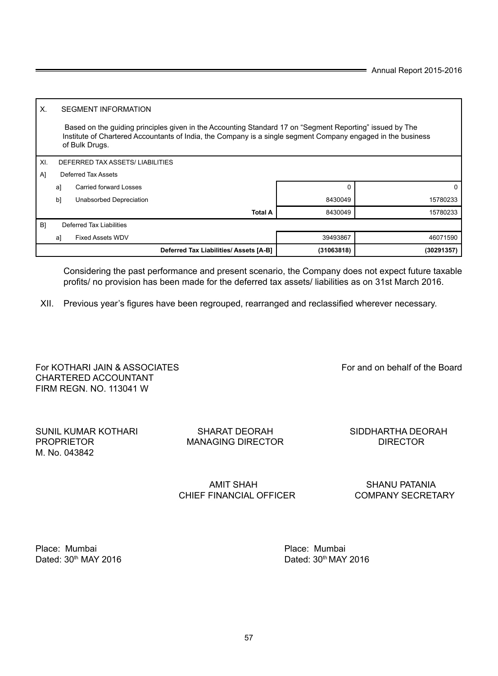57

| Place: Mumbai                    | Place: Mumbai                    |
|----------------------------------|----------------------------------|
| Dated: 30 <sup>th</sup> MAY 2016 | Dated: 30 <sup>th</sup> MAY 2016 |

CHIEF FINANCIAL OFFICER

AMIT SHAH SHANU PATANIA<br>FINANCIAL OFFICER COMPANY SECRETARY

|      |    |                               | Deferred Tax Liabilities/ Assets [A-B] | (31063818) | (30291357) |
|------|----|-------------------------------|----------------------------------------|------------|------------|
|      | a] | <b>Fixed Assets WDV</b>       |                                        | 39493867   | 46071590   |
| B)   |    | Deferred Tax Liabilities      |                                        |            |            |
|      |    |                               | <b>Total A</b>                         | 8430049    | 15780233   |
|      | b] | Unabsorbed Depreciation       |                                        | 8430049    | 15780233   |
|      | a] | <b>Carried forward Losses</b> |                                        |            |            |
| - Al |    | Deferred Tax Assets           |                                        |            |            |

 Based on the guiding principles given in the Accounting Standard 17 on "Segment Reporting" issued by The Institute of Chartered Accountants of India, the Company is a single segment Company engaged in the business

Considering the past performance and present scenario, the Company does not expect future taxable profits/ no provision has been made for the deferred tax assets/ liabilities as on 31st March 2016.

XII. Previous year's figures have been regrouped, rearranged and reclassified wherever necessary.

For KOTHARI JAIN & ASSOCIATES For and on behalf of the Board

CHARTERED ACCOUNTANT FIRM REGN. NO. 113041 W

X. SEGMENT INFORMATION

XI. DEFERRED TAX ASSETS/ LIABILITIES

of Bulk Drugs.

PROPRIETOR MANAGING DIRECTOR DIRECTOR M. No. 043842

SUNIL KUMAR KOTHARI SHARAT DEORAH SIDDHARTHA DEORAH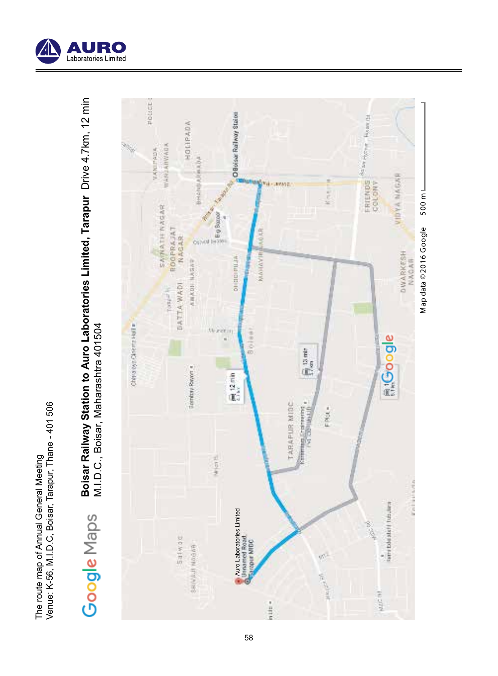

Boisar Railway Station to Auro Laboratories Limited, Tarapur Drive 4.7km, 12 min<br>M.I.D.C., Boisar, Maharashtra 401504 **Boisar Railway Station to Auro Laboratories Limited, Tarapur** Drive 4.7km, 12 min M.I.D.C., Boisar, Maharashtra 401504 Google Maps



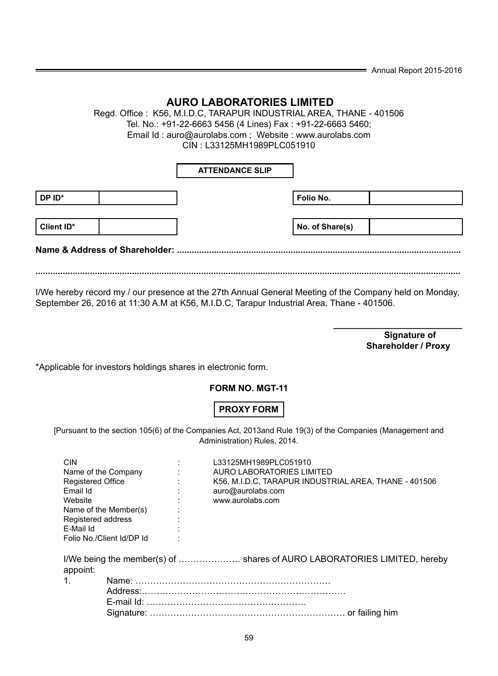$=$  Annual Report 2015-2016

## **AURO LABORATORIES LIMITED**

Regd. Office : K56, M.I.D.C, TARAPUR INDUSTRIAL AREA, THANE - 401506 Tel. No.: +91-22-6663 5456 (4 Lines) Fax : +91-22-6663 5460; Email Id : auro@aurolabs.com ; Website : www.aurolabs.com CIN : L33125MH1989PLC051910

## **ATTENDANCE SLIP**

| DP ID*     |  | Folio No.       |  |
|------------|--|-----------------|--|
|            |  |                 |  |
| Client ID* |  | No. of Share(s) |  |
|            |  |                 |  |

**Name & Address of Shareholder: ...................................................................................................................**

**............................................................................................................................................................................**

I/We hereby record my / our presence at the 27th Annual General Meeting of the Company held on Monday, September 26, 2016 at 11:30 A.M at K56, M.I.D.C, Tarapur Industrial Area, Thane - 401506.

 **\_\_\_\_\_\_\_\_\_\_\_\_\_\_\_\_\_\_\_\_\_\_\_\_\_\_ Signature of Shareholder / Proxy**

\*Applicable for investors holdings shares in electronic form.

## **FORM NO. MGT-11**

## **PROXY FORM**

[Pursuant to the section 105(6) of the Companies Act, 2013and Rule 19(3) of the Companies (Management and Administration) Rules, 2014.

| <b>CIN</b> |                           | L33125MH1989PLC051910                                                    |
|------------|---------------------------|--------------------------------------------------------------------------|
|            | Name of the Company       | AURO LABORATORIES LIMITED                                                |
|            | <b>Registered Office</b>  | K56, M.I.D.C. TARAPUR INDUSTRIAL AREA, THANE - 401506                    |
| Email Id   |                           | auro@aurolabs.com                                                        |
| Website    |                           | www.aurolabs.com                                                         |
|            | Name of the Member(s)     |                                                                          |
|            | Registered address        |                                                                          |
| E-Mail Id  |                           |                                                                          |
|            | Folio No./Client Id/DP Id |                                                                          |
| appoint:   |                           | I/We being the member(s) of  shares of AURO LABORATORIES LIMITED, hereby |
| 1.         |                           |                                                                          |
|            |                           |                                                                          |
|            |                           |                                                                          |
|            |                           |                                                                          |
|            |                           |                                                                          |